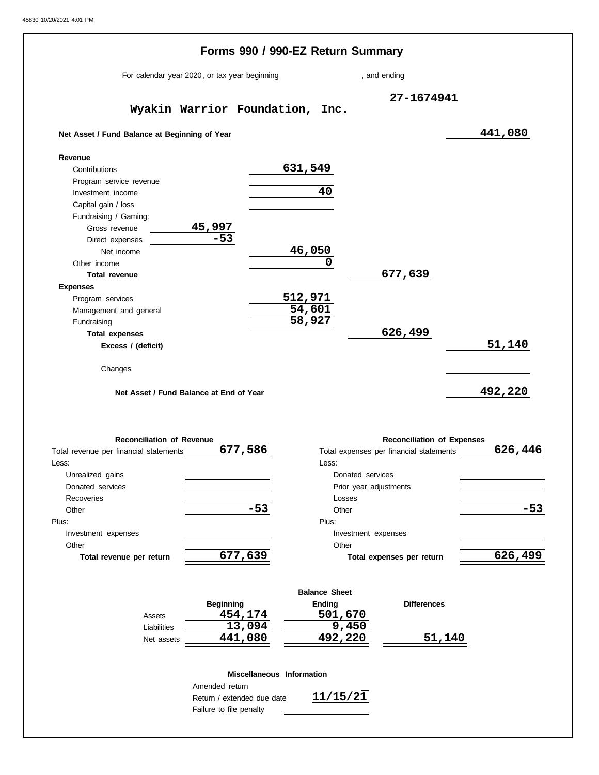|                                               | Forms 990 / 990-EZ Return Summary |                                         |         |
|-----------------------------------------------|-----------------------------------|-----------------------------------------|---------|
| For calendar year 2020, or tax year beginning |                                   | , and ending                            |         |
| Wyakin Warrior Foundation, Inc.               |                                   | 27-1674941                              |         |
| Net Asset / Fund Balance at Beginning of Year |                                   |                                         | 441,080 |
| Revenue                                       |                                   |                                         |         |
| Contributions                                 | 631,549                           |                                         |         |
| Program service revenue                       |                                   |                                         |         |
| Investment income                             | 40                                |                                         |         |
| Capital gain / loss                           |                                   |                                         |         |
| Fundraising / Gaming:                         |                                   |                                         |         |
| Gross revenue                                 |                                   |                                         |         |
| $\frac{45,997}{-53}$<br>Direct expenses       |                                   |                                         |         |
| Net income                                    | 46,050                            |                                         |         |
| Other income                                  | 0                                 |                                         |         |
| <b>Total revenue</b>                          |                                   | 677,639                                 |         |
|                                               |                                   |                                         |         |
| <b>Expenses</b>                               | 512,971                           |                                         |         |
| Program services                              | 54,601                            |                                         |         |
| Management and general                        | 58,927                            |                                         |         |
| Fundraising                                   |                                   |                                         |         |
| <b>Total expenses</b>                         |                                   | 626,499                                 |         |
| Excess / (deficit)                            |                                   |                                         | 51,140  |
| Changes                                       |                                   |                                         |         |
| Net Asset / Fund Balance at End of Year       |                                   |                                         | 492,220 |
| <b>Reconciliation of Revenue</b>              |                                   | <b>Reconciliation of Expenses</b>       |         |
| Total revenue per financial statements        | 677,586                           | Total expenses per financial statements | 626,446 |
| Less:                                         | Less:                             |                                         |         |
| Unrealized gains                              |                                   | Donated services                        |         |
| Donated services                              |                                   | Prior year adjustments                  |         |
| Recoveries                                    |                                   | Losses                                  |         |
| Other                                         | $-53$                             | Other                                   | $-53$   |
| Plus:                                         | Plus:                             |                                         |         |
| Investment expenses                           |                                   | Investment expenses                     |         |
|                                               |                                   |                                         |         |
| Other                                         | 677,639                           | Other                                   | 626,499 |

|             |                  | <b>Balance Sheet</b> |                    |
|-------------|------------------|----------------------|--------------------|
|             | <b>Beginning</b> | Ending               | <b>Differences</b> |
| Assets      | 454,174          | 501,670              |                    |
| Liabilities | 13,094           | 9,450                |                    |
| Net assets  | 441,080          | 492,220              | 51,140             |

## **Miscellaneous Information**

Return / extended due date Failure to file penalty Amended return

**11/15/21**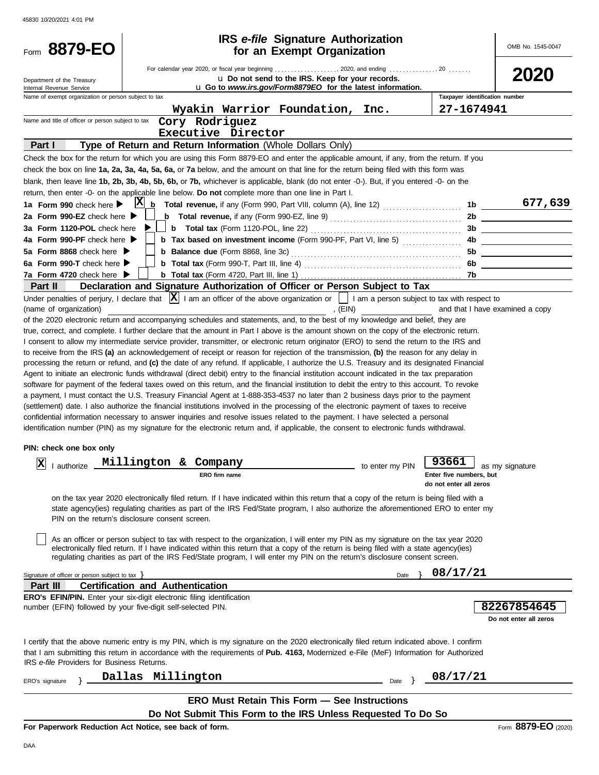| Form 8879-EO                                         |                                                                                                                                                                                                                                                                                                                                                                                                                                                                                                                                                                                                                                                                                                                                                                                                                                                                                                                                                                                                                                                                                                                                                                                                                                                                                                                                                                                                                                                                                                                                                                                                                                                                                                                                                                                                                                                                                                                                                                                                                                                                                                                                                                                                                                                                                                                                                            | <b>IRS</b> e-file Signature Authorization<br>for an Exempt Organization                                    |                                                                        | OMB No. 1545-0047                                                                                                     |
|------------------------------------------------------|------------------------------------------------------------------------------------------------------------------------------------------------------------------------------------------------------------------------------------------------------------------------------------------------------------------------------------------------------------------------------------------------------------------------------------------------------------------------------------------------------------------------------------------------------------------------------------------------------------------------------------------------------------------------------------------------------------------------------------------------------------------------------------------------------------------------------------------------------------------------------------------------------------------------------------------------------------------------------------------------------------------------------------------------------------------------------------------------------------------------------------------------------------------------------------------------------------------------------------------------------------------------------------------------------------------------------------------------------------------------------------------------------------------------------------------------------------------------------------------------------------------------------------------------------------------------------------------------------------------------------------------------------------------------------------------------------------------------------------------------------------------------------------------------------------------------------------------------------------------------------------------------------------------------------------------------------------------------------------------------------------------------------------------------------------------------------------------------------------------------------------------------------------------------------------------------------------------------------------------------------------------------------------------------------------------------------------------------------------|------------------------------------------------------------------------------------------------------------|------------------------------------------------------------------------|-----------------------------------------------------------------------------------------------------------------------|
| Department of the Treasury                           |                                                                                                                                                                                                                                                                                                                                                                                                                                                                                                                                                                                                                                                                                                                                                                                                                                                                                                                                                                                                                                                                                                                                                                                                                                                                                                                                                                                                                                                                                                                                                                                                                                                                                                                                                                                                                                                                                                                                                                                                                                                                                                                                                                                                                                                                                                                                                            | u Do not send to the IRS. Keep for your records.                                                           |                                                                        | 2020                                                                                                                  |
| Internal Revenue Service                             |                                                                                                                                                                                                                                                                                                                                                                                                                                                                                                                                                                                                                                                                                                                                                                                                                                                                                                                                                                                                                                                                                                                                                                                                                                                                                                                                                                                                                                                                                                                                                                                                                                                                                                                                                                                                                                                                                                                                                                                                                                                                                                                                                                                                                                                                                                                                                            | u Go to www.irs.gov/Form8879EO for the latest information.                                                 |                                                                        |                                                                                                                       |
| Name of exempt organization or person subject to tax |                                                                                                                                                                                                                                                                                                                                                                                                                                                                                                                                                                                                                                                                                                                                                                                                                                                                                                                                                                                                                                                                                                                                                                                                                                                                                                                                                                                                                                                                                                                                                                                                                                                                                                                                                                                                                                                                                                                                                                                                                                                                                                                                                                                                                                                                                                                                                            |                                                                                                            | Taxpayer identification number                                         |                                                                                                                       |
| Name and title of officer or person subject to tax   | Wyakin Warrior Foundation, Inc.                                                                                                                                                                                                                                                                                                                                                                                                                                                                                                                                                                                                                                                                                                                                                                                                                                                                                                                                                                                                                                                                                                                                                                                                                                                                                                                                                                                                                                                                                                                                                                                                                                                                                                                                                                                                                                                                                                                                                                                                                                                                                                                                                                                                                                                                                                                            |                                                                                                            | 27-1674941                                                             |                                                                                                                       |
|                                                      | Cory Rodriguez<br>Executive Director                                                                                                                                                                                                                                                                                                                                                                                                                                                                                                                                                                                                                                                                                                                                                                                                                                                                                                                                                                                                                                                                                                                                                                                                                                                                                                                                                                                                                                                                                                                                                                                                                                                                                                                                                                                                                                                                                                                                                                                                                                                                                                                                                                                                                                                                                                                       |                                                                                                            |                                                                        |                                                                                                                       |
| Part I                                               |                                                                                                                                                                                                                                                                                                                                                                                                                                                                                                                                                                                                                                                                                                                                                                                                                                                                                                                                                                                                                                                                                                                                                                                                                                                                                                                                                                                                                                                                                                                                                                                                                                                                                                                                                                                                                                                                                                                                                                                                                                                                                                                                                                                                                                                                                                                                                            |                                                                                                            |                                                                        |                                                                                                                       |
|                                                      | Type of Return and Return Information (Whole Dollars Only)                                                                                                                                                                                                                                                                                                                                                                                                                                                                                                                                                                                                                                                                                                                                                                                                                                                                                                                                                                                                                                                                                                                                                                                                                                                                                                                                                                                                                                                                                                                                                                                                                                                                                                                                                                                                                                                                                                                                                                                                                                                                                                                                                                                                                                                                                                 |                                                                                                            |                                                                        |                                                                                                                       |
|                                                      | Check the box for the return for which you are using this Form 8879-EO and enter the applicable amount, if any, from the return. If you                                                                                                                                                                                                                                                                                                                                                                                                                                                                                                                                                                                                                                                                                                                                                                                                                                                                                                                                                                                                                                                                                                                                                                                                                                                                                                                                                                                                                                                                                                                                                                                                                                                                                                                                                                                                                                                                                                                                                                                                                                                                                                                                                                                                                    |                                                                                                            |                                                                        |                                                                                                                       |
|                                                      | check the box on line 1a, 2a, 3a, 4a, 5a, 6a, or 7a below, and the amount on that line for the return being filed with this form was<br>blank, then leave line 1b, 2b, 3b, 4b, 5b, 6b, or 7b, whichever is applicable, blank (do not enter -0-). But, if you entered -0- on the                                                                                                                                                                                                                                                                                                                                                                                                                                                                                                                                                                                                                                                                                                                                                                                                                                                                                                                                                                                                                                                                                                                                                                                                                                                                                                                                                                                                                                                                                                                                                                                                                                                                                                                                                                                                                                                                                                                                                                                                                                                                            |                                                                                                            |                                                                        |                                                                                                                       |
|                                                      | return, then enter -0- on the applicable line below. Do not complete more than one line in Part I.                                                                                                                                                                                                                                                                                                                                                                                                                                                                                                                                                                                                                                                                                                                                                                                                                                                                                                                                                                                                                                                                                                                                                                                                                                                                                                                                                                                                                                                                                                                                                                                                                                                                                                                                                                                                                                                                                                                                                                                                                                                                                                                                                                                                                                                         |                                                                                                            |                                                                        |                                                                                                                       |
| 1a Form 990 check here >                             | $ {\bf X} $                                                                                                                                                                                                                                                                                                                                                                                                                                                                                                                                                                                                                                                                                                                                                                                                                                                                                                                                                                                                                                                                                                                                                                                                                                                                                                                                                                                                                                                                                                                                                                                                                                                                                                                                                                                                                                                                                                                                                                                                                                                                                                                                                                                                                                                                                                                                                |                                                                                                            | 1b                                                                     | 677,639                                                                                                               |
| 2a Form 990-EZ check here $\blacktriangleright$      |                                                                                                                                                                                                                                                                                                                                                                                                                                                                                                                                                                                                                                                                                                                                                                                                                                                                                                                                                                                                                                                                                                                                                                                                                                                                                                                                                                                                                                                                                                                                                                                                                                                                                                                                                                                                                                                                                                                                                                                                                                                                                                                                                                                                                                                                                                                                                            | <b>b</b> Total revenue, if any (Form 990-EZ, line 9) $\ldots$ $\ldots$ $\ldots$ $\ldots$ $\ldots$ $\ldots$ |                                                                        | 2b                                                                                                                    |
| 3a Form 1120-POL check here                          |                                                                                                                                                                                                                                                                                                                                                                                                                                                                                                                                                                                                                                                                                                                                                                                                                                                                                                                                                                                                                                                                                                                                                                                                                                                                                                                                                                                                                                                                                                                                                                                                                                                                                                                                                                                                                                                                                                                                                                                                                                                                                                                                                                                                                                                                                                                                                            |                                                                                                            |                                                                        |                                                                                                                       |
| 4a Form 990-PF check here                            |                                                                                                                                                                                                                                                                                                                                                                                                                                                                                                                                                                                                                                                                                                                                                                                                                                                                                                                                                                                                                                                                                                                                                                                                                                                                                                                                                                                                                                                                                                                                                                                                                                                                                                                                                                                                                                                                                                                                                                                                                                                                                                                                                                                                                                                                                                                                                            | <b>b</b> Tax based on investment income (Form 990-PF, Part VI, line 5)                                     |                                                                        | 4b                                                                                                                    |
| 5a Form 8868 check here $\blacktriangleright$        |                                                                                                                                                                                                                                                                                                                                                                                                                                                                                                                                                                                                                                                                                                                                                                                                                                                                                                                                                                                                                                                                                                                                                                                                                                                                                                                                                                                                                                                                                                                                                                                                                                                                                                                                                                                                                                                                                                                                                                                                                                                                                                                                                                                                                                                                                                                                                            |                                                                                                            | 5b                                                                     | <u> 1989 - Johann Harry Harry Harry Harry Harry Harry Harry Harry Harry Harry Harry Harry Harry Harry Harry Harry</u> |
| 6a Form 990-T check here                             |                                                                                                                                                                                                                                                                                                                                                                                                                                                                                                                                                                                                                                                                                                                                                                                                                                                                                                                                                                                                                                                                                                                                                                                                                                                                                                                                                                                                                                                                                                                                                                                                                                                                                                                                                                                                                                                                                                                                                                                                                                                                                                                                                                                                                                                                                                                                                            |                                                                                                            | 6b.                                                                    |                                                                                                                       |
| 7a Form 4720 check here ▶                            |                                                                                                                                                                                                                                                                                                                                                                                                                                                                                                                                                                                                                                                                                                                                                                                                                                                                                                                                                                                                                                                                                                                                                                                                                                                                                                                                                                                                                                                                                                                                                                                                                                                                                                                                                                                                                                                                                                                                                                                                                                                                                                                                                                                                                                                                                                                                                            |                                                                                                            | 7b.                                                                    |                                                                                                                       |
| Part II                                              | Declaration and Signature Authorization of Officer or Person Subject to Tax                                                                                                                                                                                                                                                                                                                                                                                                                                                                                                                                                                                                                                                                                                                                                                                                                                                                                                                                                                                                                                                                                                                                                                                                                                                                                                                                                                                                                                                                                                                                                                                                                                                                                                                                                                                                                                                                                                                                                                                                                                                                                                                                                                                                                                                                                |                                                                                                            |                                                                        |                                                                                                                       |
|                                                      | Under penalties of perjury, I declare that $\vert x \vert$ I am an officer of the above organization or $\vert$ I am a person subject to tax with respect to                                                                                                                                                                                                                                                                                                                                                                                                                                                                                                                                                                                                                                                                                                                                                                                                                                                                                                                                                                                                                                                                                                                                                                                                                                                                                                                                                                                                                                                                                                                                                                                                                                                                                                                                                                                                                                                                                                                                                                                                                                                                                                                                                                                               |                                                                                                            |                                                                        |                                                                                                                       |
| PIN: check one box only<br>ΙAΙ<br>I authorize        | of the 2020 electronic return and accompanying schedules and statements, and, to the best of my knowledge and belief, they are<br>true, correct, and complete. I further declare that the amount in Part I above is the amount shown on the copy of the electronic return.<br>I consent to allow my intermediate service provider, transmitter, or electronic return originator (ERO) to send the return to the IRS and<br>to receive from the IRS (a) an acknowledgement of receipt or reason for rejection of the transmission, (b) the reason for any delay in<br>processing the return or refund, and (c) the date of any refund. If applicable, I authorize the U.S. Treasury and its designated Financial<br>Agent to initiate an electronic funds withdrawal (direct debit) entry to the financial institution account indicated in the tax preparation<br>software for payment of the federal taxes owed on this return, and the financial institution to debit the entry to this account. To revoke<br>a payment, I must contact the U.S. Treasury Financial Agent at 1-888-353-4537 no later than 2 business days prior to the payment<br>(settlement) date. I also authorize the financial institutions involved in the processing of the electronic payment of taxes to receive<br>confidential information necessary to answer inquiries and resolve issues related to the payment. I have selected a personal<br>identification number (PIN) as my signature for the electronic return and, if applicable, the consent to electronic funds withdrawal.<br>Millington & Company<br>ERO firm name<br>on the tax year 2020 electronically filed return. If I have indicated within this return that a copy of the return is being filed with a<br>state agency(ies) regulating charities as part of the IRS Fed/State program, I also authorize the aforementioned ERO to enter my<br>PIN on the return's disclosure consent screen.<br>As an officer or person subject to tax with respect to the organization, I will enter my PIN as my signature on the tax year 2020<br>electronically filed return. If I have indicated within this return that a copy of the return is being filed with a state agency(ies)<br>regulating charities as part of the IRS Fed/State program, I will enter my PIN on the return's disclosure consent screen. | to enter my PIN                                                                                            | 93661<br>Enter five numbers, but<br>do not enter all zeros<br>08/17/21 | as my signature                                                                                                       |
| Signature of officer or person subject to tax }      |                                                                                                                                                                                                                                                                                                                                                                                                                                                                                                                                                                                                                                                                                                                                                                                                                                                                                                                                                                                                                                                                                                                                                                                                                                                                                                                                                                                                                                                                                                                                                                                                                                                                                                                                                                                                                                                                                                                                                                                                                                                                                                                                                                                                                                                                                                                                                            | Date                                                                                                       |                                                                        |                                                                                                                       |
| Part III                                             | <b>Certification and Authentication</b><br><b>ERO's EFIN/PIN.</b> Enter your six-digit electronic filing identification                                                                                                                                                                                                                                                                                                                                                                                                                                                                                                                                                                                                                                                                                                                                                                                                                                                                                                                                                                                                                                                                                                                                                                                                                                                                                                                                                                                                                                                                                                                                                                                                                                                                                                                                                                                                                                                                                                                                                                                                                                                                                                                                                                                                                                    |                                                                                                            |                                                                        |                                                                                                                       |
|                                                      | number (EFIN) followed by your five-digit self-selected PIN.                                                                                                                                                                                                                                                                                                                                                                                                                                                                                                                                                                                                                                                                                                                                                                                                                                                                                                                                                                                                                                                                                                                                                                                                                                                                                                                                                                                                                                                                                                                                                                                                                                                                                                                                                                                                                                                                                                                                                                                                                                                                                                                                                                                                                                                                                               |                                                                                                            |                                                                        | 82267854645<br>Do not enter all zeros                                                                                 |
| IRS e-file Providers for Business Returns.           | I certify that the above numeric entry is my PIN, which is my signature on the 2020 electronically filed return indicated above. I confirm<br>that I am submitting this return in accordance with the requirements of Pub. 4163, Modernized e-File (MeF) Information for Authorized                                                                                                                                                                                                                                                                                                                                                                                                                                                                                                                                                                                                                                                                                                                                                                                                                                                                                                                                                                                                                                                                                                                                                                                                                                                                                                                                                                                                                                                                                                                                                                                                                                                                                                                                                                                                                                                                                                                                                                                                                                                                        |                                                                                                            |                                                                        |                                                                                                                       |
| ERO's signature                                      | Millington<br>Dallas                                                                                                                                                                                                                                                                                                                                                                                                                                                                                                                                                                                                                                                                                                                                                                                                                                                                                                                                                                                                                                                                                                                                                                                                                                                                                                                                                                                                                                                                                                                                                                                                                                                                                                                                                                                                                                                                                                                                                                                                                                                                                                                                                                                                                                                                                                                                       | Date                                                                                                       | 08/17/21                                                               |                                                                                                                       |
|                                                      |                                                                                                                                                                                                                                                                                                                                                                                                                                                                                                                                                                                                                                                                                                                                                                                                                                                                                                                                                                                                                                                                                                                                                                                                                                                                                                                                                                                                                                                                                                                                                                                                                                                                                                                                                                                                                                                                                                                                                                                                                                                                                                                                                                                                                                                                                                                                                            |                                                                                                            |                                                                        |                                                                                                                       |
|                                                      |                                                                                                                                                                                                                                                                                                                                                                                                                                                                                                                                                                                                                                                                                                                                                                                                                                                                                                                                                                                                                                                                                                                                                                                                                                                                                                                                                                                                                                                                                                                                                                                                                                                                                                                                                                                                                                                                                                                                                                                                                                                                                                                                                                                                                                                                                                                                                            | <b>ERO Must Retain This Form - See Instructions</b>                                                        |                                                                        |                                                                                                                       |
|                                                      | Do Not Submit This Form to the IRS Unless Requested To Do So                                                                                                                                                                                                                                                                                                                                                                                                                                                                                                                                                                                                                                                                                                                                                                                                                                                                                                                                                                                                                                                                                                                                                                                                                                                                                                                                                                                                                                                                                                                                                                                                                                                                                                                                                                                                                                                                                                                                                                                                                                                                                                                                                                                                                                                                                               |                                                                                                            |                                                                        | r                                                                                                                     |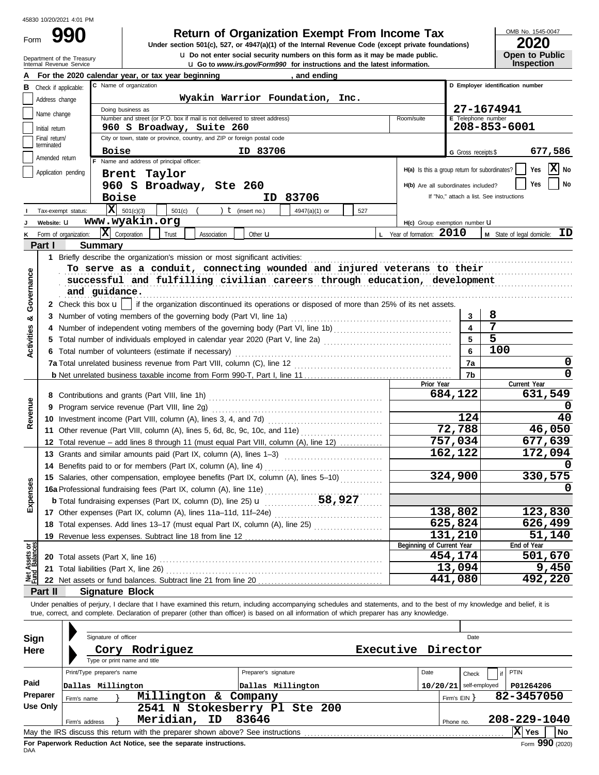Form

**u** Go to *www.irs.gov/Form990* for instructions and the latest information. **u** Do not enter social security numbers on this form as it may be made public. **990 2020 2010 2020 2020 2020 2020 2020 2020 2020 2020 2020 2020 2020 2020 2020** 

OMB No. 1545-0047

| ZUZU                  |
|-----------------------|
| <b>Open to Public</b> |
| <b>Inspection</b>     |

| <b>U</b> Do not enter social security numbers on this form as it may be made public.<br>Department of the Treasury<br>Internal Revenue Service<br><b>u</b> Go to www.irs.gov/Form990 for instructions and the latest information. |                             |                |                                                                                                                                                                            |                                                 |                                  | <b>Open to Public</b><br><b>Inspection</b> |  |  |
|-----------------------------------------------------------------------------------------------------------------------------------------------------------------------------------------------------------------------------------|-----------------------------|----------------|----------------------------------------------------------------------------------------------------------------------------------------------------------------------------|-------------------------------------------------|----------------------------------|--------------------------------------------|--|--|
|                                                                                                                                                                                                                                   |                             |                | For the 2020 calendar year, or tax year beginning<br>, and ending                                                                                                          |                                                 |                                  |                                            |  |  |
| В                                                                                                                                                                                                                                 | Check if applicable:        |                | C Name of organization                                                                                                                                                     |                                                 | D Employer identification number |                                            |  |  |
|                                                                                                                                                                                                                                   | Address change              |                | Wyakin Warrior Foundation, Inc.                                                                                                                                            |                                                 |                                  |                                            |  |  |
|                                                                                                                                                                                                                                   |                             |                | Doing business as                                                                                                                                                          |                                                 |                                  | 27-1674941                                 |  |  |
|                                                                                                                                                                                                                                   | Name change                 |                | Number and street (or P.O. box if mail is not delivered to street address)                                                                                                 | Room/suite                                      | E Telephone number               |                                            |  |  |
|                                                                                                                                                                                                                                   | Initial return              |                | 960 S Broadway, Suite 260                                                                                                                                                  |                                                 |                                  | 208-853-6001                               |  |  |
|                                                                                                                                                                                                                                   | Final return/<br>terminated |                | City or town, state or province, country, and ZIP or foreign postal code                                                                                                   |                                                 |                                  |                                            |  |  |
|                                                                                                                                                                                                                                   | Amended return              |                | ID 83706<br><b>Boise</b>                                                                                                                                                   |                                                 | G Gross receipts \$              | 677,586                                    |  |  |
|                                                                                                                                                                                                                                   |                             |                | F Name and address of principal officer:                                                                                                                                   | $H(a)$ Is this a group return for subordinates? |                                  | $\mathbf{X}$ No<br>Yes                     |  |  |
|                                                                                                                                                                                                                                   | Application pending         |                | Brent Taylor                                                                                                                                                               |                                                 |                                  |                                            |  |  |
|                                                                                                                                                                                                                                   |                             |                | 960 S Broadway, Ste 260                                                                                                                                                    | H(b) Are all subordinates included?             |                                  | No<br>Yes                                  |  |  |
|                                                                                                                                                                                                                                   |                             |                | <b>Boise</b><br>ID 83706                                                                                                                                                   |                                                 |                                  | If "No," attach a list. See instructions   |  |  |
|                                                                                                                                                                                                                                   | Tax-exempt status:          |                | $ \mathbf{X} $ 501(c)(3)<br>$501(c)$ (<br>) $t$ (insert no.)<br>4947(a)(1) or<br>527                                                                                       |                                                 |                                  |                                            |  |  |
|                                                                                                                                                                                                                                   | Website: U                  |                | www.wyakin.org                                                                                                                                                             | H(c) Group exemption number U                   |                                  |                                            |  |  |
|                                                                                                                                                                                                                                   | Form of organization:       |                | $ \mathbf{X} $ Corporation<br>Trust<br>Association<br>Other $\mathbf u$                                                                                                    | L Year of formation: 2010                       |                                  | ID<br>M State of legal domicile:           |  |  |
|                                                                                                                                                                                                                                   | Part I                      |                | <b>Summary</b>                                                                                                                                                             |                                                 |                                  |                                            |  |  |
|                                                                                                                                                                                                                                   |                             |                | 1 Briefly describe the organization's mission or most significant activities:                                                                                              |                                                 |                                  |                                            |  |  |
|                                                                                                                                                                                                                                   |                             |                | To serve as a conduit, connecting wounded and injured veterans to their                                                                                                    |                                                 |                                  |                                            |  |  |
| Governance                                                                                                                                                                                                                        |                             |                | successful and fulfilling civilian careers through education, development                                                                                                  |                                                 |                                  |                                            |  |  |
|                                                                                                                                                                                                                                   |                             |                | and guidance.                                                                                                                                                              |                                                 |                                  |                                            |  |  |
|                                                                                                                                                                                                                                   |                             |                | 2 Check this box $\mathbf{u}$   if the organization discontinued its operations or disposed of more than 25% of its net assets.                                            |                                                 |                                  |                                            |  |  |
| య                                                                                                                                                                                                                                 |                             |                | 3 Number of voting members of the governing body (Part VI, line 1a)                                                                                                        |                                                 | 3                                | 8                                          |  |  |
|                                                                                                                                                                                                                                   |                             |                |                                                                                                                                                                            |                                                 |                                  | 7                                          |  |  |
| <b>Activities</b>                                                                                                                                                                                                                 |                             |                |                                                                                                                                                                            |                                                 | 5                                | 5                                          |  |  |
|                                                                                                                                                                                                                                   |                             |                | 6 Total number of volunteers (estimate if necessary)                                                                                                                       |                                                 | 6                                | 100                                        |  |  |
|                                                                                                                                                                                                                                   |                             |                |                                                                                                                                                                            |                                                 | 7a                               | 0                                          |  |  |
|                                                                                                                                                                                                                                   |                             |                |                                                                                                                                                                            |                                                 | 7b                               | 0                                          |  |  |
|                                                                                                                                                                                                                                   |                             |                |                                                                                                                                                                            | Prior Year                                      | 684,122                          | Current Year<br>631,549                    |  |  |
|                                                                                                                                                                                                                                   |                             |                |                                                                                                                                                                            |                                                 |                                  |                                            |  |  |
| Revenue                                                                                                                                                                                                                           |                             |                |                                                                                                                                                                            |                                                 | 124                              | 40                                         |  |  |
|                                                                                                                                                                                                                                   |                             |                | 11 Other revenue (Part VIII, column (A), lines 5, 6d, 8c, 9c, 10c, and 11e)                                                                                                |                                                 | 72, 788                          | 46,050                                     |  |  |
|                                                                                                                                                                                                                                   |                             |                | 12 Total revenue – add lines 8 through 11 (must equal Part VIII, column (A), line 12)                                                                                      |                                                 | 757,034                          | 677,639                                    |  |  |
|                                                                                                                                                                                                                                   |                             |                |                                                                                                                                                                            |                                                 | 162,122                          | 172,094                                    |  |  |
|                                                                                                                                                                                                                                   |                             |                | 14 Benefits paid to or for members (Part IX, column (A), line 4)                                                                                                           |                                                 |                                  |                                            |  |  |
|                                                                                                                                                                                                                                   |                             |                | 15 Salaries, other compensation, employee benefits (Part IX, column (A), lines 5-10)                                                                                       |                                                 | 324,900                          | 330,575                                    |  |  |
| <b>ises</b>                                                                                                                                                                                                                       |                             |                | 16a Professional fundraising fees (Part IX, column (A), line 11e)                                                                                                          |                                                 |                                  | 0                                          |  |  |
|                                                                                                                                                                                                                                   |                             |                |                                                                                                                                                                            |                                                 |                                  |                                            |  |  |
| Exper                                                                                                                                                                                                                             |                             |                |                                                                                                                                                                            |                                                 | 138,802                          | 123,830                                    |  |  |
|                                                                                                                                                                                                                                   |                             |                | 18 Total expenses. Add lines 13-17 (must equal Part IX, column (A), line 25)                                                                                               |                                                 | 625,824                          | 626,499                                    |  |  |
|                                                                                                                                                                                                                                   |                             |                |                                                                                                                                                                            |                                                 | 131,210                          | 51,140                                     |  |  |
|                                                                                                                                                                                                                                   |                             |                |                                                                                                                                                                            | Beginning of Current Year                       |                                  | End of Year                                |  |  |
| Net Assets or<br>Fund Balances                                                                                                                                                                                                    |                             |                |                                                                                                                                                                            |                                                 | 454,174                          | 501,670                                    |  |  |
|                                                                                                                                                                                                                                   |                             |                | 21 Total liabilities (Part X, line 26)                                                                                                                                     |                                                 | 13,094                           | 9,450                                      |  |  |
|                                                                                                                                                                                                                                   |                             |                |                                                                                                                                                                            |                                                 | 441,080                          | 492,220                                    |  |  |
|                                                                                                                                                                                                                                   | Part II                     |                | <b>Signature Block</b>                                                                                                                                                     |                                                 |                                  |                                            |  |  |
|                                                                                                                                                                                                                                   |                             |                | Under penalties of perjury, I declare that I have examined this return, including accompanying schedules and statements, and to the best of my knowledge and belief, it is |                                                 |                                  |                                            |  |  |
|                                                                                                                                                                                                                                   |                             |                | true, correct, and complete. Declaration of preparer (other than officer) is based on all information of which preparer has any knowledge.                                 |                                                 |                                  |                                            |  |  |
|                                                                                                                                                                                                                                   |                             |                |                                                                                                                                                                            |                                                 |                                  |                                            |  |  |
| Sign                                                                                                                                                                                                                              |                             |                | Signature of officer                                                                                                                                                       |                                                 | Date                             |                                            |  |  |
| Here                                                                                                                                                                                                                              |                             |                | Executive<br>Cory Rodriguez                                                                                                                                                |                                                 | Director                         |                                            |  |  |
|                                                                                                                                                                                                                                   |                             |                | Type or print name and title                                                                                                                                               |                                                 |                                  |                                            |  |  |
|                                                                                                                                                                                                                                   |                             |                | Print/Type preparer's name<br>Preparer's signature                                                                                                                         | Date                                            | Check                            | PTIN                                       |  |  |
| Paid                                                                                                                                                                                                                              |                             |                | Dallas Millington<br>Dallas Millington                                                                                                                                     |                                                 | $10/20/21$ self-employed         | P01264206                                  |  |  |
|                                                                                                                                                                                                                                   | Preparer                    | Firm's name    | Millington & Company                                                                                                                                                       |                                                 | Firm's EIN                       | 82-3457050                                 |  |  |
|                                                                                                                                                                                                                                   | <b>Use Only</b>             |                | 2541 N Stokesberry Pl Ste 200                                                                                                                                              |                                                 |                                  |                                            |  |  |
|                                                                                                                                                                                                                                   |                             | Firm's address | Meridian,<br>ID<br>83646                                                                                                                                                   |                                                 | Phone no.                        | 208-229-1040                               |  |  |
|                                                                                                                                                                                                                                   |                             |                |                                                                                                                                                                            |                                                 |                                  | X Yes<br>No                                |  |  |

| Sign        | Signature of officer                                                                             |                               |                          | Date          |  |  |  |  |
|-------------|--------------------------------------------------------------------------------------------------|-------------------------------|--------------------------|---------------|--|--|--|--|
| <b>Here</b> | Rodriguez<br>Cory                                                                                |                               | Executive Director       |               |  |  |  |  |
|             | Type or print name and title<br>Print/Type preparer's name                                       | Preparer's signature          | Date                     | PTIN<br>Check |  |  |  |  |
| Paid        | Dallas Millington                                                                                | Dallas Millington             | $10/20/21$ self-employed | P01264206     |  |  |  |  |
| Preparer    | Millington & Company<br>Firm's name                                                              |                               | Firm's $EIN$             | 82-3457050    |  |  |  |  |
| Use Only    |                                                                                                  | 2541 N Stokesberry Pl Ste 200 |                          |               |  |  |  |  |
|             | Meridian, ID<br>Firm's address                                                                   | 83646                         | Phone no.                | 208-229-1040  |  |  |  |  |
|             | X Yes<br>l No<br>May the IRS discuss this return with the preparer shown above? See instructions |                               |                          |               |  |  |  |  |
|             | Form $990(2020)$<br>For Paperwork Reduction Act Notice, see the separate instructions.           |                               |                          |               |  |  |  |  |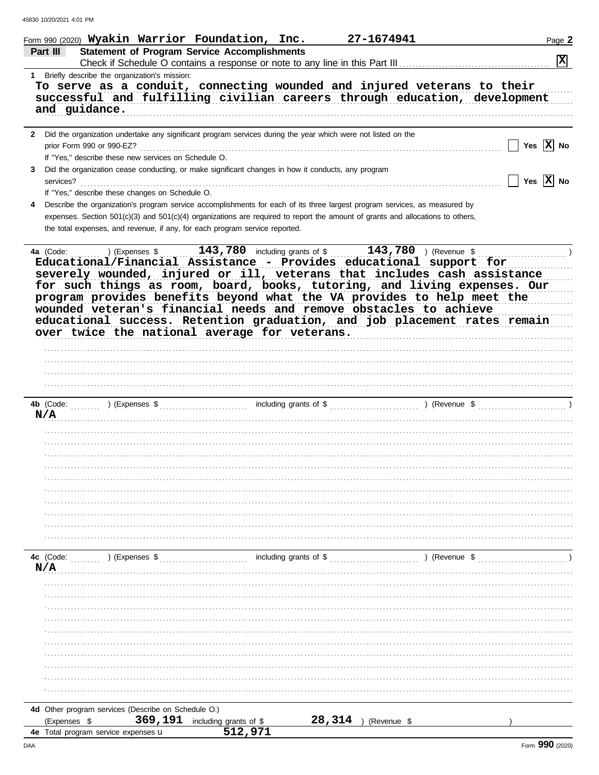|              | Form 990 (2020) Wyakin Warrior Foundation, Inc.<br>27-1674941                                                                                   | Page 2                |
|--------------|-------------------------------------------------------------------------------------------------------------------------------------------------|-----------------------|
|              | <b>Statement of Program Service Accomplishments</b><br>Part III<br>Check if Schedule O contains a response or note to any line in this Part III | $ \mathbf{x} $        |
|              | 1 Briefly describe the organization's mission:                                                                                                  |                       |
|              | To serve as a conduit, connecting wounded and injured veterans to their                                                                         |                       |
|              | successful and fulfilling civilian careers through education, development                                                                       |                       |
|              | and guidance.                                                                                                                                   |                       |
|              |                                                                                                                                                 |                       |
| $\mathbf{2}$ | Did the organization undertake any significant program services during the year which were not listed on the                                    |                       |
|              | prior Form 990 or 990-EZ?                                                                                                                       | Yes $ X $ No          |
|              | If "Yes," describe these new services on Schedule O.                                                                                            |                       |
| 3            | Did the organization cease conducting, or make significant changes in how it conducts, any program                                              | Yes $\overline{X}$ No |
|              | services?<br>If "Yes," describe these changes on Schedule O.                                                                                    |                       |
| 4            | Describe the organization's program service accomplishments for each of its three largest program services, as measured by                      |                       |
|              | expenses. Section 501(c)(3) and 501(c)(4) organizations are required to report the amount of grants and allocations to others,                  |                       |
|              | the total expenses, and revenue, if any, for each program service reported.                                                                     |                       |
|              |                                                                                                                                                 |                       |
|              | 143,780 including grants of \$143,780 (Revenue \$143,780)<br>4a (Code:<br>) (Expenses \$                                                        |                       |
|              |                                                                                                                                                 |                       |
|              | Educational/Financial Assistance - Provides educational support for<br>severely wounded, injured or ill, veterans that includes cash assistance |                       |
|              | for such things as room, board, books, tutoring, and living expenses. Our                                                                       |                       |
|              | program provides benefits beyond what the VA provides to help meet the                                                                          |                       |
|              | wounded veteran's financial needs and remove obstacles to achieve                                                                               |                       |
|              | educational success. Retention graduation, and job placement rates remain                                                                       |                       |
|              | over twice the national average for veterans.                                                                                                   |                       |
|              |                                                                                                                                                 |                       |
|              |                                                                                                                                                 |                       |
|              |                                                                                                                                                 |                       |
|              |                                                                                                                                                 |                       |
|              |                                                                                                                                                 |                       |
|              | ) (Expenses \$<br>including grants of \$<br>4b (Code:<br>$\ldots$ (Revenue \$                                                                   |                       |
|              | N/A                                                                                                                                             |                       |
|              |                                                                                                                                                 |                       |
|              |                                                                                                                                                 |                       |
|              |                                                                                                                                                 |                       |
|              |                                                                                                                                                 |                       |
|              |                                                                                                                                                 |                       |
|              |                                                                                                                                                 |                       |
|              |                                                                                                                                                 |                       |
|              |                                                                                                                                                 |                       |
|              |                                                                                                                                                 |                       |
|              |                                                                                                                                                 |                       |
|              | including grants of \$<br>4c (Code:<br>) (Expenses \$                                                                                           | ) (Revenue \$         |
|              | N/A                                                                                                                                             |                       |
|              |                                                                                                                                                 |                       |
|              |                                                                                                                                                 |                       |
|              |                                                                                                                                                 |                       |
|              |                                                                                                                                                 |                       |
|              |                                                                                                                                                 |                       |
|              |                                                                                                                                                 |                       |
|              |                                                                                                                                                 |                       |
|              |                                                                                                                                                 |                       |
|              |                                                                                                                                                 |                       |
|              |                                                                                                                                                 |                       |
|              |                                                                                                                                                 |                       |
|              | 4d Other program services (Describe on Schedule O.)                                                                                             |                       |
|              | 369,191<br>28,314<br>including grants of \$<br>(Expenses \$<br>(Revenue \$<br>512,971                                                           |                       |
|              | <b>4e</b> Total program service expenses <b>u</b>                                                                                               |                       |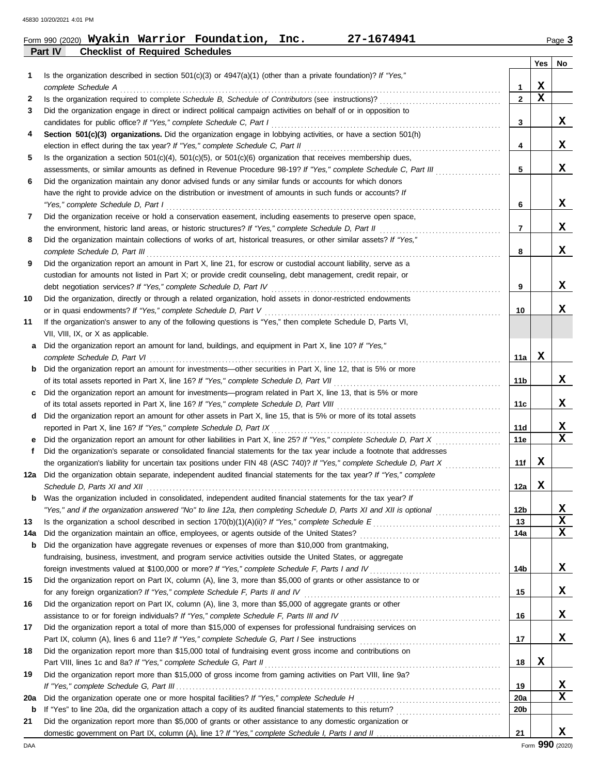|                |                                        | Form 990 (2020) Wyakin Warrior Foundation, Inc. | 27-1674941 | Page 3 |
|----------------|----------------------------------------|-------------------------------------------------|------------|--------|
| <b>Part IV</b> | <b>Checklist of Required Schedules</b> |                                                 |            |        |

|     |                                                                                                                                               |                | Yes | No |
|-----|-----------------------------------------------------------------------------------------------------------------------------------------------|----------------|-----|----|
| 1   | Is the organization described in section $501(c)(3)$ or $4947(a)(1)$ (other than a private foundation)? If "Yes,"                             |                |     |    |
|     | complete Schedule A                                                                                                                           | 1              | x   |    |
| 2   |                                                                                                                                               | $\overline{2}$ | X   |    |
| 3   | Did the organization engage in direct or indirect political campaign activities on behalf of or in opposition to                              |                |     |    |
|     | candidates for public office? If "Yes," complete Schedule C, Part I                                                                           | 3              |     | X. |
| 4   | Section 501(c)(3) organizations. Did the organization engage in lobbying activities, or have a section 501(h)                                 |                |     |    |
|     | election in effect during the tax year? If "Yes," complete Schedule C, Part II                                                                | 4              |     | X. |
| 5   | Is the organization a section $501(c)(4)$ , $501(c)(5)$ , or $501(c)(6)$ organization that receives membership dues,                          |                |     |    |
|     | assessments, or similar amounts as defined in Revenue Procedure 98-19? If "Yes," complete Schedule C, Part III                                | 5              |     | x  |
| 6   | Did the organization maintain any donor advised funds or any similar funds or accounts for which donors                                       |                |     |    |
|     | have the right to provide advice on the distribution or investment of amounts in such funds or accounts? If                                   |                |     |    |
|     | "Yes," complete Schedule D, Part I                                                                                                            | 6              |     | X. |
| 7   | Did the organization receive or hold a conservation easement, including easements to preserve open space,                                     |                |     |    |
|     |                                                                                                                                               | 7              |     | x  |
| 8   | Did the organization maintain collections of works of art, historical treasures, or other similar assets? If "Yes,"                           |                |     |    |
|     | complete Schedule D, Part III                                                                                                                 | 8              |     | x  |
| 9   | Did the organization report an amount in Part X, line 21, for escrow or custodial account liability, serve as a                               |                |     |    |
|     | custodian for amounts not listed in Part X; or provide credit counseling, debt management, credit repair, or                                  |                |     |    |
|     | debt negotiation services? If "Yes," complete Schedule D, Part IV                                                                             | 9              |     | X. |
| 10  | Did the organization, directly or through a related organization, hold assets in donor-restricted endowments                                  |                |     |    |
|     | or in quasi endowments? If "Yes," complete Schedule D, Part V                                                                                 | 10             |     | x  |
| 11  | If the organization's answer to any of the following questions is "Yes," then complete Schedule D, Parts VI,                                  |                |     |    |
|     | VII, VIII, IX, or X as applicable.                                                                                                            |                |     |    |
| a   | Did the organization report an amount for land, buildings, and equipment in Part X, line 10? If "Yes,"                                        | 11a            | x   |    |
| b   | complete Schedule D, Part VI<br>Did the organization report an amount for investments-other securities in Part X, line 12, that is 5% or more |                |     |    |
|     | of its total assets reported in Part X, line 16? If "Yes," complete Schedule D, Part VII                                                      | 11b            |     | X. |
| c   | Did the organization report an amount for investments—program related in Part X, line 13, that is 5% or more                                  |                |     |    |
|     | of its total assets reported in Part X, line 16? If "Yes," complete Schedule D, Part VIII [[[[[[[[[[[[[[[[[[[[                                | 11c            |     | x  |
| d   | Did the organization report an amount for other assets in Part X, line 15, that is 5% or more of its total assets                             |                |     |    |
|     | reported in Part X, line 16? If "Yes," complete Schedule D, Part IX                                                                           | 11d            |     | x  |
| е   | Did the organization report an amount for other liabilities in Part X, line 25? If "Yes," complete Schedule D, Part X                         | 11e            |     | x  |
| f   | Did the organization's separate or consolidated financial statements for the tax year include a footnote that addresses                       |                |     |    |
|     | the organization's liability for uncertain tax positions under FIN 48 (ASC 740)? If "Yes," complete Schedule D, Part X                        | 11f            | X   |    |
| 12a | Did the organization obtain separate, independent audited financial statements for the tax year? If "Yes," complete                           |                |     |    |
|     |                                                                                                                                               | 12a            | x   |    |
| b   | Was the organization included in consolidated, independent audited financial statements for the tax year? If                                  |                |     |    |
|     |                                                                                                                                               | 12b            |     | x  |
| 13  |                                                                                                                                               | 13             |     | X  |
| 14a |                                                                                                                                               | 14a            |     | x  |
| b   | Did the organization have aggregate revenues or expenses of more than \$10,000 from grantmaking,                                              |                |     |    |
|     | fundraising, business, investment, and program service activities outside the United States, or aggregate                                     |                |     |    |
|     |                                                                                                                                               | 14b            |     | X  |
| 15  | Did the organization report on Part IX, column (A), line 3, more than \$5,000 of grants or other assistance to or                             |                |     |    |
|     | for any foreign organization? If "Yes," complete Schedule F, Parts II and IV                                                                  | 15             |     | X  |
| 16  | Did the organization report on Part IX, column (A), line 3, more than \$5,000 of aggregate grants or other                                    |                |     |    |
|     |                                                                                                                                               | 16             |     | X. |
| 17  | Did the organization report a total of more than \$15,000 of expenses for professional fundraising services on                                |                |     |    |
|     |                                                                                                                                               | 17             |     | x  |
| 18  | Did the organization report more than \$15,000 total of fundraising event gross income and contributions on                                   |                | X   |    |
|     | Part VIII, lines 1c and 8a? If "Yes," complete Schedule G, Part II                                                                            | 18             |     |    |
| 19  | Did the organization report more than \$15,000 of gross income from gaming activities on Part VIII, line 9a?                                  | 19             |     | x  |
| 20a |                                                                                                                                               | 20a            |     | x  |
| b   |                                                                                                                                               | 20b            |     |    |
| 21  | Did the organization report more than \$5,000 of grants or other assistance to any domestic organization or                                   |                |     |    |
|     |                                                                                                                                               | 21             |     | X. |
|     |                                                                                                                                               |                |     |    |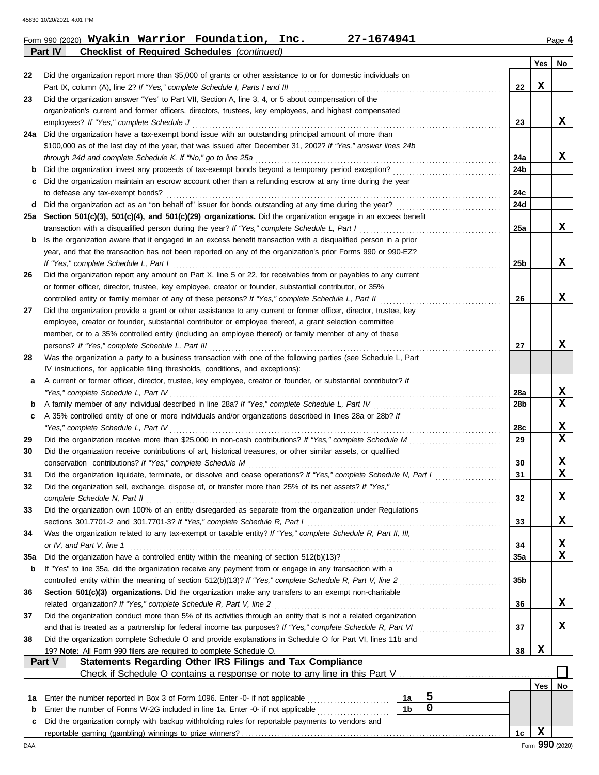|     | <b>Checklist of Required Schedules (continued)</b><br><b>Part IV</b>                                                                                                                              |     |     |                 |
|-----|---------------------------------------------------------------------------------------------------------------------------------------------------------------------------------------------------|-----|-----|-----------------|
|     |                                                                                                                                                                                                   |     | Yes | No              |
| 22  | Did the organization report more than \$5,000 of grants or other assistance to or for domestic individuals on                                                                                     |     |     |                 |
|     | Part IX, column (A), line 2? If "Yes," complete Schedule I, Parts I and III                                                                                                                       | 22  | X   |                 |
| 23  | Did the organization answer "Yes" to Part VII, Section A, line 3, 4, or 5 about compensation of the                                                                                               |     |     |                 |
|     | organization's current and former officers, directors, trustees, key employees, and highest compensated                                                                                           |     |     |                 |
|     | employees? If "Yes," complete Schedule J                                                                                                                                                          | 23  |     | x               |
| 24a | Did the organization have a tax-exempt bond issue with an outstanding principal amount of more than                                                                                               |     |     |                 |
|     | \$100,000 as of the last day of the year, that was issued after December 31, 2002? If "Yes," answer lines 24b                                                                                     |     |     |                 |
|     | through 24d and complete Schedule K. If "No," go to line 25a                                                                                                                                      | 24a |     | x               |
| b   | Did the organization invest any proceeds of tax-exempt bonds beyond a temporary period exception?                                                                                                 | 24b |     |                 |
| c   | Did the organization maintain an escrow account other than a refunding escrow at any time during the year                                                                                         |     |     |                 |
|     | to defease any tax-exempt bonds?                                                                                                                                                                  | 24c |     |                 |
| d   |                                                                                                                                                                                                   | 24d |     |                 |
| 25а | Section 501(c)(3), 501(c)(4), and 501(c)(29) organizations. Did the organization engage in an excess benefit                                                                                      |     |     |                 |
|     | transaction with a disqualified person during the year? If "Yes," complete Schedule L, Part I                                                                                                     | 25a |     | x               |
| b   | Is the organization aware that it engaged in an excess benefit transaction with a disqualified person in a prior                                                                                  |     |     |                 |
|     | year, and that the transaction has not been reported on any of the organization's prior Forms 990 or 990-EZ?                                                                                      |     |     | x               |
|     | If "Yes," complete Schedule L, Part I                                                                                                                                                             | 25b |     |                 |
| 26  | Did the organization report any amount on Part X, line 5 or 22, for receivables from or payables to any current                                                                                   |     |     |                 |
|     | or former officer, director, trustee, key employee, creator or founder, substantial contributor, or 35%                                                                                           |     |     |                 |
|     | controlled entity or family member of any of these persons? If "Yes," complete Schedule L, Part II                                                                                                | 26  |     | X               |
| 27  | Did the organization provide a grant or other assistance to any current or former officer, director, trustee, key                                                                                 |     |     |                 |
|     | employee, creator or founder, substantial contributor or employee thereof, a grant selection committee                                                                                            |     |     |                 |
|     | member, or to a 35% controlled entity (including an employee thereof) or family member of any of these                                                                                            |     |     | x               |
|     | persons? If "Yes," complete Schedule L, Part III                                                                                                                                                  | 27  |     |                 |
| 28  | Was the organization a party to a business transaction with one of the following parties (see Schedule L, Part<br>IV instructions, for applicable filing thresholds, conditions, and exceptions): |     |     |                 |
| а   | A current or former officer, director, trustee, key employee, creator or founder, or substantial contributor? If                                                                                  |     |     |                 |
|     | "Yes," complete Schedule L, Part IV                                                                                                                                                               | 28a |     | X               |
| b   |                                                                                                                                                                                                   | 28b |     | X               |
| c   | A 35% controlled entity of one or more individuals and/or organizations described in lines 28a or 28b? If                                                                                         |     |     |                 |
|     | "Yes," complete Schedule L, Part IV                                                                                                                                                               | 28c |     | X               |
| 29  |                                                                                                                                                                                                   | 29  |     | X               |
| 30  | Did the organization receive contributions of art, historical treasures, or other similar assets, or qualified                                                                                    |     |     |                 |
|     | conservation contributions? If "Yes," complete Schedule M                                                                                                                                         | 30  |     | X               |
| 31  | Did the organization liquidate, terminate, or dissolve and cease operations? If "Yes," complete Schedule N, Part I                                                                                | 31  |     | $\mathbf x$     |
|     | Did the organization sell, exchange, dispose of, or transfer more than 25% of its net assets? If "Yes,"                                                                                           |     |     |                 |
|     | complete Schedule N, Part II                                                                                                                                                                      | 32  |     | X               |
| 33  | Did the organization own 100% of an entity disregarded as separate from the organization under Regulations                                                                                        |     |     |                 |
|     | sections 301.7701-2 and 301.7701-3? If "Yes," complete Schedule R, Part I                                                                                                                         | 33  |     | X               |
| 34  | Was the organization related to any tax-exempt or taxable entity? If "Yes," complete Schedule R, Part II, III,                                                                                    |     |     |                 |
|     | or IV, and Part V, line 1                                                                                                                                                                         | 34  |     | X               |
| 35a |                                                                                                                                                                                                   | 35a |     | x               |
| b   | If "Yes" to line 35a, did the organization receive any payment from or engage in any transaction with a                                                                                           |     |     |                 |
|     | controlled entity within the meaning of section 512(b)(13)? If "Yes," complete Schedule R, Part V, line 2                                                                                         | 35b |     |                 |
| 36  | Section 501(c)(3) organizations. Did the organization make any transfers to an exempt non-charitable                                                                                              |     |     |                 |
|     | related organization? If "Yes," complete Schedule R, Part V, line 2                                                                                                                               | 36  |     | x               |
| 37  | Did the organization conduct more than 5% of its activities through an entity that is not a related organization                                                                                  |     |     |                 |
|     | and that is treated as a partnership for federal income tax purposes? If "Yes," complete Schedule R, Part VI                                                                                      | 37  |     | x               |
| 38  | Did the organization complete Schedule O and provide explanations in Schedule O for Part VI, lines 11b and                                                                                        |     |     |                 |
|     | 19? Note: All Form 990 filers are required to complete Schedule O.                                                                                                                                | 38  | X   |                 |
|     | Statements Regarding Other IRS Filings and Tax Compliance<br>Part V                                                                                                                               |     |     |                 |
|     | Check if Schedule O contains a response or note to any line in this Part V                                                                                                                        |     |     |                 |
|     |                                                                                                                                                                                                   |     | Yes | No              |
| 1a  | 5<br>Enter the number reported in Box 3 of Form 1096. Enter -0- if not applicable<br>1a                                                                                                           |     |     |                 |
| b   | $\mathbf 0$<br>1 <sub>b</sub><br>Enter the number of Forms W-2G included in line 1a. Enter -0- if not applicable                                                                                  |     |     |                 |
| c   | Did the organization comply with backup withholding rules for reportable payments to vendors and                                                                                                  |     |     |                 |
|     |                                                                                                                                                                                                   | 1c  | X   |                 |
| DAA |                                                                                                                                                                                                   |     |     | Form 990 (2020) |

Form 990 (2020) **Wyakin Warrior Foundation, Inc. 27-1674941** Page **4 Wyakin Warrior Foundation, Inc. 27-1674941**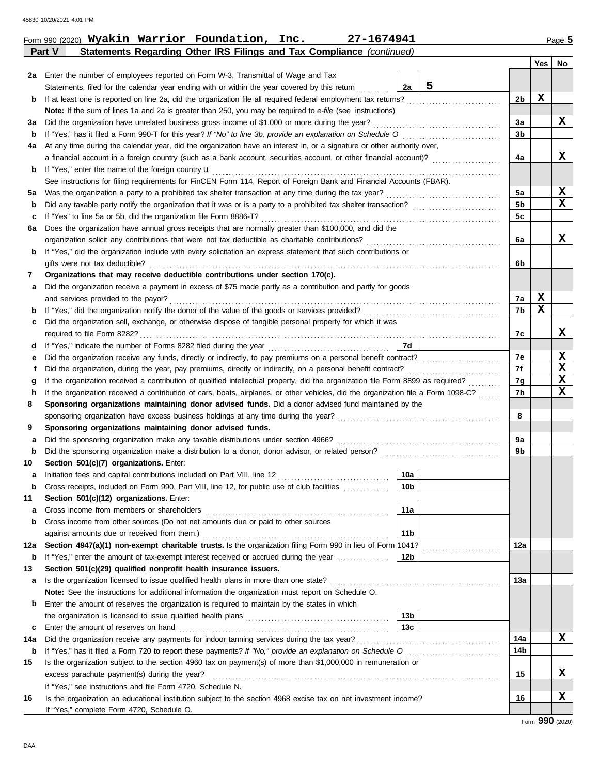|        | 2a Enter the number of employees reported on Form W-3, Transmittal of Wage and Tax                                                                                                                                                                                     |                 |   |          |             |        |
|--------|------------------------------------------------------------------------------------------------------------------------------------------------------------------------------------------------------------------------------------------------------------------------|-----------------|---|----------|-------------|--------|
|        | Statements, filed for the calendar year ending with or within the year covered by this return                                                                                                                                                                          | 2a              | 5 |          |             |        |
| b      | If at least one is reported on line 2a, did the organization file all required federal employment tax returns?                                                                                                                                                         |                 |   | 2b       | X           |        |
|        | Note: If the sum of lines 1a and 2a is greater than 250, you may be required to e-file (see instructions)                                                                                                                                                              |                 |   |          |             |        |
| За     | Did the organization have unrelated business gross income of \$1,000 or more during the year?                                                                                                                                                                          |                 |   | 3a       |             | X      |
| b      | If "Yes," has it filed a Form 990-T for this year? If "No" to line 3b, provide an explanation on Schedule O                                                                                                                                                            |                 |   | 3b       |             |        |
| 4a     | At any time during the calendar year, did the organization have an interest in, or a signature or other authority over,                                                                                                                                                |                 |   |          |             |        |
|        | a financial account in a foreign country (such as a bank account, securities account, or other financial account)?                                                                                                                                                     |                 |   | 4a       |             | x      |
| b      | If "Yes," enter the name of the foreign country $\mathbf u$                                                                                                                                                                                                            |                 |   |          |             |        |
|        | See instructions for filing requirements for FinCEN Form 114, Report of Foreign Bank and Financial Accounts (FBAR).                                                                                                                                                    |                 |   |          |             |        |
| 5а     |                                                                                                                                                                                                                                                                        |                 |   | 5a       |             | X      |
| b      |                                                                                                                                                                                                                                                                        |                 |   | 5b       |             | x      |
| c      | If "Yes" to line 5a or 5b, did the organization file Form 8886-T?                                                                                                                                                                                                      |                 |   | 5c       |             |        |
| 6a     | Does the organization have annual gross receipts that are normally greater than \$100,000, and did the                                                                                                                                                                 |                 |   |          |             |        |
|        | organization solicit any contributions that were not tax deductible as charitable contributions?                                                                                                                                                                       |                 |   | 6a       |             | x      |
| b      | If "Yes," did the organization include with every solicitation an express statement that such contributions or                                                                                                                                                         |                 |   |          |             |        |
|        | gifts were not tax deductible?                                                                                                                                                                                                                                         |                 |   | 6b       |             |        |
| 7      | Organizations that may receive deductible contributions under section 170(c).                                                                                                                                                                                          |                 |   |          |             |        |
| а      | Did the organization receive a payment in excess of \$75 made partly as a contribution and partly for goods                                                                                                                                                            |                 |   |          |             |        |
|        | and services provided to the payor?                                                                                                                                                                                                                                    |                 |   | 7a       | $\mathbf x$ |        |
| b      |                                                                                                                                                                                                                                                                        |                 |   | 7b       | х           |        |
| с      | Did the organization sell, exchange, or otherwise dispose of tangible personal property for which it was                                                                                                                                                               |                 |   |          |             |        |
|        |                                                                                                                                                                                                                                                                        |                 |   | 7c       |             | x      |
| d      |                                                                                                                                                                                                                                                                        | 7d              |   |          |             |        |
| е      |                                                                                                                                                                                                                                                                        |                 |   | 7e       |             | X<br>X |
| f      | Did the organization, during the year, pay premiums, directly or indirectly, on a personal benefit contract?                                                                                                                                                           |                 |   | 7f       |             | х      |
| g      | If the organization received a contribution of qualified intellectual property, did the organization file Form 8899 as required?<br>If the organization received a contribution of cars, boats, airplanes, or other vehicles, did the organization file a Form 1098-C? |                 |   | 7g<br>7h |             | x      |
| h<br>8 | Sponsoring organizations maintaining donor advised funds. Did a donor advised fund maintained by the                                                                                                                                                                   |                 |   |          |             |        |
|        |                                                                                                                                                                                                                                                                        |                 |   | 8        |             |        |
| 9      | Sponsoring organizations maintaining donor advised funds.                                                                                                                                                                                                              |                 |   |          |             |        |
| a      | Did the sponsoring organization make any taxable distributions under section 4966?                                                                                                                                                                                     |                 |   | 9а       |             |        |
| b      |                                                                                                                                                                                                                                                                        |                 |   | 9b       |             |        |
| 10     | Section 501(c)(7) organizations. Enter:                                                                                                                                                                                                                                |                 |   |          |             |        |
| а      | Initiation fees and capital contributions included on Part VIII, line 12                                                                                                                                                                                               | 10a             |   |          |             |        |
| b      | Gross receipts, included on Form 990, Part VIII, line 12, for public use of club facilities                                                                                                                                                                            | 10 <sub>b</sub> |   |          |             |        |
| 11     | Section 501(c)(12) organizations. Enter:                                                                                                                                                                                                                               |                 |   |          |             |        |
|        | Gross income from members or shareholders                                                                                                                                                                                                                              | 11a             |   |          |             |        |
| b      | Gross income from other sources (Do not net amounts due or paid to other sources                                                                                                                                                                                       |                 |   |          |             |        |
|        |                                                                                                                                                                                                                                                                        | 11 <sub>b</sub> |   |          |             |        |
| 12a    | Section 4947(a)(1) non-exempt charitable trusts. Is the organization filing Form 990 in lieu of Form 1041?                                                                                                                                                             |                 |   | 12a      |             |        |
| b      | If "Yes," enter the amount of tax-exempt interest received or accrued during the year                                                                                                                                                                                  | 12b             |   |          |             |        |
| 13     | Section 501(c)(29) qualified nonprofit health insurance issuers.                                                                                                                                                                                                       |                 |   |          |             |        |
| а      | Is the organization licensed to issue qualified health plans in more than one state?                                                                                                                                                                                   |                 |   | 13a      |             |        |
|        | Note: See the instructions for additional information the organization must report on Schedule O.                                                                                                                                                                      |                 |   |          |             |        |
| b      | Enter the amount of reserves the organization is required to maintain by the states in which                                                                                                                                                                           |                 |   |          |             |        |
|        |                                                                                                                                                                                                                                                                        | 13 <sub>b</sub> |   |          |             |        |
| c      | Enter the amount of reserves on hand                                                                                                                                                                                                                                   | 13 <sub>c</sub> |   |          |             |        |
| 14a    | Did the organization receive any payments for indoor tanning services during the tax year?                                                                                                                                                                             |                 |   | 14a      |             | x      |
| b      | If "Yes," has it filed a Form 720 to report these payments? If "No," provide an explanation on Schedule O                                                                                                                                                              |                 |   | 14b      |             |        |
| 15     | Is the organization subject to the section 4960 tax on payment(s) of more than \$1,000,000 in remuneration or                                                                                                                                                          |                 |   |          |             |        |
|        |                                                                                                                                                                                                                                                                        |                 |   |          |             | x      |
|        | excess parachute payment(s) during the year?                                                                                                                                                                                                                           |                 |   | 15       |             |        |
|        | If "Yes," see instructions and file Form 4720, Schedule N.                                                                                                                                                                                                             |                 |   |          |             |        |
| 16     | Is the organization an educational institution subject to the section 4968 excise tax on net investment income?                                                                                                                                                        |                 |   | 16       |             | X      |
|        | If "Yes," complete Form 4720, Schedule O.                                                                                                                                                                                                                              |                 |   |          |             |        |

**Part V Statements Regarding Other IRS Filings and Tax Compliance** *(continued)*

Form 990 (2020) Page **5 Wyakin Warrior Foundation, Inc. 27-1674941**

**Yes No**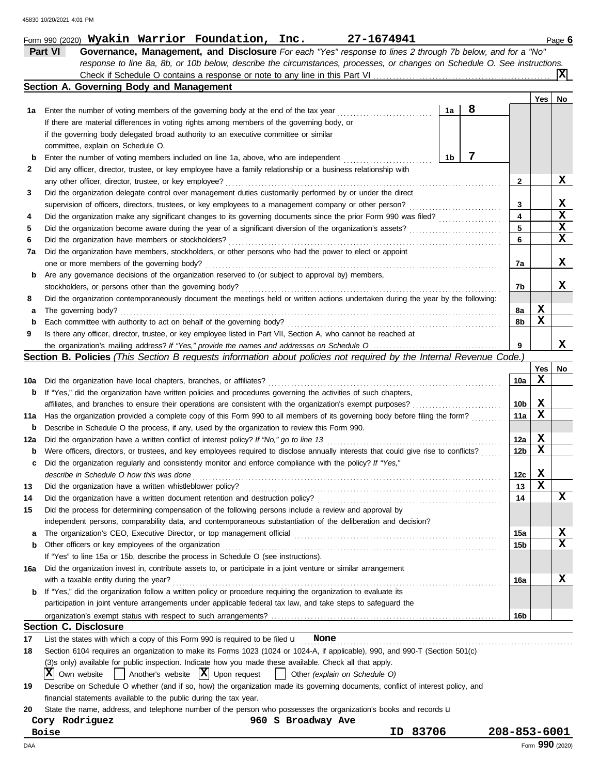|          | Part VI<br>Governance, Management, and Disclosure For each "Yes" response to lines 2 through 7b below, and for a "No"                                                                                                       |              |            |                 |
|----------|-----------------------------------------------------------------------------------------------------------------------------------------------------------------------------------------------------------------------------|--------------|------------|-----------------|
|          | response to line 8a, 8b, or 10b below, describe the circumstances, processes, or changes on Schedule O. See instructions.                                                                                                   |              |            |                 |
|          |                                                                                                                                                                                                                             |              |            | x               |
|          | Section A. Governing Body and Management                                                                                                                                                                                    |              |            |                 |
|          |                                                                                                                                                                                                                             |              | <b>Yes</b> | No              |
| 1а       | 8<br>Enter the number of voting members of the governing body at the end of the tax year<br>1a                                                                                                                              |              |            |                 |
|          | If there are material differences in voting rights among members of the governing body, or                                                                                                                                  |              |            |                 |
|          | if the governing body delegated broad authority to an executive committee or similar                                                                                                                                        |              |            |                 |
|          | committee, explain on Schedule O.                                                                                                                                                                                           |              |            |                 |
| b        | 7<br>1b<br>Enter the number of voting members included on line 1a, above, who are independent                                                                                                                               |              |            |                 |
| 2        | Did any officer, director, trustee, or key employee have a family relationship or a business relationship with                                                                                                              |              |            |                 |
|          | any other officer, director, trustee, or key employee?                                                                                                                                                                      | 2            |            | x               |
| 3        | Did the organization delegate control over management duties customarily performed by or under the direct                                                                                                                   |              |            | X               |
|          | supervision of officers, directors, trustees, or key employees to a management company or other person?                                                                                                                     | 3<br>4       |            | $\mathbf x$     |
| 4<br>5   |                                                                                                                                                                                                                             | 5            |            | X               |
| 6        | Did the organization have members or stockholders?                                                                                                                                                                          | 6            |            | X               |
| 7a       | Did the organization have members, stockholders, or other persons who had the power to elect or appoint                                                                                                                     |              |            |                 |
|          | one or more members of the governing body?                                                                                                                                                                                  | 7a           |            | x               |
| b        | Are any governance decisions of the organization reserved to (or subject to approval by) members,                                                                                                                           |              |            |                 |
|          | stockholders, or persons other than the governing body?                                                                                                                                                                     | 7b           |            | x               |
| 8        | Did the organization contemporaneously document the meetings held or written actions undertaken during the year by the following:                                                                                           |              |            |                 |
| а        | The governing body?                                                                                                                                                                                                         | 8а           | X          |                 |
| b        | Each committee with authority to act on behalf of the governing body?                                                                                                                                                       | 8b           | X          |                 |
| 9        | Is there any officer, director, trustee, or key employee listed in Part VII, Section A, who cannot be reached at                                                                                                            |              |            |                 |
|          |                                                                                                                                                                                                                             | 9            |            | x               |
|          | Section B. Policies (This Section B requests information about policies not required by the Internal Revenue Code.)                                                                                                         |              |            |                 |
|          |                                                                                                                                                                                                                             |              | Yes        | No              |
| 10a      | Did the organization have local chapters, branches, or affiliates?                                                                                                                                                          | 10a          | X          |                 |
| b        | If "Yes," did the organization have written policies and procedures governing the activities of such chapters,                                                                                                              |              |            |                 |
|          | affiliates, and branches to ensure their operations are consistent with the organization's exempt purposes?                                                                                                                 | 10b          | X          |                 |
| 11a      | Has the organization provided a complete copy of this Form 990 to all members of its governing body before filing the form?                                                                                                 | 11a          | X          |                 |
| b        | Describe in Schedule O the process, if any, used by the organization to review this Form 990.                                                                                                                               |              |            |                 |
| 12a      | Did the organization have a written conflict of interest policy? If "No," go to line 13                                                                                                                                     | 12a          | X          |                 |
| b        | Were officers, directors, or trustees, and key employees required to disclose annually interests that could give rise to conflicts?                                                                                         | 12b          | X          |                 |
| c        | Did the organization regularly and consistently monitor and enforce compliance with the policy? If "Yes,"                                                                                                                   |              |            |                 |
|          | describe in Schedule O how this was done                                                                                                                                                                                    | 12c          | X          |                 |
| 13       | Did the organization have a written whistleblower policy?                                                                                                                                                                   | 13           | X          |                 |
| 14       | Did the organization have a written document retention and destruction policy?                                                                                                                                              | 14           |            | X               |
| 15       | Did the process for determining compensation of the following persons include a review and approval by                                                                                                                      |              |            |                 |
|          | independent persons, comparability data, and contemporaneous substantiation of the deliberation and decision?                                                                                                               |              |            |                 |
| а        |                                                                                                                                                                                                                             | 15a          |            | X               |
| b        | Other officers or key employees of the organization                                                                                                                                                                         | 15b          |            | X               |
|          | If "Yes" to line 15a or 15b, describe the process in Schedule O (see instructions).                                                                                                                                         |              |            |                 |
| 16a      | Did the organization invest in, contribute assets to, or participate in a joint venture or similar arrangement                                                                                                              |              |            |                 |
|          | with a taxable entity during the year?                                                                                                                                                                                      | 16a          |            | x               |
| b        | If "Yes," did the organization follow a written policy or procedure requiring the organization to evaluate its                                                                                                              |              |            |                 |
|          | participation in joint venture arrangements under applicable federal tax law, and take steps to safeguard the                                                                                                               |              |            |                 |
|          | <b>Section C. Disclosure</b>                                                                                                                                                                                                | 16b          |            |                 |
|          |                                                                                                                                                                                                                             |              |            |                 |
| 17<br>18 | List the states with which a copy of this Form 990 is required to be filed $\mathbf u$ None<br>Section 6104 requires an organization to make its Forms 1023 (1024 or 1024-A, if applicable), 990, and 990-T (Section 501(c) |              |            |                 |
|          | (3)s only) available for public inspection. Indicate how you made these available. Check all that apply.                                                                                                                    |              |            |                 |
|          | $\vert$ Another's website $\vert X \vert$ Upon request<br>$ X $ Own website<br>Other (explain on Schedule O)<br>$\mathbf{1}$                                                                                                |              |            |                 |
| 19       | Describe on Schedule O whether (and if so, how) the organization made its governing documents, conflict of interest policy, and                                                                                             |              |            |                 |
|          | financial statements available to the public during the tax year.                                                                                                                                                           |              |            |                 |
| 20       | State the name, address, and telephone number of the person who possesses the organization's books and records u                                                                                                            |              |            |                 |
|          | Cory Rodriguez<br>960 S Broadway Ave                                                                                                                                                                                        |              |            |                 |
|          | ID 83706<br>Boise                                                                                                                                                                                                           | 208-853-6001 |            |                 |
| DAA      |                                                                                                                                                                                                                             |              |            | Form 990 (2020) |

Form 990 (2020) **Wyakin Warrior Foundation, Inc. 27-1674941** Page **6 Wyakin Warrior Foundation, Inc. 27-1674941**

|  | ۰. |  |  |  |
|--|----|--|--|--|
|  |    |  |  |  |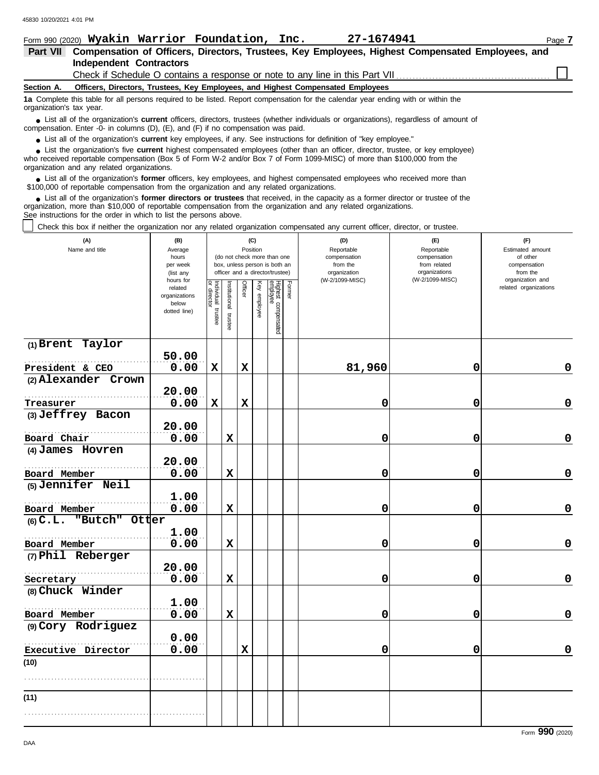| Form 990 (2020) Wyakin Warrior Foundation, Inc.                                                                                                                                                                                                                                                                               |                        |                    |               |                |              |                                                              |        | 27-1674941                                                                      |                                  | Page 7                       |
|-------------------------------------------------------------------------------------------------------------------------------------------------------------------------------------------------------------------------------------------------------------------------------------------------------------------------------|------------------------|--------------------|---------------|----------------|--------------|--------------------------------------------------------------|--------|---------------------------------------------------------------------------------|----------------------------------|------------------------------|
| Part VII Compensation of Officers, Directors, Trustees, Key Employees, Highest Compensated Employees, and                                                                                                                                                                                                                     |                        |                    |               |                |              |                                                              |        |                                                                                 |                                  |                              |
| <b>Independent Contractors</b>                                                                                                                                                                                                                                                                                                |                        |                    |               |                |              |                                                              |        |                                                                                 |                                  |                              |
|                                                                                                                                                                                                                                                                                                                               |                        |                    |               |                |              |                                                              |        | Check if Schedule O contains a response or note to any line in this Part VII.   |                                  |                              |
| Section A.                                                                                                                                                                                                                                                                                                                    |                        |                    |               |                |              |                                                              |        | Officers, Directors, Trustees, Key Employees, and Highest Compensated Employees |                                  |                              |
| 1a Complete this table for all persons required to be listed. Report compensation for the calendar year ending with or within the<br>organization's tax year.                                                                                                                                                                 |                        |                    |               |                |              |                                                              |        |                                                                                 |                                  |                              |
| • List all of the organization's <b>current</b> officers, directors, trustees (whether individuals or organizations), regardless of amount of<br>compensation. Enter -0- in columns (D), (E), and (F) if no compensation was paid.                                                                                            |                        |                    |               |                |              |                                                              |        |                                                                                 |                                  |                              |
| $\bullet$ List all of the organization's <b>current</b> key employees, if any. See instructions for definition of "key employee."                                                                                                                                                                                             |                        |                    |               |                |              |                                                              |        |                                                                                 |                                  |                              |
| • List the organization's five current highest compensated employees (other than an officer, director, trustee, or key employee)<br>who received reportable compensation (Box 5 of Form W-2 and/or Box 7 of Form 1099-MISC) of more than \$100,000 from the<br>organization and any related organizations.                    |                        |                    |               |                |              |                                                              |        |                                                                                 |                                  |                              |
| • List all of the organization's former officers, key employees, and highest compensated employees who received more than<br>\$100,000 of reportable compensation from the organization and any related organizations.                                                                                                        |                        |                    |               |                |              |                                                              |        |                                                                                 |                                  |                              |
| • List all of the organization's former directors or trustees that received, in the capacity as a former director or trustee of the<br>organization, more than \$10,000 of reportable compensation from the organization and any related organizations.<br>See instructions for the order in which to list the persons above. |                        |                    |               |                |              |                                                              |        |                                                                                 |                                  |                              |
| Check this box if neither the organization nor any related organization compensated any current officer, director, or trustee.                                                                                                                                                                                                |                        |                    |               |                |              |                                                              |        |                                                                                 |                                  |                              |
| (A)                                                                                                                                                                                                                                                                                                                           | (B)                    |                    |               |                | (C)          |                                                              |        | (D)                                                                             | (F)                              | (F)                          |
| Name and title                                                                                                                                                                                                                                                                                                                | Average                |                    |               |                | Position     |                                                              |        | Reportable                                                                      | Reportable<br>compensation       | Estimated amount             |
|                                                                                                                                                                                                                                                                                                                               | hours<br>per week      |                    |               |                |              | (do not check more than one<br>box, unless person is both an |        | compensation<br>from the                                                        | from related                     | of other<br>compensation     |
|                                                                                                                                                                                                                                                                                                                               | (list any              |                    |               |                |              | officer and a director/trustee)                              |        | organization<br>(W-2/1099-MISC)                                                 | organizations<br>(W-2/1099-MISC) | from the<br>organization and |
|                                                                                                                                                                                                                                                                                                                               | hours for<br>related   |                    |               | <b>Officer</b> |              |                                                              | Former |                                                                                 |                                  | related organizations        |
|                                                                                                                                                                                                                                                                                                                               | organizations<br>below | director           | Institutional |                |              |                                                              |        |                                                                                 |                                  |                              |
|                                                                                                                                                                                                                                                                                                                               | dotted line)           | Individual trustee |               |                | Key employee |                                                              |        |                                                                                 |                                  |                              |
|                                                                                                                                                                                                                                                                                                                               |                        |                    | trustee       |                |              | Highest compensated<br>employee                              |        |                                                                                 |                                  |                              |
|                                                                                                                                                                                                                                                                                                                               |                        |                    |               |                |              |                                                              |        |                                                                                 |                                  |                              |
| (1) Brent Taylor                                                                                                                                                                                                                                                                                                              |                        |                    |               |                |              |                                                              |        |                                                                                 |                                  |                              |
|                                                                                                                                                                                                                                                                                                                               | 50.00                  |                    |               |                |              |                                                              |        |                                                                                 |                                  |                              |
| President & CEO                                                                                                                                                                                                                                                                                                               | 0.00                   | $\mathbf x$        |               | X              |              |                                                              |        | 81,960                                                                          | 0                                | 0                            |
| (2) Alexander Crown                                                                                                                                                                                                                                                                                                           | 20.00                  |                    |               |                |              |                                                              |        |                                                                                 |                                  |                              |
|                                                                                                                                                                                                                                                                                                                               | 0.00                   | X                  |               | X              |              |                                                              |        | 0                                                                               | 0                                |                              |
| Treasurer<br>(3) Jeffrey Bacon                                                                                                                                                                                                                                                                                                |                        |                    |               |                |              |                                                              |        |                                                                                 |                                  | 0                            |
|                                                                                                                                                                                                                                                                                                                               | 20.00                  |                    |               |                |              |                                                              |        |                                                                                 |                                  |                              |
| Board Chair                                                                                                                                                                                                                                                                                                                   | 0.00                   |                    | х             |                |              |                                                              |        | 0                                                                               | 0                                | 0                            |
| (4) James Hovren                                                                                                                                                                                                                                                                                                              |                        |                    |               |                |              |                                                              |        |                                                                                 |                                  |                              |
|                                                                                                                                                                                                                                                                                                                               | 20.00                  |                    |               |                |              |                                                              |        |                                                                                 |                                  |                              |
| Board Member                                                                                                                                                                                                                                                                                                                  | 0.00                   |                    | X             |                |              |                                                              |        | O                                                                               | O                                | 0                            |
| (5) Jennifer Neil                                                                                                                                                                                                                                                                                                             |                        |                    |               |                |              |                                                              |        |                                                                                 |                                  |                              |
|                                                                                                                                                                                                                                                                                                                               | 1.00                   |                    |               |                |              |                                                              |        |                                                                                 |                                  |                              |
| Board Member                                                                                                                                                                                                                                                                                                                  | 0.00                   |                    | X             |                |              |                                                              |        | 0                                                                               | 0                                | 0                            |
| (6) C.L. "Butch" Otter                                                                                                                                                                                                                                                                                                        |                        |                    |               |                |              |                                                              |        |                                                                                 |                                  |                              |
|                                                                                                                                                                                                                                                                                                                               | 1.00                   |                    |               |                |              |                                                              |        |                                                                                 |                                  |                              |
| Board Member                                                                                                                                                                                                                                                                                                                  | 0.00                   |                    | X             |                |              |                                                              |        | 0                                                                               | 0                                | 0                            |
| (7) Phil Reberger                                                                                                                                                                                                                                                                                                             |                        |                    |               |                |              |                                                              |        |                                                                                 |                                  |                              |
|                                                                                                                                                                                                                                                                                                                               | 20.00                  |                    |               |                |              |                                                              |        |                                                                                 |                                  |                              |
| Secretary                                                                                                                                                                                                                                                                                                                     | 0.00                   |                    | X             |                |              |                                                              |        | 0                                                                               | 0                                | 0                            |
| (8) Chuck Winder                                                                                                                                                                                                                                                                                                              |                        |                    |               |                |              |                                                              |        |                                                                                 |                                  |                              |
|                                                                                                                                                                                                                                                                                                                               | 1.00                   |                    |               |                |              |                                                              |        |                                                                                 |                                  |                              |
| Board Member                                                                                                                                                                                                                                                                                                                  | 0.00                   |                    | X             |                |              |                                                              |        | 0                                                                               | 0                                | 0                            |
| (9) Cory Rodriguez                                                                                                                                                                                                                                                                                                            |                        |                    |               |                |              |                                                              |        |                                                                                 |                                  |                              |
|                                                                                                                                                                                                                                                                                                                               | 0.00                   |                    |               |                |              |                                                              |        |                                                                                 |                                  |                              |
| Executive Director                                                                                                                                                                                                                                                                                                            | 0.00                   |                    |               | X              |              |                                                              |        | 0                                                                               | 0                                | 0                            |

**(10)**

. . . . . . . . . . . . . . . . . . . . . . . . . . . . . . . . . . . . . . . . . . . . . . . . . . . . . . .

. . . . . . . . . . . . . . . . . . . . . . . . . . . . . . . . . . . . . . . . . . . . . . . . . . . . . . .

**(11)**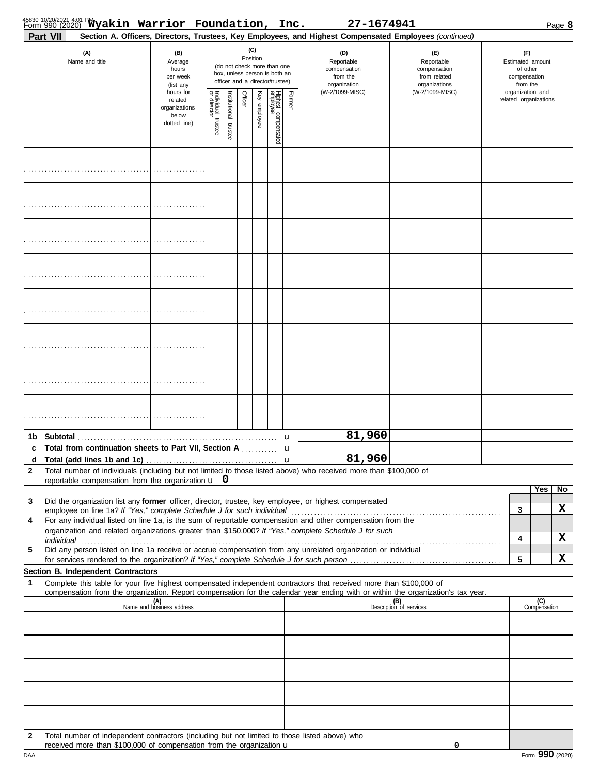|                   |                 | 45830 10/20/2021 4:01 PM<br>Form 990 (20 <u>20)</u> Wyakin Warrior Foundation, Inc.                                                                                   |                                                                |                                   |                          |         |                 |                                                                                                 |              | 27-1674941                                                                                                                                                                                                                                             |                                                                    |                                                                 |                     | Page 8  |
|-------------------|-----------------|-----------------------------------------------------------------------------------------------------------------------------------------------------------------------|----------------------------------------------------------------|-----------------------------------|--------------------------|---------|-----------------|-------------------------------------------------------------------------------------------------|--------------|--------------------------------------------------------------------------------------------------------------------------------------------------------------------------------------------------------------------------------------------------------|--------------------------------------------------------------------|-----------------------------------------------------------------|---------------------|---------|
|                   | <b>Part VII</b> |                                                                                                                                                                       |                                                                |                                   |                          |         |                 |                                                                                                 |              | Section A. Officers, Directors, Trustees, Key Employees, and Highest Compensated Employees (continued)                                                                                                                                                 |                                                                    |                                                                 |                     |         |
|                   |                 | (A)<br>Name and title                                                                                                                                                 | (B)<br>Average<br>hours<br>per week<br>(list any               |                                   |                          |         | (C)<br>Position | (do not check more than one<br>box, unless person is both an<br>officer and a director/trustee) |              | (D)<br>Reportable<br>compensation<br>from the<br>organization                                                                                                                                                                                          | (E)<br>Reportable<br>compensation<br>from related<br>organizations | (F)<br>Estimated amount<br>of other<br>compensation<br>from the |                     |         |
|                   |                 |                                                                                                                                                                       | hours for<br>related<br>organizations<br>below<br>dotted line) | Individual trustee<br>or director | Institutional<br>trustee | Officer | Key employee    | Highest compensated<br>employee                                                                 | Former       | (W-2/1099-MISC)                                                                                                                                                                                                                                        | (W-2/1099-MISC)                                                    | organization and<br>related organizations                       |                     |         |
|                   |                 |                                                                                                                                                                       |                                                                |                                   |                          |         |                 |                                                                                                 |              |                                                                                                                                                                                                                                                        |                                                                    |                                                                 |                     |         |
|                   |                 |                                                                                                                                                                       |                                                                |                                   |                          |         |                 |                                                                                                 |              |                                                                                                                                                                                                                                                        |                                                                    |                                                                 |                     |         |
|                   |                 |                                                                                                                                                                       |                                                                |                                   |                          |         |                 |                                                                                                 |              |                                                                                                                                                                                                                                                        |                                                                    |                                                                 |                     |         |
|                   |                 |                                                                                                                                                                       |                                                                |                                   |                          |         |                 |                                                                                                 |              |                                                                                                                                                                                                                                                        |                                                                    |                                                                 |                     |         |
|                   |                 |                                                                                                                                                                       |                                                                |                                   |                          |         |                 |                                                                                                 |              |                                                                                                                                                                                                                                                        |                                                                    |                                                                 |                     |         |
|                   |                 |                                                                                                                                                                       |                                                                |                                   |                          |         |                 |                                                                                                 |              |                                                                                                                                                                                                                                                        |                                                                    |                                                                 |                     |         |
|                   |                 |                                                                                                                                                                       |                                                                |                                   |                          |         |                 |                                                                                                 |              |                                                                                                                                                                                                                                                        |                                                                    |                                                                 |                     |         |
|                   |                 |                                                                                                                                                                       |                                                                |                                   |                          |         |                 |                                                                                                 |              |                                                                                                                                                                                                                                                        |                                                                    |                                                                 |                     |         |
| c                 |                 | Total from continuation sheets to Part VII, Section A                                                                                                                 |                                                                |                                   |                          |         |                 |                                                                                                 | u<br>u       | 81,960<br>81,960                                                                                                                                                                                                                                       |                                                                    |                                                                 |                     |         |
| d<br>$\mathbf{2}$ |                 | reportable compensation from the organization $\mathbf{u}$ 0                                                                                                          |                                                                |                                   |                          |         |                 |                                                                                                 | $\mathbf{u}$ | Total number of individuals (including but not limited to those listed above) who received more than \$100,000 of                                                                                                                                      |                                                                    |                                                                 |                     |         |
| 3                 |                 |                                                                                                                                                                       |                                                                |                                   |                          |         |                 |                                                                                                 |              | Did the organization list any former officer, director, trustee, key employee, or highest compensated                                                                                                                                                  |                                                                    | 3                                                               | Yes                 | No<br>х |
| 4                 | individual      | employee on line 1a? If "Yes," complete Schedule J for such individual                                                                                                |                                                                |                                   |                          |         |                 |                                                                                                 |              | For any individual listed on line 1a, is the sum of reportable compensation and other compensation from the<br>organization and related organizations greater than \$150,000? If "Yes," complete Schedule J for such                                   |                                                                    | 4                                                               |                     | x       |
| 5                 |                 |                                                                                                                                                                       |                                                                |                                   |                          |         |                 |                                                                                                 |              | Did any person listed on line 1a receive or accrue compensation from any unrelated organization or individual                                                                                                                                          |                                                                    | 5                                                               |                     | x       |
|                   |                 | Section B. Independent Contractors                                                                                                                                    |                                                                |                                   |                          |         |                 |                                                                                                 |              |                                                                                                                                                                                                                                                        |                                                                    |                                                                 |                     |         |
| 1                 |                 |                                                                                                                                                                       |                                                                |                                   |                          |         |                 |                                                                                                 |              | Complete this table for your five highest compensated independent contractors that received more than \$100,000 of<br>compensation from the organization. Report compensation for the calendar year ending with or within the organization's tax year. |                                                                    |                                                                 |                     |         |
|                   |                 |                                                                                                                                                                       | (A)<br>Name and business address                               |                                   |                          |         |                 |                                                                                                 |              |                                                                                                                                                                                                                                                        | (B)<br>Description of services                                     |                                                                 | (C)<br>Compensation |         |
|                   |                 |                                                                                                                                                                       |                                                                |                                   |                          |         |                 |                                                                                                 |              |                                                                                                                                                                                                                                                        |                                                                    |                                                                 |                     |         |
|                   |                 |                                                                                                                                                                       |                                                                |                                   |                          |         |                 |                                                                                                 |              |                                                                                                                                                                                                                                                        |                                                                    |                                                                 |                     |         |
|                   |                 |                                                                                                                                                                       |                                                                |                                   |                          |         |                 |                                                                                                 |              |                                                                                                                                                                                                                                                        |                                                                    |                                                                 |                     |         |
|                   |                 |                                                                                                                                                                       |                                                                |                                   |                          |         |                 |                                                                                                 |              |                                                                                                                                                                                                                                                        |                                                                    |                                                                 |                     |         |
| $\mathbf{2}$      |                 | Total number of independent contractors (including but not limited to those listed above) who<br>received more than \$100,000 of compensation from the organization u |                                                                |                                   |                          |         |                 |                                                                                                 |              |                                                                                                                                                                                                                                                        | 0                                                                  |                                                                 |                     |         |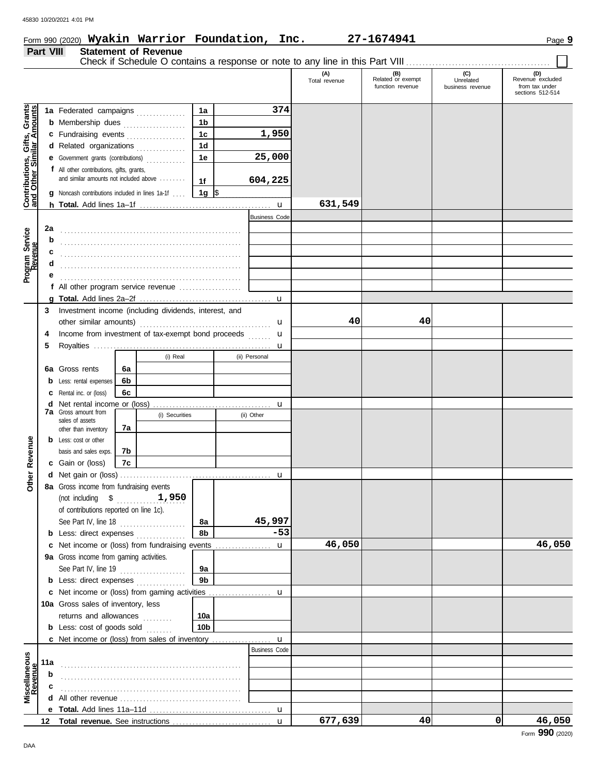### Form 990 (2020) **Wyakin Warrior Foundation, Inc. 27-1674941** Page **9 Wyakin Warrior Foundation, Inc. 27-1674941**

## **Part VIII Statement of Revenue**

| -VIII | Statement or Revenue                                                          |  |
|-------|-------------------------------------------------------------------------------|--|
|       | Check if Schedule O contains a response or note to any line in this Part VIII |  |

| Contributions, Gifts, Grants<br>and Other Similar Amounts<br>374<br>1a<br>1a Federated campaigns<br>1 <sub>b</sub><br><b>b</b> Membership dues<br>.<br>1,950<br>1 <sub>c</sub><br>c Fundraising events<br>1 <sub>d</sub><br>d Related organizations<br>.<br>25,000<br>1e<br>Government grants (contributions)<br>е<br>f All other contributions, gifts, grants,<br>and similar amounts not included above<br>604,225<br>1f<br>1g $\sqrt{3}$<br>Noncash contributions included in lines 1a-1f<br>631,549<br><b>Business Code</b><br>2a<br>b<br>c<br>е<br>f All other program service revenue<br>Investment income (including dividends, interest, and<br>3<br>40<br>40<br>u<br>Income from investment of tax-exempt bond proceeds<br>4<br>u<br>5<br>(i) Real<br>(ii) Personal<br>Gross rents<br>6a<br>6а<br>6b<br>Less: rental expenses<br>b<br>6c<br>Rental inc. or (loss)<br>с<br>Net rental income or (loss)<br>d<br>u<br><b>7a</b> Gross amount from<br>(i) Securities<br>(ii) Other<br>sales of assets<br>7a<br>other than inventory<br>Revenue<br>Less: cost or other<br>b<br>basis and sales exps.<br>7b<br><b>c</b> Gain or (loss)<br>7с<br>Other<br>d<br>u<br>8a Gross income from fundraising events<br>1,950<br>(not including $\$$<br>of contributions reported on line 1c).<br>45,997<br>See Part IV, line 18<br>8a<br>.<br>8b<br>$-53$<br><b>b</b> Less: direct expenses<br>46,050<br>46,050<br>Net income or (loss) from fundraising events<br>$\mathbf u$<br>c<br>9a Gross income from gaming activities.<br>See Part IV, line 19<br>9a<br>.<br>9 <sub>b</sub><br><b>b</b> Less: direct expenses <i>minimum</i><br>c<br>10a Gross sales of inventory, less<br>returns and allowances<br>10a<br>.<br><b>b</b> Less: cost of goods sold<br>10 <sub>b</sub><br><b>Business Code</b><br>11a<br>b<br>All other revenue <i>communication</i> and the communication of the contract of the contract of the contract of the contract of the contract of the contract of the contract of the contract of the contract of the contract of the<br>d<br>е<br>677,639<br>40<br>0<br>46,050<br>12 |  |  |  |  | (A)<br>Total revenue | (B)<br>Related or exempt<br>function revenue | (C)<br>Unrelated<br>business revenue | (D)<br>Revenue excluded<br>from tax under<br>sections 512-514 |
|----------------------------------------------------------------------------------------------------------------------------------------------------------------------------------------------------------------------------------------------------------------------------------------------------------------------------------------------------------------------------------------------------------------------------------------------------------------------------------------------------------------------------------------------------------------------------------------------------------------------------------------------------------------------------------------------------------------------------------------------------------------------------------------------------------------------------------------------------------------------------------------------------------------------------------------------------------------------------------------------------------------------------------------------------------------------------------------------------------------------------------------------------------------------------------------------------------------------------------------------------------------------------------------------------------------------------------------------------------------------------------------------------------------------------------------------------------------------------------------------------------------------------------------------------------------------------------------------------------------------------------------------------------------------------------------------------------------------------------------------------------------------------------------------------------------------------------------------------------------------------------------------------------------------------------------------------------------------------------------------------------------------------------------------------------------------------------------------------|--|--|--|--|----------------------|----------------------------------------------|--------------------------------------|---------------------------------------------------------------|
| Miscellaneous<br>Revenue                                                                                                                                                                                                                                                                                                                                                                                                                                                                                                                                                                                                                                                                                                                                                                                                                                                                                                                                                                                                                                                                                                                                                                                                                                                                                                                                                                                                                                                                                                                                                                                                                                                                                                                                                                                                                                                                                                                                                                                                                                                                           |  |  |  |  |                      |                                              |                                      |                                                               |
|                                                                                                                                                                                                                                                                                                                                                                                                                                                                                                                                                                                                                                                                                                                                                                                                                                                                                                                                                                                                                                                                                                                                                                                                                                                                                                                                                                                                                                                                                                                                                                                                                                                                                                                                                                                                                                                                                                                                                                                                                                                                                                    |  |  |  |  |                      |                                              |                                      |                                                               |
| Program Service<br>Revenue                                                                                                                                                                                                                                                                                                                                                                                                                                                                                                                                                                                                                                                                                                                                                                                                                                                                                                                                                                                                                                                                                                                                                                                                                                                                                                                                                                                                                                                                                                                                                                                                                                                                                                                                                                                                                                                                                                                                                                                                                                                                         |  |  |  |  |                      |                                              |                                      |                                                               |
|                                                                                                                                                                                                                                                                                                                                                                                                                                                                                                                                                                                                                                                                                                                                                                                                                                                                                                                                                                                                                                                                                                                                                                                                                                                                                                                                                                                                                                                                                                                                                                                                                                                                                                                                                                                                                                                                                                                                                                                                                                                                                                    |  |  |  |  |                      |                                              |                                      |                                                               |
|                                                                                                                                                                                                                                                                                                                                                                                                                                                                                                                                                                                                                                                                                                                                                                                                                                                                                                                                                                                                                                                                                                                                                                                                                                                                                                                                                                                                                                                                                                                                                                                                                                                                                                                                                                                                                                                                                                                                                                                                                                                                                                    |  |  |  |  |                      |                                              |                                      |                                                               |
|                                                                                                                                                                                                                                                                                                                                                                                                                                                                                                                                                                                                                                                                                                                                                                                                                                                                                                                                                                                                                                                                                                                                                                                                                                                                                                                                                                                                                                                                                                                                                                                                                                                                                                                                                                                                                                                                                                                                                                                                                                                                                                    |  |  |  |  |                      |                                              |                                      |                                                               |
|                                                                                                                                                                                                                                                                                                                                                                                                                                                                                                                                                                                                                                                                                                                                                                                                                                                                                                                                                                                                                                                                                                                                                                                                                                                                                                                                                                                                                                                                                                                                                                                                                                                                                                                                                                                                                                                                                                                                                                                                                                                                                                    |  |  |  |  |                      |                                              |                                      |                                                               |
|                                                                                                                                                                                                                                                                                                                                                                                                                                                                                                                                                                                                                                                                                                                                                                                                                                                                                                                                                                                                                                                                                                                                                                                                                                                                                                                                                                                                                                                                                                                                                                                                                                                                                                                                                                                                                                                                                                                                                                                                                                                                                                    |  |  |  |  |                      |                                              |                                      |                                                               |
|                                                                                                                                                                                                                                                                                                                                                                                                                                                                                                                                                                                                                                                                                                                                                                                                                                                                                                                                                                                                                                                                                                                                                                                                                                                                                                                                                                                                                                                                                                                                                                                                                                                                                                                                                                                                                                                                                                                                                                                                                                                                                                    |  |  |  |  |                      |                                              |                                      |                                                               |
|                                                                                                                                                                                                                                                                                                                                                                                                                                                                                                                                                                                                                                                                                                                                                                                                                                                                                                                                                                                                                                                                                                                                                                                                                                                                                                                                                                                                                                                                                                                                                                                                                                                                                                                                                                                                                                                                                                                                                                                                                                                                                                    |  |  |  |  |                      |                                              |                                      |                                                               |
|                                                                                                                                                                                                                                                                                                                                                                                                                                                                                                                                                                                                                                                                                                                                                                                                                                                                                                                                                                                                                                                                                                                                                                                                                                                                                                                                                                                                                                                                                                                                                                                                                                                                                                                                                                                                                                                                                                                                                                                                                                                                                                    |  |  |  |  |                      |                                              |                                      |                                                               |
|                                                                                                                                                                                                                                                                                                                                                                                                                                                                                                                                                                                                                                                                                                                                                                                                                                                                                                                                                                                                                                                                                                                                                                                                                                                                                                                                                                                                                                                                                                                                                                                                                                                                                                                                                                                                                                                                                                                                                                                                                                                                                                    |  |  |  |  |                      |                                              |                                      |                                                               |
|                                                                                                                                                                                                                                                                                                                                                                                                                                                                                                                                                                                                                                                                                                                                                                                                                                                                                                                                                                                                                                                                                                                                                                                                                                                                                                                                                                                                                                                                                                                                                                                                                                                                                                                                                                                                                                                                                                                                                                                                                                                                                                    |  |  |  |  |                      |                                              |                                      |                                                               |
|                                                                                                                                                                                                                                                                                                                                                                                                                                                                                                                                                                                                                                                                                                                                                                                                                                                                                                                                                                                                                                                                                                                                                                                                                                                                                                                                                                                                                                                                                                                                                                                                                                                                                                                                                                                                                                                                                                                                                                                                                                                                                                    |  |  |  |  |                      |                                              |                                      |                                                               |
|                                                                                                                                                                                                                                                                                                                                                                                                                                                                                                                                                                                                                                                                                                                                                                                                                                                                                                                                                                                                                                                                                                                                                                                                                                                                                                                                                                                                                                                                                                                                                                                                                                                                                                                                                                                                                                                                                                                                                                                                                                                                                                    |  |  |  |  |                      |                                              |                                      |                                                               |
|                                                                                                                                                                                                                                                                                                                                                                                                                                                                                                                                                                                                                                                                                                                                                                                                                                                                                                                                                                                                                                                                                                                                                                                                                                                                                                                                                                                                                                                                                                                                                                                                                                                                                                                                                                                                                                                                                                                                                                                                                                                                                                    |  |  |  |  |                      |                                              |                                      |                                                               |
|                                                                                                                                                                                                                                                                                                                                                                                                                                                                                                                                                                                                                                                                                                                                                                                                                                                                                                                                                                                                                                                                                                                                                                                                                                                                                                                                                                                                                                                                                                                                                                                                                                                                                                                                                                                                                                                                                                                                                                                                                                                                                                    |  |  |  |  |                      |                                              |                                      |                                                               |
|                                                                                                                                                                                                                                                                                                                                                                                                                                                                                                                                                                                                                                                                                                                                                                                                                                                                                                                                                                                                                                                                                                                                                                                                                                                                                                                                                                                                                                                                                                                                                                                                                                                                                                                                                                                                                                                                                                                                                                                                                                                                                                    |  |  |  |  |                      |                                              |                                      |                                                               |
|                                                                                                                                                                                                                                                                                                                                                                                                                                                                                                                                                                                                                                                                                                                                                                                                                                                                                                                                                                                                                                                                                                                                                                                                                                                                                                                                                                                                                                                                                                                                                                                                                                                                                                                                                                                                                                                                                                                                                                                                                                                                                                    |  |  |  |  |                      |                                              |                                      |                                                               |
|                                                                                                                                                                                                                                                                                                                                                                                                                                                                                                                                                                                                                                                                                                                                                                                                                                                                                                                                                                                                                                                                                                                                                                                                                                                                                                                                                                                                                                                                                                                                                                                                                                                                                                                                                                                                                                                                                                                                                                                                                                                                                                    |  |  |  |  |                      |                                              |                                      |                                                               |
|                                                                                                                                                                                                                                                                                                                                                                                                                                                                                                                                                                                                                                                                                                                                                                                                                                                                                                                                                                                                                                                                                                                                                                                                                                                                                                                                                                                                                                                                                                                                                                                                                                                                                                                                                                                                                                                                                                                                                                                                                                                                                                    |  |  |  |  |                      |                                              |                                      |                                                               |
|                                                                                                                                                                                                                                                                                                                                                                                                                                                                                                                                                                                                                                                                                                                                                                                                                                                                                                                                                                                                                                                                                                                                                                                                                                                                                                                                                                                                                                                                                                                                                                                                                                                                                                                                                                                                                                                                                                                                                                                                                                                                                                    |  |  |  |  |                      |                                              |                                      |                                                               |
|                                                                                                                                                                                                                                                                                                                                                                                                                                                                                                                                                                                                                                                                                                                                                                                                                                                                                                                                                                                                                                                                                                                                                                                                                                                                                                                                                                                                                                                                                                                                                                                                                                                                                                                                                                                                                                                                                                                                                                                                                                                                                                    |  |  |  |  |                      |                                              |                                      |                                                               |
|                                                                                                                                                                                                                                                                                                                                                                                                                                                                                                                                                                                                                                                                                                                                                                                                                                                                                                                                                                                                                                                                                                                                                                                                                                                                                                                                                                                                                                                                                                                                                                                                                                                                                                                                                                                                                                                                                                                                                                                                                                                                                                    |  |  |  |  |                      |                                              |                                      |                                                               |
|                                                                                                                                                                                                                                                                                                                                                                                                                                                                                                                                                                                                                                                                                                                                                                                                                                                                                                                                                                                                                                                                                                                                                                                                                                                                                                                                                                                                                                                                                                                                                                                                                                                                                                                                                                                                                                                                                                                                                                                                                                                                                                    |  |  |  |  |                      |                                              |                                      |                                                               |
|                                                                                                                                                                                                                                                                                                                                                                                                                                                                                                                                                                                                                                                                                                                                                                                                                                                                                                                                                                                                                                                                                                                                                                                                                                                                                                                                                                                                                                                                                                                                                                                                                                                                                                                                                                                                                                                                                                                                                                                                                                                                                                    |  |  |  |  |                      |                                              |                                      |                                                               |
|                                                                                                                                                                                                                                                                                                                                                                                                                                                                                                                                                                                                                                                                                                                                                                                                                                                                                                                                                                                                                                                                                                                                                                                                                                                                                                                                                                                                                                                                                                                                                                                                                                                                                                                                                                                                                                                                                                                                                                                                                                                                                                    |  |  |  |  |                      |                                              |                                      |                                                               |
|                                                                                                                                                                                                                                                                                                                                                                                                                                                                                                                                                                                                                                                                                                                                                                                                                                                                                                                                                                                                                                                                                                                                                                                                                                                                                                                                                                                                                                                                                                                                                                                                                                                                                                                                                                                                                                                                                                                                                                                                                                                                                                    |  |  |  |  |                      |                                              |                                      |                                                               |
|                                                                                                                                                                                                                                                                                                                                                                                                                                                                                                                                                                                                                                                                                                                                                                                                                                                                                                                                                                                                                                                                                                                                                                                                                                                                                                                                                                                                                                                                                                                                                                                                                                                                                                                                                                                                                                                                                                                                                                                                                                                                                                    |  |  |  |  |                      |                                              |                                      |                                                               |
|                                                                                                                                                                                                                                                                                                                                                                                                                                                                                                                                                                                                                                                                                                                                                                                                                                                                                                                                                                                                                                                                                                                                                                                                                                                                                                                                                                                                                                                                                                                                                                                                                                                                                                                                                                                                                                                                                                                                                                                                                                                                                                    |  |  |  |  |                      |                                              |                                      |                                                               |
|                                                                                                                                                                                                                                                                                                                                                                                                                                                                                                                                                                                                                                                                                                                                                                                                                                                                                                                                                                                                                                                                                                                                                                                                                                                                                                                                                                                                                                                                                                                                                                                                                                                                                                                                                                                                                                                                                                                                                                                                                                                                                                    |  |  |  |  |                      |                                              |                                      |                                                               |
|                                                                                                                                                                                                                                                                                                                                                                                                                                                                                                                                                                                                                                                                                                                                                                                                                                                                                                                                                                                                                                                                                                                                                                                                                                                                                                                                                                                                                                                                                                                                                                                                                                                                                                                                                                                                                                                                                                                                                                                                                                                                                                    |  |  |  |  |                      |                                              |                                      |                                                               |
|                                                                                                                                                                                                                                                                                                                                                                                                                                                                                                                                                                                                                                                                                                                                                                                                                                                                                                                                                                                                                                                                                                                                                                                                                                                                                                                                                                                                                                                                                                                                                                                                                                                                                                                                                                                                                                                                                                                                                                                                                                                                                                    |  |  |  |  |                      |                                              |                                      |                                                               |
|                                                                                                                                                                                                                                                                                                                                                                                                                                                                                                                                                                                                                                                                                                                                                                                                                                                                                                                                                                                                                                                                                                                                                                                                                                                                                                                                                                                                                                                                                                                                                                                                                                                                                                                                                                                                                                                                                                                                                                                                                                                                                                    |  |  |  |  |                      |                                              |                                      |                                                               |
|                                                                                                                                                                                                                                                                                                                                                                                                                                                                                                                                                                                                                                                                                                                                                                                                                                                                                                                                                                                                                                                                                                                                                                                                                                                                                                                                                                                                                                                                                                                                                                                                                                                                                                                                                                                                                                                                                                                                                                                                                                                                                                    |  |  |  |  |                      |                                              |                                      |                                                               |
|                                                                                                                                                                                                                                                                                                                                                                                                                                                                                                                                                                                                                                                                                                                                                                                                                                                                                                                                                                                                                                                                                                                                                                                                                                                                                                                                                                                                                                                                                                                                                                                                                                                                                                                                                                                                                                                                                                                                                                                                                                                                                                    |  |  |  |  |                      |                                              |                                      |                                                               |
|                                                                                                                                                                                                                                                                                                                                                                                                                                                                                                                                                                                                                                                                                                                                                                                                                                                                                                                                                                                                                                                                                                                                                                                                                                                                                                                                                                                                                                                                                                                                                                                                                                                                                                                                                                                                                                                                                                                                                                                                                                                                                                    |  |  |  |  |                      |                                              |                                      |                                                               |
|                                                                                                                                                                                                                                                                                                                                                                                                                                                                                                                                                                                                                                                                                                                                                                                                                                                                                                                                                                                                                                                                                                                                                                                                                                                                                                                                                                                                                                                                                                                                                                                                                                                                                                                                                                                                                                                                                                                                                                                                                                                                                                    |  |  |  |  |                      |                                              |                                      |                                                               |
|                                                                                                                                                                                                                                                                                                                                                                                                                                                                                                                                                                                                                                                                                                                                                                                                                                                                                                                                                                                                                                                                                                                                                                                                                                                                                                                                                                                                                                                                                                                                                                                                                                                                                                                                                                                                                                                                                                                                                                                                                                                                                                    |  |  |  |  |                      |                                              |                                      |                                                               |
|                                                                                                                                                                                                                                                                                                                                                                                                                                                                                                                                                                                                                                                                                                                                                                                                                                                                                                                                                                                                                                                                                                                                                                                                                                                                                                                                                                                                                                                                                                                                                                                                                                                                                                                                                                                                                                                                                                                                                                                                                                                                                                    |  |  |  |  |                      |                                              |                                      |                                                               |
|                                                                                                                                                                                                                                                                                                                                                                                                                                                                                                                                                                                                                                                                                                                                                                                                                                                                                                                                                                                                                                                                                                                                                                                                                                                                                                                                                                                                                                                                                                                                                                                                                                                                                                                                                                                                                                                                                                                                                                                                                                                                                                    |  |  |  |  |                      |                                              |                                      |                                                               |
|                                                                                                                                                                                                                                                                                                                                                                                                                                                                                                                                                                                                                                                                                                                                                                                                                                                                                                                                                                                                                                                                                                                                                                                                                                                                                                                                                                                                                                                                                                                                                                                                                                                                                                                                                                                                                                                                                                                                                                                                                                                                                                    |  |  |  |  |                      |                                              |                                      |                                                               |
|                                                                                                                                                                                                                                                                                                                                                                                                                                                                                                                                                                                                                                                                                                                                                                                                                                                                                                                                                                                                                                                                                                                                                                                                                                                                                                                                                                                                                                                                                                                                                                                                                                                                                                                                                                                                                                                                                                                                                                                                                                                                                                    |  |  |  |  |                      |                                              |                                      |                                                               |
|                                                                                                                                                                                                                                                                                                                                                                                                                                                                                                                                                                                                                                                                                                                                                                                                                                                                                                                                                                                                                                                                                                                                                                                                                                                                                                                                                                                                                                                                                                                                                                                                                                                                                                                                                                                                                                                                                                                                                                                                                                                                                                    |  |  |  |  |                      |                                              |                                      |                                                               |
|                                                                                                                                                                                                                                                                                                                                                                                                                                                                                                                                                                                                                                                                                                                                                                                                                                                                                                                                                                                                                                                                                                                                                                                                                                                                                                                                                                                                                                                                                                                                                                                                                                                                                                                                                                                                                                                                                                                                                                                                                                                                                                    |  |  |  |  |                      |                                              |                                      |                                                               |
|                                                                                                                                                                                                                                                                                                                                                                                                                                                                                                                                                                                                                                                                                                                                                                                                                                                                                                                                                                                                                                                                                                                                                                                                                                                                                                                                                                                                                                                                                                                                                                                                                                                                                                                                                                                                                                                                                                                                                                                                                                                                                                    |  |  |  |  |                      |                                              |                                      |                                                               |
|                                                                                                                                                                                                                                                                                                                                                                                                                                                                                                                                                                                                                                                                                                                                                                                                                                                                                                                                                                                                                                                                                                                                                                                                                                                                                                                                                                                                                                                                                                                                                                                                                                                                                                                                                                                                                                                                                                                                                                                                                                                                                                    |  |  |  |  |                      |                                              |                                      |                                                               |
|                                                                                                                                                                                                                                                                                                                                                                                                                                                                                                                                                                                                                                                                                                                                                                                                                                                                                                                                                                                                                                                                                                                                                                                                                                                                                                                                                                                                                                                                                                                                                                                                                                                                                                                                                                                                                                                                                                                                                                                                                                                                                                    |  |  |  |  |                      |                                              |                                      |                                                               |
|                                                                                                                                                                                                                                                                                                                                                                                                                                                                                                                                                                                                                                                                                                                                                                                                                                                                                                                                                                                                                                                                                                                                                                                                                                                                                                                                                                                                                                                                                                                                                                                                                                                                                                                                                                                                                                                                                                                                                                                                                                                                                                    |  |  |  |  |                      |                                              |                                      |                                                               |
|                                                                                                                                                                                                                                                                                                                                                                                                                                                                                                                                                                                                                                                                                                                                                                                                                                                                                                                                                                                                                                                                                                                                                                                                                                                                                                                                                                                                                                                                                                                                                                                                                                                                                                                                                                                                                                                                                                                                                                                                                                                                                                    |  |  |  |  |                      |                                              |                                      |                                                               |
|                                                                                                                                                                                                                                                                                                                                                                                                                                                                                                                                                                                                                                                                                                                                                                                                                                                                                                                                                                                                                                                                                                                                                                                                                                                                                                                                                                                                                                                                                                                                                                                                                                                                                                                                                                                                                                                                                                                                                                                                                                                                                                    |  |  |  |  |                      |                                              |                                      |                                                               |
|                                                                                                                                                                                                                                                                                                                                                                                                                                                                                                                                                                                                                                                                                                                                                                                                                                                                                                                                                                                                                                                                                                                                                                                                                                                                                                                                                                                                                                                                                                                                                                                                                                                                                                                                                                                                                                                                                                                                                                                                                                                                                                    |  |  |  |  |                      |                                              |                                      |                                                               |
|                                                                                                                                                                                                                                                                                                                                                                                                                                                                                                                                                                                                                                                                                                                                                                                                                                                                                                                                                                                                                                                                                                                                                                                                                                                                                                                                                                                                                                                                                                                                                                                                                                                                                                                                                                                                                                                                                                                                                                                                                                                                                                    |  |  |  |  |                      |                                              |                                      |                                                               |
|                                                                                                                                                                                                                                                                                                                                                                                                                                                                                                                                                                                                                                                                                                                                                                                                                                                                                                                                                                                                                                                                                                                                                                                                                                                                                                                                                                                                                                                                                                                                                                                                                                                                                                                                                                                                                                                                                                                                                                                                                                                                                                    |  |  |  |  |                      |                                              |                                      |                                                               |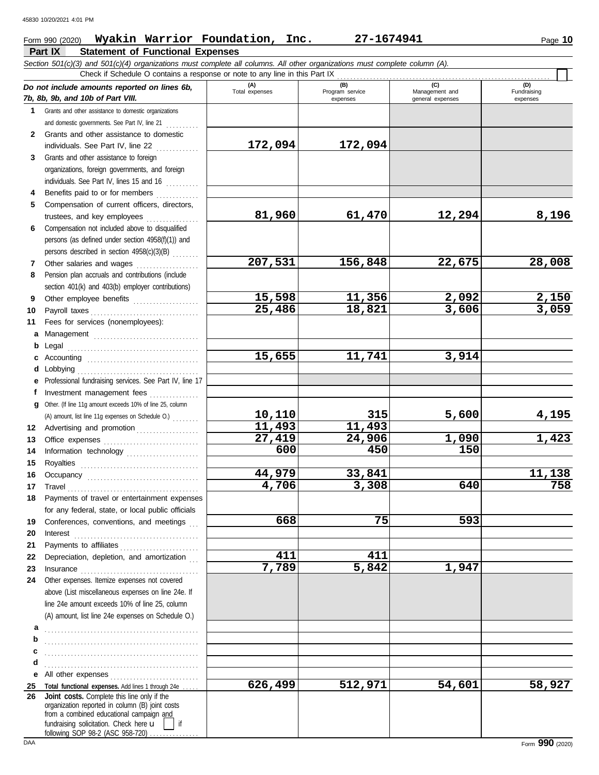## Form 990 (2020) Page **10 Wyakin Warrior Foundation, Inc. 27-1674941**

| Section 501(c)(3) and 501(c)(4) organizations must complete all columns. All other organizations must complete column (A).<br>Check if Schedule O contains a response or note to any line in this Part IX<br>(A)<br>(C)<br>(B)<br>(D)<br>Do not include amounts reported on lines 6b,<br>Total expenses<br>Program service<br>Fundraising<br>Management and<br>7b, 8b, 9b, and 10b of Part VIII.<br>expenses<br>general expenses<br>expenses<br>Grants and other assistance to domestic organizations<br>1.<br>and domestic governments. See Part IV, line 21<br>Grants and other assistance to domestic<br>$\mathbf{2}$<br>172,094<br>172,094<br>individuals. See Part IV, line 22<br>Grants and other assistance to foreign<br>3<br>organizations, foreign governments, and foreign<br>individuals. See Part IV, lines 15 and 16<br>Benefits paid to or for members<br>4<br>Compensation of current officers, directors,<br>5<br>81,960<br>12,294<br>8,196<br>61,470<br>trustees, and key employees<br>Compensation not included above to disqualified<br>6<br>persons (as defined under section 4958(f)(1)) and<br>persons described in section 4958(c)(3)(B)<br>207,531<br>28,008<br>156,848<br>22,675<br>Other salaries and wages<br>7<br>Pension plan accruals and contributions (include<br>8<br>section 401(k) and 403(b) employer contributions)<br>15,598<br>11,356<br>2,092<br><u>2,150</u><br>Other employee benefits<br>9<br>3,059<br>25,486<br>18,821<br>3,606<br>Payroll taxes<br>10<br>Fees for services (nonemployees):<br>11<br>a<br>b<br>Legal<br>15,655<br>11,741<br>3,914<br>c<br>obbying<br>d<br>Professional fundraising services. See Part IV, line 17<br>е<br>Investment management fees<br>f<br>Other. (If line 11g amount exceeds 10% of line 25, column<br>a<br>315<br>5,600<br>10,110<br><u>4,195</u><br>(A) amount, list line 11g expenses on Schedule O.)<br>11,493<br>11,493<br>12<br>Advertising and promotion<br>27,419<br>24,906<br>1,423<br>1,090<br>13<br>600<br>450<br>150<br>Information technology<br>14<br>15<br>Royalties<br>44,979<br>33,841<br>11,138<br>16<br>4,706<br>3,308<br>640<br>758<br>17 Travel<br>Payments of travel or entertainment expenses<br>18<br>for any federal, state, or local public officials<br>668<br>593<br>75<br>Conferences, conventions, and meetings<br>19<br>20<br>Interest<br>Payments to affiliates<br>21<br>411<br>411<br>Depreciation, depletion, and amortization<br>22<br>$\overline{5,842}$<br>7,789<br>1,947<br>23<br>Other expenses. Itemize expenses not covered<br>24<br>above (List miscellaneous expenses on line 24e. If<br>line 24e amount exceeds 10% of line 25, column<br>(A) amount, list line 24e expenses on Schedule O.)<br>а<br>b<br>c<br>d<br>All other expenses<br>е<br>512,971<br>58,927<br>626,499<br>54,601<br>Total functional expenses. Add lines 1 through 24e<br>25<br>Joint costs. Complete this line only if the<br>26<br>organization reported in column (B) joint costs<br>from a combined educational campaign and<br>fundraising solicitation. Check here u<br>if<br>following SOP 98-2 (ASC 958-720) | Part IX<br><b>Statement of Functional Expenses</b> |  |  |
|-----------------------------------------------------------------------------------------------------------------------------------------------------------------------------------------------------------------------------------------------------------------------------------------------------------------------------------------------------------------------------------------------------------------------------------------------------------------------------------------------------------------------------------------------------------------------------------------------------------------------------------------------------------------------------------------------------------------------------------------------------------------------------------------------------------------------------------------------------------------------------------------------------------------------------------------------------------------------------------------------------------------------------------------------------------------------------------------------------------------------------------------------------------------------------------------------------------------------------------------------------------------------------------------------------------------------------------------------------------------------------------------------------------------------------------------------------------------------------------------------------------------------------------------------------------------------------------------------------------------------------------------------------------------------------------------------------------------------------------------------------------------------------------------------------------------------------------------------------------------------------------------------------------------------------------------------------------------------------------------------------------------------------------------------------------------------------------------------------------------------------------------------------------------------------------------------------------------------------------------------------------------------------------------------------------------------------------------------------------------------------------------------------------------------------------------------------------------------------------------------------------------------------------------------------------------------------------------------------------------------------------------------------------------------------------------------------------------------------------------------------------------------------------------------------------------------------------------------------------------------------------------------------------------------------------------------------------------------------------------------------------------------------------------------------------------------------------------------------------------------|----------------------------------------------------|--|--|
|                                                                                                                                                                                                                                                                                                                                                                                                                                                                                                                                                                                                                                                                                                                                                                                                                                                                                                                                                                                                                                                                                                                                                                                                                                                                                                                                                                                                                                                                                                                                                                                                                                                                                                                                                                                                                                                                                                                                                                                                                                                                                                                                                                                                                                                                                                                                                                                                                                                                                                                                                                                                                                                                                                                                                                                                                                                                                                                                                                                                                                                                                                                       |                                                    |  |  |
|                                                                                                                                                                                                                                                                                                                                                                                                                                                                                                                                                                                                                                                                                                                                                                                                                                                                                                                                                                                                                                                                                                                                                                                                                                                                                                                                                                                                                                                                                                                                                                                                                                                                                                                                                                                                                                                                                                                                                                                                                                                                                                                                                                                                                                                                                                                                                                                                                                                                                                                                                                                                                                                                                                                                                                                                                                                                                                                                                                                                                                                                                                                       |                                                    |  |  |
|                                                                                                                                                                                                                                                                                                                                                                                                                                                                                                                                                                                                                                                                                                                                                                                                                                                                                                                                                                                                                                                                                                                                                                                                                                                                                                                                                                                                                                                                                                                                                                                                                                                                                                                                                                                                                                                                                                                                                                                                                                                                                                                                                                                                                                                                                                                                                                                                                                                                                                                                                                                                                                                                                                                                                                                                                                                                                                                                                                                                                                                                                                                       |                                                    |  |  |
|                                                                                                                                                                                                                                                                                                                                                                                                                                                                                                                                                                                                                                                                                                                                                                                                                                                                                                                                                                                                                                                                                                                                                                                                                                                                                                                                                                                                                                                                                                                                                                                                                                                                                                                                                                                                                                                                                                                                                                                                                                                                                                                                                                                                                                                                                                                                                                                                                                                                                                                                                                                                                                                                                                                                                                                                                                                                                                                                                                                                                                                                                                                       |                                                    |  |  |
|                                                                                                                                                                                                                                                                                                                                                                                                                                                                                                                                                                                                                                                                                                                                                                                                                                                                                                                                                                                                                                                                                                                                                                                                                                                                                                                                                                                                                                                                                                                                                                                                                                                                                                                                                                                                                                                                                                                                                                                                                                                                                                                                                                                                                                                                                                                                                                                                                                                                                                                                                                                                                                                                                                                                                                                                                                                                                                                                                                                                                                                                                                                       |                                                    |  |  |
|                                                                                                                                                                                                                                                                                                                                                                                                                                                                                                                                                                                                                                                                                                                                                                                                                                                                                                                                                                                                                                                                                                                                                                                                                                                                                                                                                                                                                                                                                                                                                                                                                                                                                                                                                                                                                                                                                                                                                                                                                                                                                                                                                                                                                                                                                                                                                                                                                                                                                                                                                                                                                                                                                                                                                                                                                                                                                                                                                                                                                                                                                                                       |                                                    |  |  |
|                                                                                                                                                                                                                                                                                                                                                                                                                                                                                                                                                                                                                                                                                                                                                                                                                                                                                                                                                                                                                                                                                                                                                                                                                                                                                                                                                                                                                                                                                                                                                                                                                                                                                                                                                                                                                                                                                                                                                                                                                                                                                                                                                                                                                                                                                                                                                                                                                                                                                                                                                                                                                                                                                                                                                                                                                                                                                                                                                                                                                                                                                                                       |                                                    |  |  |
|                                                                                                                                                                                                                                                                                                                                                                                                                                                                                                                                                                                                                                                                                                                                                                                                                                                                                                                                                                                                                                                                                                                                                                                                                                                                                                                                                                                                                                                                                                                                                                                                                                                                                                                                                                                                                                                                                                                                                                                                                                                                                                                                                                                                                                                                                                                                                                                                                                                                                                                                                                                                                                                                                                                                                                                                                                                                                                                                                                                                                                                                                                                       |                                                    |  |  |
|                                                                                                                                                                                                                                                                                                                                                                                                                                                                                                                                                                                                                                                                                                                                                                                                                                                                                                                                                                                                                                                                                                                                                                                                                                                                                                                                                                                                                                                                                                                                                                                                                                                                                                                                                                                                                                                                                                                                                                                                                                                                                                                                                                                                                                                                                                                                                                                                                                                                                                                                                                                                                                                                                                                                                                                                                                                                                                                                                                                                                                                                                                                       |                                                    |  |  |
|                                                                                                                                                                                                                                                                                                                                                                                                                                                                                                                                                                                                                                                                                                                                                                                                                                                                                                                                                                                                                                                                                                                                                                                                                                                                                                                                                                                                                                                                                                                                                                                                                                                                                                                                                                                                                                                                                                                                                                                                                                                                                                                                                                                                                                                                                                                                                                                                                                                                                                                                                                                                                                                                                                                                                                                                                                                                                                                                                                                                                                                                                                                       |                                                    |  |  |
|                                                                                                                                                                                                                                                                                                                                                                                                                                                                                                                                                                                                                                                                                                                                                                                                                                                                                                                                                                                                                                                                                                                                                                                                                                                                                                                                                                                                                                                                                                                                                                                                                                                                                                                                                                                                                                                                                                                                                                                                                                                                                                                                                                                                                                                                                                                                                                                                                                                                                                                                                                                                                                                                                                                                                                                                                                                                                                                                                                                                                                                                                                                       |                                                    |  |  |
|                                                                                                                                                                                                                                                                                                                                                                                                                                                                                                                                                                                                                                                                                                                                                                                                                                                                                                                                                                                                                                                                                                                                                                                                                                                                                                                                                                                                                                                                                                                                                                                                                                                                                                                                                                                                                                                                                                                                                                                                                                                                                                                                                                                                                                                                                                                                                                                                                                                                                                                                                                                                                                                                                                                                                                                                                                                                                                                                                                                                                                                                                                                       |                                                    |  |  |
|                                                                                                                                                                                                                                                                                                                                                                                                                                                                                                                                                                                                                                                                                                                                                                                                                                                                                                                                                                                                                                                                                                                                                                                                                                                                                                                                                                                                                                                                                                                                                                                                                                                                                                                                                                                                                                                                                                                                                                                                                                                                                                                                                                                                                                                                                                                                                                                                                                                                                                                                                                                                                                                                                                                                                                                                                                                                                                                                                                                                                                                                                                                       |                                                    |  |  |
|                                                                                                                                                                                                                                                                                                                                                                                                                                                                                                                                                                                                                                                                                                                                                                                                                                                                                                                                                                                                                                                                                                                                                                                                                                                                                                                                                                                                                                                                                                                                                                                                                                                                                                                                                                                                                                                                                                                                                                                                                                                                                                                                                                                                                                                                                                                                                                                                                                                                                                                                                                                                                                                                                                                                                                                                                                                                                                                                                                                                                                                                                                                       |                                                    |  |  |
|                                                                                                                                                                                                                                                                                                                                                                                                                                                                                                                                                                                                                                                                                                                                                                                                                                                                                                                                                                                                                                                                                                                                                                                                                                                                                                                                                                                                                                                                                                                                                                                                                                                                                                                                                                                                                                                                                                                                                                                                                                                                                                                                                                                                                                                                                                                                                                                                                                                                                                                                                                                                                                                                                                                                                                                                                                                                                                                                                                                                                                                                                                                       |                                                    |  |  |
|                                                                                                                                                                                                                                                                                                                                                                                                                                                                                                                                                                                                                                                                                                                                                                                                                                                                                                                                                                                                                                                                                                                                                                                                                                                                                                                                                                                                                                                                                                                                                                                                                                                                                                                                                                                                                                                                                                                                                                                                                                                                                                                                                                                                                                                                                                                                                                                                                                                                                                                                                                                                                                                                                                                                                                                                                                                                                                                                                                                                                                                                                                                       |                                                    |  |  |
|                                                                                                                                                                                                                                                                                                                                                                                                                                                                                                                                                                                                                                                                                                                                                                                                                                                                                                                                                                                                                                                                                                                                                                                                                                                                                                                                                                                                                                                                                                                                                                                                                                                                                                                                                                                                                                                                                                                                                                                                                                                                                                                                                                                                                                                                                                                                                                                                                                                                                                                                                                                                                                                                                                                                                                                                                                                                                                                                                                                                                                                                                                                       |                                                    |  |  |
|                                                                                                                                                                                                                                                                                                                                                                                                                                                                                                                                                                                                                                                                                                                                                                                                                                                                                                                                                                                                                                                                                                                                                                                                                                                                                                                                                                                                                                                                                                                                                                                                                                                                                                                                                                                                                                                                                                                                                                                                                                                                                                                                                                                                                                                                                                                                                                                                                                                                                                                                                                                                                                                                                                                                                                                                                                                                                                                                                                                                                                                                                                                       |                                                    |  |  |
|                                                                                                                                                                                                                                                                                                                                                                                                                                                                                                                                                                                                                                                                                                                                                                                                                                                                                                                                                                                                                                                                                                                                                                                                                                                                                                                                                                                                                                                                                                                                                                                                                                                                                                                                                                                                                                                                                                                                                                                                                                                                                                                                                                                                                                                                                                                                                                                                                                                                                                                                                                                                                                                                                                                                                                                                                                                                                                                                                                                                                                                                                                                       |                                                    |  |  |
|                                                                                                                                                                                                                                                                                                                                                                                                                                                                                                                                                                                                                                                                                                                                                                                                                                                                                                                                                                                                                                                                                                                                                                                                                                                                                                                                                                                                                                                                                                                                                                                                                                                                                                                                                                                                                                                                                                                                                                                                                                                                                                                                                                                                                                                                                                                                                                                                                                                                                                                                                                                                                                                                                                                                                                                                                                                                                                                                                                                                                                                                                                                       |                                                    |  |  |
|                                                                                                                                                                                                                                                                                                                                                                                                                                                                                                                                                                                                                                                                                                                                                                                                                                                                                                                                                                                                                                                                                                                                                                                                                                                                                                                                                                                                                                                                                                                                                                                                                                                                                                                                                                                                                                                                                                                                                                                                                                                                                                                                                                                                                                                                                                                                                                                                                                                                                                                                                                                                                                                                                                                                                                                                                                                                                                                                                                                                                                                                                                                       |                                                    |  |  |
|                                                                                                                                                                                                                                                                                                                                                                                                                                                                                                                                                                                                                                                                                                                                                                                                                                                                                                                                                                                                                                                                                                                                                                                                                                                                                                                                                                                                                                                                                                                                                                                                                                                                                                                                                                                                                                                                                                                                                                                                                                                                                                                                                                                                                                                                                                                                                                                                                                                                                                                                                                                                                                                                                                                                                                                                                                                                                                                                                                                                                                                                                                                       |                                                    |  |  |
|                                                                                                                                                                                                                                                                                                                                                                                                                                                                                                                                                                                                                                                                                                                                                                                                                                                                                                                                                                                                                                                                                                                                                                                                                                                                                                                                                                                                                                                                                                                                                                                                                                                                                                                                                                                                                                                                                                                                                                                                                                                                                                                                                                                                                                                                                                                                                                                                                                                                                                                                                                                                                                                                                                                                                                                                                                                                                                                                                                                                                                                                                                                       |                                                    |  |  |
|                                                                                                                                                                                                                                                                                                                                                                                                                                                                                                                                                                                                                                                                                                                                                                                                                                                                                                                                                                                                                                                                                                                                                                                                                                                                                                                                                                                                                                                                                                                                                                                                                                                                                                                                                                                                                                                                                                                                                                                                                                                                                                                                                                                                                                                                                                                                                                                                                                                                                                                                                                                                                                                                                                                                                                                                                                                                                                                                                                                                                                                                                                                       |                                                    |  |  |
|                                                                                                                                                                                                                                                                                                                                                                                                                                                                                                                                                                                                                                                                                                                                                                                                                                                                                                                                                                                                                                                                                                                                                                                                                                                                                                                                                                                                                                                                                                                                                                                                                                                                                                                                                                                                                                                                                                                                                                                                                                                                                                                                                                                                                                                                                                                                                                                                                                                                                                                                                                                                                                                                                                                                                                                                                                                                                                                                                                                                                                                                                                                       |                                                    |  |  |
|                                                                                                                                                                                                                                                                                                                                                                                                                                                                                                                                                                                                                                                                                                                                                                                                                                                                                                                                                                                                                                                                                                                                                                                                                                                                                                                                                                                                                                                                                                                                                                                                                                                                                                                                                                                                                                                                                                                                                                                                                                                                                                                                                                                                                                                                                                                                                                                                                                                                                                                                                                                                                                                                                                                                                                                                                                                                                                                                                                                                                                                                                                                       |                                                    |  |  |
|                                                                                                                                                                                                                                                                                                                                                                                                                                                                                                                                                                                                                                                                                                                                                                                                                                                                                                                                                                                                                                                                                                                                                                                                                                                                                                                                                                                                                                                                                                                                                                                                                                                                                                                                                                                                                                                                                                                                                                                                                                                                                                                                                                                                                                                                                                                                                                                                                                                                                                                                                                                                                                                                                                                                                                                                                                                                                                                                                                                                                                                                                                                       |                                                    |  |  |
|                                                                                                                                                                                                                                                                                                                                                                                                                                                                                                                                                                                                                                                                                                                                                                                                                                                                                                                                                                                                                                                                                                                                                                                                                                                                                                                                                                                                                                                                                                                                                                                                                                                                                                                                                                                                                                                                                                                                                                                                                                                                                                                                                                                                                                                                                                                                                                                                                                                                                                                                                                                                                                                                                                                                                                                                                                                                                                                                                                                                                                                                                                                       |                                                    |  |  |
|                                                                                                                                                                                                                                                                                                                                                                                                                                                                                                                                                                                                                                                                                                                                                                                                                                                                                                                                                                                                                                                                                                                                                                                                                                                                                                                                                                                                                                                                                                                                                                                                                                                                                                                                                                                                                                                                                                                                                                                                                                                                                                                                                                                                                                                                                                                                                                                                                                                                                                                                                                                                                                                                                                                                                                                                                                                                                                                                                                                                                                                                                                                       |                                                    |  |  |
|                                                                                                                                                                                                                                                                                                                                                                                                                                                                                                                                                                                                                                                                                                                                                                                                                                                                                                                                                                                                                                                                                                                                                                                                                                                                                                                                                                                                                                                                                                                                                                                                                                                                                                                                                                                                                                                                                                                                                                                                                                                                                                                                                                                                                                                                                                                                                                                                                                                                                                                                                                                                                                                                                                                                                                                                                                                                                                                                                                                                                                                                                                                       |                                                    |  |  |
|                                                                                                                                                                                                                                                                                                                                                                                                                                                                                                                                                                                                                                                                                                                                                                                                                                                                                                                                                                                                                                                                                                                                                                                                                                                                                                                                                                                                                                                                                                                                                                                                                                                                                                                                                                                                                                                                                                                                                                                                                                                                                                                                                                                                                                                                                                                                                                                                                                                                                                                                                                                                                                                                                                                                                                                                                                                                                                                                                                                                                                                                                                                       |                                                    |  |  |
|                                                                                                                                                                                                                                                                                                                                                                                                                                                                                                                                                                                                                                                                                                                                                                                                                                                                                                                                                                                                                                                                                                                                                                                                                                                                                                                                                                                                                                                                                                                                                                                                                                                                                                                                                                                                                                                                                                                                                                                                                                                                                                                                                                                                                                                                                                                                                                                                                                                                                                                                                                                                                                                                                                                                                                                                                                                                                                                                                                                                                                                                                                                       |                                                    |  |  |
|                                                                                                                                                                                                                                                                                                                                                                                                                                                                                                                                                                                                                                                                                                                                                                                                                                                                                                                                                                                                                                                                                                                                                                                                                                                                                                                                                                                                                                                                                                                                                                                                                                                                                                                                                                                                                                                                                                                                                                                                                                                                                                                                                                                                                                                                                                                                                                                                                                                                                                                                                                                                                                                                                                                                                                                                                                                                                                                                                                                                                                                                                                                       |                                                    |  |  |
|                                                                                                                                                                                                                                                                                                                                                                                                                                                                                                                                                                                                                                                                                                                                                                                                                                                                                                                                                                                                                                                                                                                                                                                                                                                                                                                                                                                                                                                                                                                                                                                                                                                                                                                                                                                                                                                                                                                                                                                                                                                                                                                                                                                                                                                                                                                                                                                                                                                                                                                                                                                                                                                                                                                                                                                                                                                                                                                                                                                                                                                                                                                       |                                                    |  |  |
|                                                                                                                                                                                                                                                                                                                                                                                                                                                                                                                                                                                                                                                                                                                                                                                                                                                                                                                                                                                                                                                                                                                                                                                                                                                                                                                                                                                                                                                                                                                                                                                                                                                                                                                                                                                                                                                                                                                                                                                                                                                                                                                                                                                                                                                                                                                                                                                                                                                                                                                                                                                                                                                                                                                                                                                                                                                                                                                                                                                                                                                                                                                       |                                                    |  |  |
|                                                                                                                                                                                                                                                                                                                                                                                                                                                                                                                                                                                                                                                                                                                                                                                                                                                                                                                                                                                                                                                                                                                                                                                                                                                                                                                                                                                                                                                                                                                                                                                                                                                                                                                                                                                                                                                                                                                                                                                                                                                                                                                                                                                                                                                                                                                                                                                                                                                                                                                                                                                                                                                                                                                                                                                                                                                                                                                                                                                                                                                                                                                       |                                                    |  |  |
|                                                                                                                                                                                                                                                                                                                                                                                                                                                                                                                                                                                                                                                                                                                                                                                                                                                                                                                                                                                                                                                                                                                                                                                                                                                                                                                                                                                                                                                                                                                                                                                                                                                                                                                                                                                                                                                                                                                                                                                                                                                                                                                                                                                                                                                                                                                                                                                                                                                                                                                                                                                                                                                                                                                                                                                                                                                                                                                                                                                                                                                                                                                       |                                                    |  |  |
|                                                                                                                                                                                                                                                                                                                                                                                                                                                                                                                                                                                                                                                                                                                                                                                                                                                                                                                                                                                                                                                                                                                                                                                                                                                                                                                                                                                                                                                                                                                                                                                                                                                                                                                                                                                                                                                                                                                                                                                                                                                                                                                                                                                                                                                                                                                                                                                                                                                                                                                                                                                                                                                                                                                                                                                                                                                                                                                                                                                                                                                                                                                       |                                                    |  |  |
|                                                                                                                                                                                                                                                                                                                                                                                                                                                                                                                                                                                                                                                                                                                                                                                                                                                                                                                                                                                                                                                                                                                                                                                                                                                                                                                                                                                                                                                                                                                                                                                                                                                                                                                                                                                                                                                                                                                                                                                                                                                                                                                                                                                                                                                                                                                                                                                                                                                                                                                                                                                                                                                                                                                                                                                                                                                                                                                                                                                                                                                                                                                       |                                                    |  |  |
|                                                                                                                                                                                                                                                                                                                                                                                                                                                                                                                                                                                                                                                                                                                                                                                                                                                                                                                                                                                                                                                                                                                                                                                                                                                                                                                                                                                                                                                                                                                                                                                                                                                                                                                                                                                                                                                                                                                                                                                                                                                                                                                                                                                                                                                                                                                                                                                                                                                                                                                                                                                                                                                                                                                                                                                                                                                                                                                                                                                                                                                                                                                       |                                                    |  |  |
|                                                                                                                                                                                                                                                                                                                                                                                                                                                                                                                                                                                                                                                                                                                                                                                                                                                                                                                                                                                                                                                                                                                                                                                                                                                                                                                                                                                                                                                                                                                                                                                                                                                                                                                                                                                                                                                                                                                                                                                                                                                                                                                                                                                                                                                                                                                                                                                                                                                                                                                                                                                                                                                                                                                                                                                                                                                                                                                                                                                                                                                                                                                       |                                                    |  |  |
|                                                                                                                                                                                                                                                                                                                                                                                                                                                                                                                                                                                                                                                                                                                                                                                                                                                                                                                                                                                                                                                                                                                                                                                                                                                                                                                                                                                                                                                                                                                                                                                                                                                                                                                                                                                                                                                                                                                                                                                                                                                                                                                                                                                                                                                                                                                                                                                                                                                                                                                                                                                                                                                                                                                                                                                                                                                                                                                                                                                                                                                                                                                       |                                                    |  |  |
|                                                                                                                                                                                                                                                                                                                                                                                                                                                                                                                                                                                                                                                                                                                                                                                                                                                                                                                                                                                                                                                                                                                                                                                                                                                                                                                                                                                                                                                                                                                                                                                                                                                                                                                                                                                                                                                                                                                                                                                                                                                                                                                                                                                                                                                                                                                                                                                                                                                                                                                                                                                                                                                                                                                                                                                                                                                                                                                                                                                                                                                                                                                       |                                                    |  |  |
|                                                                                                                                                                                                                                                                                                                                                                                                                                                                                                                                                                                                                                                                                                                                                                                                                                                                                                                                                                                                                                                                                                                                                                                                                                                                                                                                                                                                                                                                                                                                                                                                                                                                                                                                                                                                                                                                                                                                                                                                                                                                                                                                                                                                                                                                                                                                                                                                                                                                                                                                                                                                                                                                                                                                                                                                                                                                                                                                                                                                                                                                                                                       |                                                    |  |  |
|                                                                                                                                                                                                                                                                                                                                                                                                                                                                                                                                                                                                                                                                                                                                                                                                                                                                                                                                                                                                                                                                                                                                                                                                                                                                                                                                                                                                                                                                                                                                                                                                                                                                                                                                                                                                                                                                                                                                                                                                                                                                                                                                                                                                                                                                                                                                                                                                                                                                                                                                                                                                                                                                                                                                                                                                                                                                                                                                                                                                                                                                                                                       |                                                    |  |  |
|                                                                                                                                                                                                                                                                                                                                                                                                                                                                                                                                                                                                                                                                                                                                                                                                                                                                                                                                                                                                                                                                                                                                                                                                                                                                                                                                                                                                                                                                                                                                                                                                                                                                                                                                                                                                                                                                                                                                                                                                                                                                                                                                                                                                                                                                                                                                                                                                                                                                                                                                                                                                                                                                                                                                                                                                                                                                                                                                                                                                                                                                                                                       |                                                    |  |  |
|                                                                                                                                                                                                                                                                                                                                                                                                                                                                                                                                                                                                                                                                                                                                                                                                                                                                                                                                                                                                                                                                                                                                                                                                                                                                                                                                                                                                                                                                                                                                                                                                                                                                                                                                                                                                                                                                                                                                                                                                                                                                                                                                                                                                                                                                                                                                                                                                                                                                                                                                                                                                                                                                                                                                                                                                                                                                                                                                                                                                                                                                                                                       |                                                    |  |  |
|                                                                                                                                                                                                                                                                                                                                                                                                                                                                                                                                                                                                                                                                                                                                                                                                                                                                                                                                                                                                                                                                                                                                                                                                                                                                                                                                                                                                                                                                                                                                                                                                                                                                                                                                                                                                                                                                                                                                                                                                                                                                                                                                                                                                                                                                                                                                                                                                                                                                                                                                                                                                                                                                                                                                                                                                                                                                                                                                                                                                                                                                                                                       |                                                    |  |  |
|                                                                                                                                                                                                                                                                                                                                                                                                                                                                                                                                                                                                                                                                                                                                                                                                                                                                                                                                                                                                                                                                                                                                                                                                                                                                                                                                                                                                                                                                                                                                                                                                                                                                                                                                                                                                                                                                                                                                                                                                                                                                                                                                                                                                                                                                                                                                                                                                                                                                                                                                                                                                                                                                                                                                                                                                                                                                                                                                                                                                                                                                                                                       |                                                    |  |  |
|                                                                                                                                                                                                                                                                                                                                                                                                                                                                                                                                                                                                                                                                                                                                                                                                                                                                                                                                                                                                                                                                                                                                                                                                                                                                                                                                                                                                                                                                                                                                                                                                                                                                                                                                                                                                                                                                                                                                                                                                                                                                                                                                                                                                                                                                                                                                                                                                                                                                                                                                                                                                                                                                                                                                                                                                                                                                                                                                                                                                                                                                                                                       |                                                    |  |  |
|                                                                                                                                                                                                                                                                                                                                                                                                                                                                                                                                                                                                                                                                                                                                                                                                                                                                                                                                                                                                                                                                                                                                                                                                                                                                                                                                                                                                                                                                                                                                                                                                                                                                                                                                                                                                                                                                                                                                                                                                                                                                                                                                                                                                                                                                                                                                                                                                                                                                                                                                                                                                                                                                                                                                                                                                                                                                                                                                                                                                                                                                                                                       |                                                    |  |  |
|                                                                                                                                                                                                                                                                                                                                                                                                                                                                                                                                                                                                                                                                                                                                                                                                                                                                                                                                                                                                                                                                                                                                                                                                                                                                                                                                                                                                                                                                                                                                                                                                                                                                                                                                                                                                                                                                                                                                                                                                                                                                                                                                                                                                                                                                                                                                                                                                                                                                                                                                                                                                                                                                                                                                                                                                                                                                                                                                                                                                                                                                                                                       |                                                    |  |  |
|                                                                                                                                                                                                                                                                                                                                                                                                                                                                                                                                                                                                                                                                                                                                                                                                                                                                                                                                                                                                                                                                                                                                                                                                                                                                                                                                                                                                                                                                                                                                                                                                                                                                                                                                                                                                                                                                                                                                                                                                                                                                                                                                                                                                                                                                                                                                                                                                                                                                                                                                                                                                                                                                                                                                                                                                                                                                                                                                                                                                                                                                                                                       |                                                    |  |  |
|                                                                                                                                                                                                                                                                                                                                                                                                                                                                                                                                                                                                                                                                                                                                                                                                                                                                                                                                                                                                                                                                                                                                                                                                                                                                                                                                                                                                                                                                                                                                                                                                                                                                                                                                                                                                                                                                                                                                                                                                                                                                                                                                                                                                                                                                                                                                                                                                                                                                                                                                                                                                                                                                                                                                                                                                                                                                                                                                                                                                                                                                                                                       |                                                    |  |  |
|                                                                                                                                                                                                                                                                                                                                                                                                                                                                                                                                                                                                                                                                                                                                                                                                                                                                                                                                                                                                                                                                                                                                                                                                                                                                                                                                                                                                                                                                                                                                                                                                                                                                                                                                                                                                                                                                                                                                                                                                                                                                                                                                                                                                                                                                                                                                                                                                                                                                                                                                                                                                                                                                                                                                                                                                                                                                                                                                                                                                                                                                                                                       |                                                    |  |  |
|                                                                                                                                                                                                                                                                                                                                                                                                                                                                                                                                                                                                                                                                                                                                                                                                                                                                                                                                                                                                                                                                                                                                                                                                                                                                                                                                                                                                                                                                                                                                                                                                                                                                                                                                                                                                                                                                                                                                                                                                                                                                                                                                                                                                                                                                                                                                                                                                                                                                                                                                                                                                                                                                                                                                                                                                                                                                                                                                                                                                                                                                                                                       |                                                    |  |  |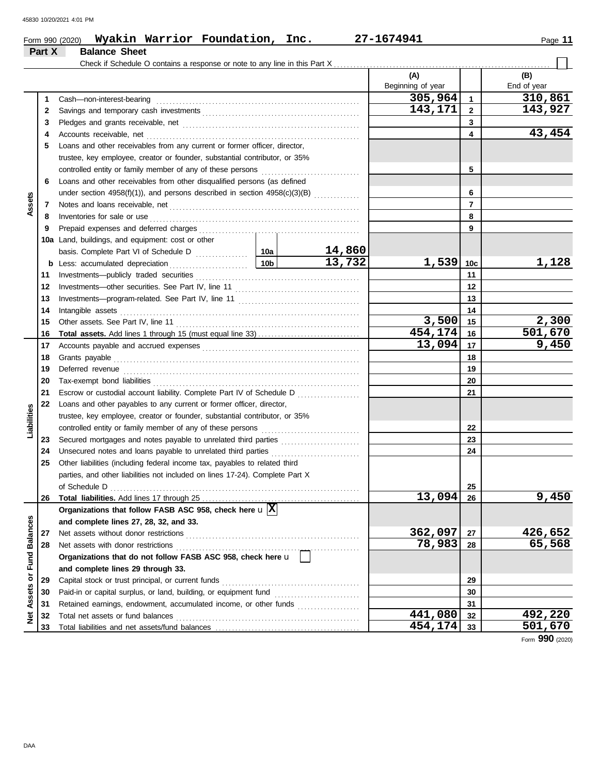### Form 990 (2020) Page **11 Wyakin Warrior Foundation, Inc. 27-1674941 Part X Balance Sheet** Check if Schedule O contains a response or note to any line in this Part X **(A) (B)** Beginning of year  $\parallel$  End of year **305,964 310,861** Cash—non-interest-bearing . . . . . . . . . . . . . . . . . . . . . . . . . . . . . . . . . . . . . . . . . . . . . . . . . . . . . . . . . . . . . . **1 1** Savings and temporary cash investments . . . . . . . . . . . . . . . . . . . . . . . . . . . . . . . . . . . . . . . . . . . . . . . . **143,171 143,927 2 2 3 3** Pledges and grants receivable, net . . . . . . . . . . . . . . . . . . . . . . . . . . . . . . . . . . . . . . . . . . . . . . . . . . . . . . **43,454 4 4** Accounts receivable, net . . . . . . . . . . . . . . . . . . . . . . . . . . . . . . . . . . . . . . . . . . . . . . . . . . . . . . . . . . . . . . . . . **5** Loans and other receivables from any current or former officer, director, trustee, key employee, creator or founder, substantial contributor, or 35% controlled entity or family member of any of these persons . . . . . . . . . . . . . . . . . . . . . . . . . . . . . . **5 6** Loans and other receivables from other disqualified persons (as defined **6** under section 4958(f)(1)), and persons described in section 4958(c)(3)(B)  $\ldots$ .......... **Assets 7 7** Notes and loans receivable, net . . . . . . . . . . . . . . . . . . . . . . . . . . . . . . . . . . . . . . . . . . . . . . . . . . . . . . . . . . Inventories for sale or use . . . . . . . . . . . . . . . . . . . . . . . . . . . . . . . . . . . . . . . . . . . . . . . . . . . . . . . . . . . . . . . . **8 8** Prepaid expenses and deferred charges . . . . . . . . . . . . . . . . . . . . . . . . . . . . . . . . . . . . . . . . . . . . . . . . . **9 9 10a** Land, buildings, and equipment: cost or other basis. Complete Part VI of Schedule D ................ **14,860 10a 13,732 1,539 1,128 10c b** Less: accumulated depreciation . . . . . . . . . . . . . . . . . . . . . . . . **10b 11** Investments—publicly traded securities . . . . . . . . . . . . . . . . . . . . . . . . . . . . . . . . . . . . . . . . . . . . . . . . . . **11** Investments—other securities. See Part IV, line 11 . . . . . . . . . . . . . . . . . . . . . . . . . . . . . . . . . . . . . . **12 12 13** Investments—program-related. See Part IV, line 11 **13 14** Intangible assets . . . . . . . . . . . . . . . . . . . . . . . . . . . . . . . . . . . . . . . . . . . . . . . . . . . . . . . . . . . . . . . . . . . . . . . . . **14 3,500 2,300** Other assets. See Part IV, line 11 . . . . . . . . . . . . . . . . . . . . . . . . . . . . . . . . . . . . . . . . . . . . . . . . . . . . . . . . **15 15 454,174 501,670 16 Total assets.** Add lines 1 through 15 (must equal line 33) . . . . . . . . . . . . . . . . . . . . . . . . . . . . . . . **16 13,094 9,450** Accounts payable and accrued expenses . . . . . . . . . . . . . . . . . . . . . . . . . . . . . . . . . . . . . . . . . . . . . . . . **17 17** Grants payable . . . . . . . . . . . . . . . . . . . . . . . . . . . . . . . . . . . . . . . . . . . . . . . . . . . . . . . . . . . . . . . . . . . . . . . . . . . **18 18 19** Deferred revenue . . . . . . . . . . . . . . . . . . . . . . . . . . . . . . . . . . . . . . . . . . . . . . . . . . . . . . . . . . . . . . . . . . . . . . . . **19 20** Tax-exempt bond liabilities . . . . . . . . . . . . . . . . . . . . . . . . . . . . . . . . . . . . . . . . . . . . . . . . . . . . . . . . . . . . . . . **20** Escrow or custodial account liability. Complete Part IV of Schedule D .................... **21 21 22** Loans and other payables to any current or former officer, director, **Liabilities** trustee, key employee, creator or founder, substantial contributor, or 35% controlled entity or family member of any of these persons ............................. **22** Secured mortgages and notes payable to unrelated third parties ........................ **23 23 24** Unsecured notes and loans payable to unrelated third parties ............................. **24 25** Other liabilities (including federal income tax, payables to related third parties, and other liabilities not included on lines 17-24). Complete Part X of Schedule D . . . . . . . . . . . . . . . . . . . . . . . . . . . . . . . . . . . . . . . . . . . . . . . . . . . . . . . . . . . . . . . . . . . . . . . . . . . . **25 13,094 9,450 26** Total liabilities. Add lines 17 through 25. **26 Organizations that follow FASB ASC 958, check here** u **X** Net Assets or Fund Balances **Net Assets or Fund Balances and complete lines 27, 28, 32, and 33.** Net assets without donor restrictions . . . . . . . . . . . . . . . . . . . . . . . . . . . . . . . . . . . . . . . . . . . . . . . . . . . . . **362,097 426,652 27 27** Net assets with donor restrictions . . . . . . . . . . . . . . . . . . . . . . . . . . . . . . . . . . . . . . . . . . . . . . . . . . . . . . . . **78,983 65,568 28 28 Organizations that do not follow FASB ASC 958, check here** u **and complete lines 29 through 33. 29** Capital stock or trust principal, or current funds . . . . . . . . . . . . . . . . . . . . . . . . . . . . . . . . . . . . . . . . . . **29** Paid-in or capital surplus, or land, building, or equipment fund ............................ **30 30 31** Retained earnings, endowment, accumulated income, or other funds .................... **31 441,080 492,220** Total net assets or fund balances . . . . . . . . . . . . . . . . . . . . . . . . . . . . . . . . . . . . . . . . . . . . . . . . . . . . . . . . **32 32 454,174 501,670 33** Total liabilities and net assets/fund balances ................. **33**

Form **990** (2020)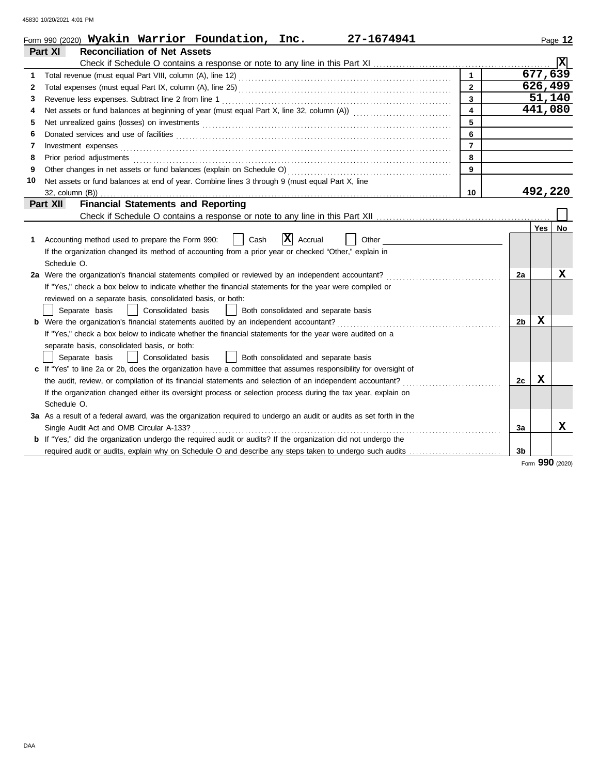|    | Form 990 (2020) Wyakin Warrior Foundation, Inc.<br>27-1674941                                                         |                         |                |          | Page 12 |
|----|-----------------------------------------------------------------------------------------------------------------------|-------------------------|----------------|----------|---------|
|    | <b>Reconciliation of Net Assets</b><br>Part XI                                                                        |                         |                |          |         |
|    |                                                                                                                       |                         |                |          | x       |
| 1  |                                                                                                                       | $\mathbf{1}$            |                | 677, 639 |         |
| 2  |                                                                                                                       | $\overline{2}$          |                | 626,499  |         |
| 3  |                                                                                                                       | $\overline{\mathbf{3}}$ |                | 51,140   |         |
| 4  |                                                                                                                       | $\overline{\mathbf{4}}$ |                | 441,080  |         |
| 5  |                                                                                                                       | 5                       |                |          |         |
| 6  |                                                                                                                       | 6                       |                |          |         |
| 7  | Investment expenses                                                                                                   | $\overline{7}$          |                |          |         |
| 8  | Prior period adjustments                                                                                              | 8                       |                |          |         |
| 9  |                                                                                                                       | 9                       |                |          |         |
| 10 | Net assets or fund balances at end of year. Combine lines 3 through 9 (must equal Part X, line                        |                         |                |          |         |
|    | 32, column (B))                                                                                                       | 10                      |                | 492,220  |         |
|    | Part XII<br><b>Financial Statements and Reporting</b>                                                                 |                         |                |          |         |
|    |                                                                                                                       |                         |                |          |         |
|    |                                                                                                                       |                         |                | Yes      | No      |
| 1  | $ X $ Accrual<br>Other<br>Accounting method used to prepare the Form 990:<br>Cash                                     |                         |                |          |         |
|    | If the organization changed its method of accounting from a prior year or checked "Other," explain in                 |                         |                |          |         |
|    | Schedule O.                                                                                                           |                         |                |          |         |
|    | 2a Were the organization's financial statements compiled or reviewed by an independent accountant?                    |                         | 2a             |          | x       |
|    | If "Yes," check a box below to indicate whether the financial statements for the year were compiled or                |                         |                |          |         |
|    | reviewed on a separate basis, consolidated basis, or both:                                                            |                         |                |          |         |
|    | Consolidated basis<br>Separate basis<br>Both consolidated and separate basis                                          |                         |                |          |         |
|    | <b>b</b> Were the organization's financial statements audited by an independent accountant?                           |                         | 2 <sub>b</sub> | X        |         |
|    | If "Yes," check a box below to indicate whether the financial statements for the year were audited on a               |                         |                |          |         |
|    | separate basis, consolidated basis, or both:                                                                          |                         |                |          |         |
|    | Consolidated basis<br>Separate basis<br>Both consolidated and separate basis                                          |                         |                |          |         |
|    | c If "Yes" to line 2a or 2b, does the organization have a committee that assumes responsibility for oversight of      |                         |                |          |         |
|    | the audit, review, or compilation of its financial statements and selection of an independent accountant?             |                         | 2c             | х        |         |
|    | If the organization changed either its oversight process or selection process during the tax year, explain on         |                         |                |          |         |
|    | Schedule O.                                                                                                           |                         |                |          |         |
|    | 3a As a result of a federal award, was the organization required to undergo an audit or audits as set forth in the    |                         |                |          |         |
|    | Single Audit Act and OMB Circular A-133?                                                                              |                         | 3a             |          | x       |
|    | <b>b</b> If "Yes," did the organization undergo the required audit or audits? If the organization did not undergo the |                         |                |          |         |
|    | required audit or audits, explain why on Schedule O and describe any steps taken to undergo such audits               |                         | 3 <sub>b</sub> |          |         |

Form **990** (2020)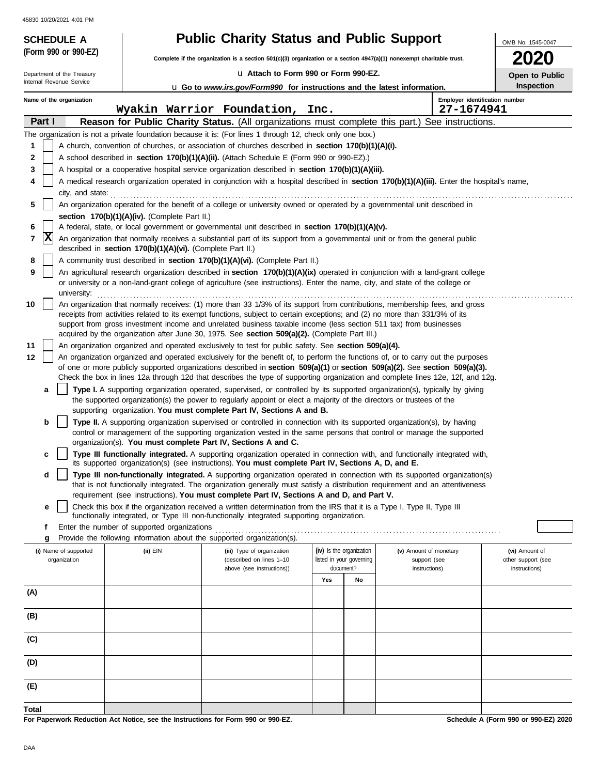| 45830 10/20/2021 4:01 PM                               |                                                            |                                                                                                                                                                                                                                                                         |                                       |    |                                              |                    |
|--------------------------------------------------------|------------------------------------------------------------|-------------------------------------------------------------------------------------------------------------------------------------------------------------------------------------------------------------------------------------------------------------------------|---------------------------------------|----|----------------------------------------------|--------------------|
| <b>SCHEDULE A</b>                                      |                                                            | <b>Public Charity Status and Public Support</b>                                                                                                                                                                                                                         |                                       |    |                                              | OMB No. 1545-0047  |
| (Form 990 or 990-EZ)                                   |                                                            | Complete if the organization is a section $501(c)(3)$ organization or a section $4947(a)(1)$ nonexempt charitable trust.                                                                                                                                                |                                       |    |                                              | ZUZU               |
| Department of the Treasury<br>Internal Revenue Service |                                                            | La Attach to Form 990 or Form 990-EZ.                                                                                                                                                                                                                                   |                                       |    |                                              | Open to Public     |
|                                                        |                                                            | <b>u</b> Go to www.irs.gov/Form990 for instructions and the latest information.                                                                                                                                                                                         |                                       |    |                                              | Inspection         |
| Name of the organization                               |                                                            | Wyakin Warrior Foundation,                                                                                                                                                                                                                                              | Inc.                                  |    | Employer identification number<br>27-1674941 |                    |
| Part I                                                 |                                                            | Reason for Public Charity Status. (All organizations must complete this part.)                                                                                                                                                                                          |                                       |    | See instructions.                            |                    |
|                                                        |                                                            | The organization is not a private foundation because it is: (For lines 1 through 12, check only one box.)                                                                                                                                                               |                                       |    |                                              |                    |
| 1                                                      |                                                            | A church, convention of churches, or association of churches described in <b>section 170(b)(1)(A)(i).</b>                                                                                                                                                               |                                       |    |                                              |                    |
| 2<br>3                                                 |                                                            | A school described in section 170(b)(1)(A)(ii). (Attach Schedule E (Form 990 or 990-EZ).)<br>A hospital or a cooperative hospital service organization described in section 170(b)(1)(A)(iii).                                                                          |                                       |    |                                              |                    |
| 4                                                      |                                                            | A medical research organization operated in conjunction with a hospital described in section 170(b)(1)(A)(iii). Enter the hospital's name,                                                                                                                              |                                       |    |                                              |                    |
| city, and state:                                       |                                                            |                                                                                                                                                                                                                                                                         |                                       |    |                                              |                    |
| 5                                                      |                                                            | An organization operated for the benefit of a college or university owned or operated by a governmental unit described in                                                                                                                                               |                                       |    |                                              |                    |
| 6                                                      | section 170(b)(1)(A)(iv). (Complete Part II.)              | A federal, state, or local government or governmental unit described in section 170(b)(1)(A)(v).                                                                                                                                                                        |                                       |    |                                              |                    |
| x<br>7                                                 |                                                            | An organization that normally receives a substantial part of its support from a governmental unit or from the general public                                                                                                                                            |                                       |    |                                              |                    |
|                                                        | described in section 170(b)(1)(A)(vi). (Complete Part II.) |                                                                                                                                                                                                                                                                         |                                       |    |                                              |                    |
| 8                                                      |                                                            | A community trust described in section 170(b)(1)(A)(vi). (Complete Part II.)                                                                                                                                                                                            |                                       |    |                                              |                    |
| 9<br>university:                                       |                                                            | An agricultural research organization described in section 170(b)(1)(A)(ix) operated in conjunction with a land-grant college<br>or university or a non-land-grant college of agriculture (see instructions). Enter the name, city, and state of the college or         |                                       |    |                                              |                    |
| 10                                                     |                                                            | An organization that normally receives: (1) more than 33 1/3% of its support from contributions, membership fees, and gross                                                                                                                                             |                                       |    |                                              |                    |
|                                                        |                                                            | receipts from activities related to its exempt functions, subject to certain exceptions; and (2) no more than 331/3% of its<br>support from gross investment income and unrelated business taxable income (less section 511 tax) from businesses                        |                                       |    |                                              |                    |
|                                                        |                                                            | acquired by the organization after June 30, 1975. See section 509(a)(2). (Complete Part III.)                                                                                                                                                                           |                                       |    |                                              |                    |
| 11                                                     |                                                            | An organization organized and operated exclusively to test for public safety. See section 509(a)(4).                                                                                                                                                                    |                                       |    |                                              |                    |
| 12                                                     |                                                            | An organization organized and operated exclusively for the benefit of, to perform the functions of, or to carry out the purposes<br>of one or more publicly supported organizations described in section $509(a)(1)$ or section $509(a)(2)$ . See section $509(a)(3)$ . |                                       |    |                                              |                    |
|                                                        |                                                            | Check the box in lines 12a through 12d that describes the type of supporting organization and complete lines 12e, 12f, and 12g.                                                                                                                                         |                                       |    |                                              |                    |
| a                                                      |                                                            | Type I. A supporting organization operated, supervised, or controlled by its supported organization(s), typically by giving                                                                                                                                             |                                       |    |                                              |                    |
|                                                        |                                                            | the supported organization(s) the power to regularly appoint or elect a majority of the directors or trustees of the<br>supporting organization. You must complete Part IV, Sections A and B.                                                                           |                                       |    |                                              |                    |
| b                                                      |                                                            | Type II. A supporting organization supervised or controlled in connection with its supported organization(s), by having                                                                                                                                                 |                                       |    |                                              |                    |
|                                                        |                                                            | control or management of the supporting organization vested in the same persons that control or manage the supported                                                                                                                                                    |                                       |    |                                              |                    |
|                                                        |                                                            | organization(s). You must complete Part IV, Sections A and C.                                                                                                                                                                                                           |                                       |    |                                              |                    |
| с                                                      |                                                            | Type III functionally integrated. A supporting organization operated in connection with, and functionally integrated with,<br>its supported organization(s) (see instructions). You must complete Part IV, Sections A, D, and E.                                        |                                       |    |                                              |                    |
| d                                                      |                                                            | Type III non-functionally integrated. A supporting organization operated in connection with its supported organization(s)                                                                                                                                               |                                       |    |                                              |                    |
|                                                        |                                                            | that is not functionally integrated. The organization generally must satisfy a distribution requirement and an attentiveness<br>requirement (see instructions). You must complete Part IV, Sections A and D, and Part V.                                                |                                       |    |                                              |                    |
| e                                                      |                                                            | Check this box if the organization received a written determination from the IRS that it is a Type I, Type II, Type III                                                                                                                                                 |                                       |    |                                              |                    |
|                                                        |                                                            | functionally integrated, or Type III non-functionally integrated supporting organization.                                                                                                                                                                               |                                       |    |                                              |                    |
| f<br>g                                                 | Enter the number of supported organizations                | Provide the following information about the supported organization(s).                                                                                                                                                                                                  |                                       |    |                                              |                    |
| (i) Name of supported                                  | (ii) EIN                                                   | (iii) Type of organization                                                                                                                                                                                                                                              | (iv) Is the organization              |    | (v) Amount of monetary                       | (vi) Amount of     |
| organization                                           |                                                            | (described on lines 1-10                                                                                                                                                                                                                                                | listed in your governing<br>document? |    | support (see                                 | other support (see |
|                                                        |                                                            | above (see instructions))                                                                                                                                                                                                                                               | Yes                                   | No | instructions)                                | instructions)      |
| (A)                                                    |                                                            |                                                                                                                                                                                                                                                                         |                                       |    |                                              |                    |
|                                                        |                                                            |                                                                                                                                                                                                                                                                         |                                       |    |                                              |                    |
| (B)                                                    |                                                            |                                                                                                                                                                                                                                                                         |                                       |    |                                              |                    |
| (C)                                                    |                                                            |                                                                                                                                                                                                                                                                         |                                       |    |                                              |                    |
| (D)                                                    |                                                            |                                                                                                                                                                                                                                                                         |                                       |    |                                              |                    |
| (E)                                                    |                                                            |                                                                                                                                                                                                                                                                         |                                       |    |                                              |                    |
| Total                                                  |                                                            |                                                                                                                                                                                                                                                                         |                                       |    |                                              |                    |

**For Paperwork Reduction Act Notice, see the Instructions for Form 990 or 990-EZ.**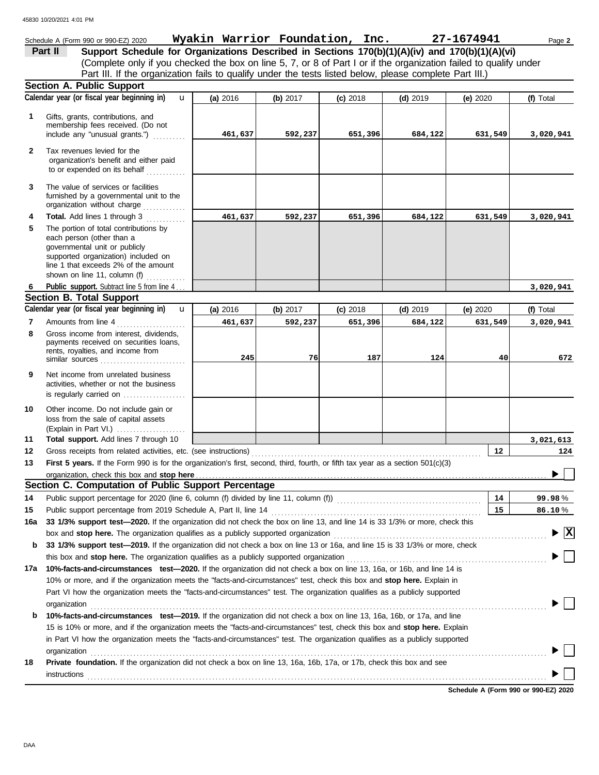|     | Schedule A (Form 990 or 990-EZ) 2020                                                                                                                                                                                          | Wyakin Warrior Foundation, Inc. |          |            |            | 27-1674941 | Page 2                                        |
|-----|-------------------------------------------------------------------------------------------------------------------------------------------------------------------------------------------------------------------------------|---------------------------------|----------|------------|------------|------------|-----------------------------------------------|
|     | Support Schedule for Organizations Described in Sections 170(b)(1)(A)(iv) and 170(b)(1)(A)(vi)<br>Part II                                                                                                                     |                                 |          |            |            |            |                                               |
|     | (Complete only if you checked the box on line 5, 7, or 8 of Part I or if the organization failed to qualify under                                                                                                             |                                 |          |            |            |            |                                               |
|     | Part III. If the organization fails to qualify under the tests listed below, please complete Part III.)                                                                                                                       |                                 |          |            |            |            |                                               |
|     | <b>Section A. Public Support</b>                                                                                                                                                                                              |                                 |          |            |            |            |                                               |
|     | Calendar year (or fiscal year beginning in)<br>$\mathbf{u}$                                                                                                                                                                   | (a) 2016                        | (b) 2017 | $(c)$ 2018 | $(d)$ 2019 | (e) $2020$ | (f) Total                                     |
|     |                                                                                                                                                                                                                               |                                 |          |            |            |            |                                               |
| 1   | Gifts, grants, contributions, and<br>membership fees received. (Do not                                                                                                                                                        |                                 |          |            |            |            |                                               |
|     | include any "unusual grants.")                                                                                                                                                                                                | 461,637                         | 592,237  | 651,396    | 684,122    | 631,549    | 3,020,941                                     |
| 2   | Tax revenues levied for the                                                                                                                                                                                                   |                                 |          |            |            |            |                                               |
|     | organization's benefit and either paid                                                                                                                                                                                        |                                 |          |            |            |            |                                               |
|     | to or expended on its behalf                                                                                                                                                                                                  |                                 |          |            |            |            |                                               |
| 3   | The value of services or facilities                                                                                                                                                                                           |                                 |          |            |            |            |                                               |
|     | furnished by a governmental unit to the                                                                                                                                                                                       |                                 |          |            |            |            |                                               |
|     | organization without charge                                                                                                                                                                                                   |                                 |          |            |            |            |                                               |
| 4   | Total. Add lines 1 through 3                                                                                                                                                                                                  | 461,637                         | 592,237  | 651,396    | 684,122    | 631,549    | 3,020,941                                     |
| 5   | The portion of total contributions by                                                                                                                                                                                         |                                 |          |            |            |            |                                               |
|     | each person (other than a<br>governmental unit or publicly                                                                                                                                                                    |                                 |          |            |            |            |                                               |
|     | supported organization) included on                                                                                                                                                                                           |                                 |          |            |            |            |                                               |
|     | line 1 that exceeds 2% of the amount                                                                                                                                                                                          |                                 |          |            |            |            |                                               |
|     | shown on line 11, column (f)                                                                                                                                                                                                  |                                 |          |            |            |            |                                               |
|     | Public support. Subtract line 5 from line 4.                                                                                                                                                                                  |                                 |          |            |            |            | 3,020,941                                     |
|     | <b>Section B. Total Support</b>                                                                                                                                                                                               |                                 |          |            |            |            |                                               |
|     | Calendar year (or fiscal year beginning in)<br>$\mathbf{u}$                                                                                                                                                                   | (a) 2016                        | (b) 2017 | $(c)$ 2018 | $(d)$ 2019 | (e) 2020   | (f) Total                                     |
| 7   | Amounts from line 4                                                                                                                                                                                                           | 461,637                         | 592,237  | 651,396    | 684,122    | 631,549    | 3,020,941                                     |
| 8   | Gross income from interest, dividends,<br>payments received on securities loans,                                                                                                                                              |                                 |          |            |            |            |                                               |
|     | rents, royalties, and income from                                                                                                                                                                                             |                                 |          |            |            |            |                                               |
|     |                                                                                                                                                                                                                               | 245                             | 76       | 187        | 124        | 40         | 672                                           |
| 9   | Net income from unrelated business                                                                                                                                                                                            |                                 |          |            |            |            |                                               |
|     | activities, whether or not the business                                                                                                                                                                                       |                                 |          |            |            |            |                                               |
|     | is regularly carried on                                                                                                                                                                                                       |                                 |          |            |            |            |                                               |
| 10  | Other income. Do not include gain or                                                                                                                                                                                          |                                 |          |            |            |            |                                               |
|     | loss from the sale of capital assets<br>(Explain in Part VI.)                                                                                                                                                                 |                                 |          |            |            |            |                                               |
| 11  | Total support. Add lines 7 through 10                                                                                                                                                                                         |                                 |          |            |            |            | 3,021,613                                     |
| 12  |                                                                                                                                                                                                                               |                                 |          |            |            | 12         | 124                                           |
| 13  | First 5 years. If the Form 990 is for the organization's first, second, third, fourth, or fifth tax year as a section 501(c)(3)                                                                                               |                                 |          |            |            |            |                                               |
|     |                                                                                                                                                                                                                               |                                 |          |            |            |            |                                               |
|     | Section C. Computation of Public Support Percentage                                                                                                                                                                           |                                 |          |            |            |            |                                               |
| 14  | Public support percentage for 2020 (line 6, column (f) divided by line 11, column (f)) [[[[[[[[[[[[[[[[[[[[[[                                                                                                                 |                                 |          |            |            | 14         | 99.98%                                        |
| 15  |                                                                                                                                                                                                                               |                                 |          |            |            | 15         | 86.10%                                        |
| 16a | 33 1/3% support test-2020. If the organization did not check the box on line 13, and line 14 is 33 1/3% or more, check this                                                                                                   |                                 |          |            |            |            |                                               |
|     | box and stop here. The organization qualifies as a publicly supported organization [11] content content content content content of the state of the state of the state of the state of the state of the state of the state of |                                 |          |            |            |            | $\blacktriangleright$ $\overline{\mathbf{X}}$ |
| b   | 33 1/3% support test-2019. If the organization did not check a box on line 13 or 16a, and line 15 is 33 1/3% or more, check                                                                                                   |                                 |          |            |            |            |                                               |
|     |                                                                                                                                                                                                                               |                                 |          |            |            |            |                                               |
|     | 17a 10%-facts-and-circumstances test-2020. If the organization did not check a box on line 13, 16a, or 16b, and line 14 is                                                                                                    |                                 |          |            |            |            |                                               |
|     | 10% or more, and if the organization meets the "facts-and-circumstances" test, check this box and stop here. Explain in                                                                                                       |                                 |          |            |            |            |                                               |
|     | Part VI how the organization meets the "facts-and-circumstances" test. The organization qualifies as a publicly supported                                                                                                     |                                 |          |            |            |            |                                               |
|     | organization                                                                                                                                                                                                                  |                                 |          |            |            |            |                                               |
| b   | 10%-facts-and-circumstances test-2019. If the organization did not check a box on line 13, 16a, 16b, or 17a, and line                                                                                                         |                                 |          |            |            |            |                                               |
|     | 15 is 10% or more, and if the organization meets the "facts-and-circumstances" test, check this box and stop here. Explain                                                                                                    |                                 |          |            |            |            |                                               |
|     | in Part VI how the organization meets the "facts-and-circumstances" test. The organization qualifies as a publicly supported                                                                                                  |                                 |          |            |            |            |                                               |
|     | organization                                                                                                                                                                                                                  |                                 |          |            |            |            |                                               |
| 18  | Private foundation. If the organization did not check a box on line 13, 16a, 16b, 17a, or 17b, check this box and see                                                                                                         |                                 |          |            |            |            |                                               |
|     | instructions                                                                                                                                                                                                                  |                                 |          |            |            |            |                                               |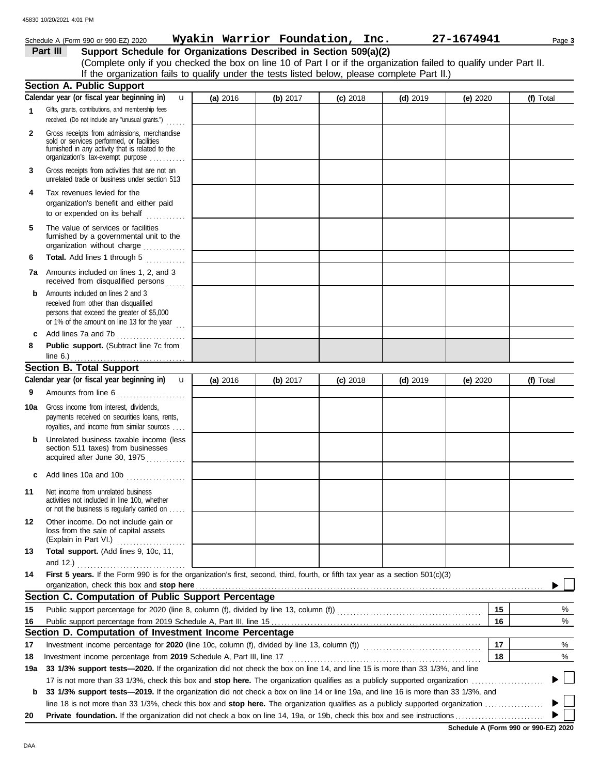|              | Schedule A (Form 990 or 990-EZ) 2020                                                                                                                                              | Wyakin Warrior Foundation, Inc. |            |            |            | 27-1674941 | Page 3    |
|--------------|-----------------------------------------------------------------------------------------------------------------------------------------------------------------------------------|---------------------------------|------------|------------|------------|------------|-----------|
|              | Support Schedule for Organizations Described in Section 509(a)(2)<br>Part III                                                                                                     |                                 |            |            |            |            |           |
|              | (Complete only if you checked the box on line 10 of Part I or if the organization failed to qualify under Part II.                                                                |                                 |            |            |            |            |           |
|              | If the organization fails to qualify under the tests listed below, please complete Part II.)                                                                                      |                                 |            |            |            |            |           |
|              | <b>Section A. Public Support</b>                                                                                                                                                  |                                 |            |            |            |            |           |
|              | Calendar year (or fiscal year beginning in)<br>$\mathbf{u}$                                                                                                                       | (a) 2016                        | (b) $2017$ | $(c)$ 2018 | $(d)$ 2019 | (e) $2020$ | (f) Total |
|              | Gifts, grants, contributions, and membership fees<br>received. (Do not include any "unusual grants.")                                                                             |                                 |            |            |            |            |           |
| $\mathbf{2}$ | Gross receipts from admissions, merchandise<br>sold or services performed, or facilities<br>furnished in any activity that is related to the<br>organization's tax-exempt purpose |                                 |            |            |            |            |           |
| 3            | Gross receipts from activities that are not an<br>unrelated trade or business under section 513                                                                                   |                                 |            |            |            |            |           |
| 4            | Tax revenues levied for the<br>organization's benefit and either paid<br>to or expended on its behalf                                                                             |                                 |            |            |            |            |           |
| 5            | The value of services or facilities<br>furnished by a governmental unit to the<br>organization without charge                                                                     |                                 |            |            |            |            |           |
| 6            | Total. Add lines 1 through 5                                                                                                                                                      |                                 |            |            |            |            |           |
|              | 7a Amounts included on lines 1, 2, and 3<br>received from disqualified persons                                                                                                    |                                 |            |            |            |            |           |
| b            | Amounts included on lines 2 and 3<br>received from other than disqualified<br>persons that exceed the greater of \$5,000<br>or 1% of the amount on line 13 for the year $\ldots$  |                                 |            |            |            |            |           |
| c            | Add lines 7a and 7b                                                                                                                                                               |                                 |            |            |            |            |           |
| 8            | Public support. (Subtract line 7c from                                                                                                                                            |                                 |            |            |            |            |           |
|              | line $6.$ )                                                                                                                                                                       |                                 |            |            |            |            |           |
|              | <b>Section B. Total Support</b>                                                                                                                                                   |                                 |            |            |            |            |           |
|              | Calendar year (or fiscal year beginning in)<br>$\mathbf{u}$                                                                                                                       | (a) 2016                        | (b) $2017$ | $(c)$ 2018 | $(d)$ 2019 | (e) $2020$ | (f) Total |
| 9            | Amounts from line 6                                                                                                                                                               |                                 |            |            |            |            |           |
| 10a          | Gross income from interest, dividends,<br>payments received on securities loans, rents,<br>royalties, and income from similar sources                                             |                                 |            |            |            |            |           |
| b            | Unrelated business taxable income (less<br>section 511 taxes) from businesses<br>acquired after June 30, 1975                                                                     |                                 |            |            |            |            |           |
| c            | Add lines 10a and 10b                                                                                                                                                             |                                 |            |            |            |            |           |
| 11           | Net income from unrelated business<br>activities not included in line 10b, whether<br>or not the business is regularly carried on                                                 |                                 |            |            |            |            |           |
| 12           | Other income. Do not include gain or<br>loss from the sale of capital assets                                                                                                      |                                 |            |            |            |            |           |
| 13           | Total support. (Add lines 9, 10c, 11,                                                                                                                                             |                                 |            |            |            |            |           |
| 14           | and 12.) $\ldots$<br>First 5 years. If the Form 990 is for the organization's first, second, third, fourth, or fifth tax year as a section 501(c)(3)                              |                                 |            |            |            |            |           |
|              | organization, check this box and stop here                                                                                                                                        |                                 |            |            |            |            |           |
|              | Section C. Computation of Public Support Percentage                                                                                                                               |                                 |            |            |            |            |           |
| 15           | Public support percentage for 2020 (line 8, column (f), divided by line 13, column (f)) [[[[[[[[[[[[[[[[[[[[[                                                                     |                                 |            |            |            | 15         | %         |
| 16           |                                                                                                                                                                                   |                                 |            |            |            | 16         | %         |
|              | Section D. Computation of Investment Income Percentage                                                                                                                            |                                 |            |            |            |            |           |
| 17           |                                                                                                                                                                                   |                                 |            |            |            | 17         | %         |
| 18           |                                                                                                                                                                                   |                                 |            |            |            | 18         | $\%$      |
| 19a          | 33 1/3% support tests-2020. If the organization did not check the box on line 14, and line 15 is more than 33 1/3%, and line                                                      |                                 |            |            |            |            |           |
|              |                                                                                                                                                                                   |                                 |            |            |            |            | $\Box$    |
| b            | 33 1/3% support tests-2019. If the organization did not check a box on line 14 or line 19a, and line 16 is more than 33 1/3%, and                                                 |                                 |            |            |            |            |           |
|              |                                                                                                                                                                                   |                                 |            |            |            |            |           |
| 20           |                                                                                                                                                                                   |                                 |            |            |            |            |           |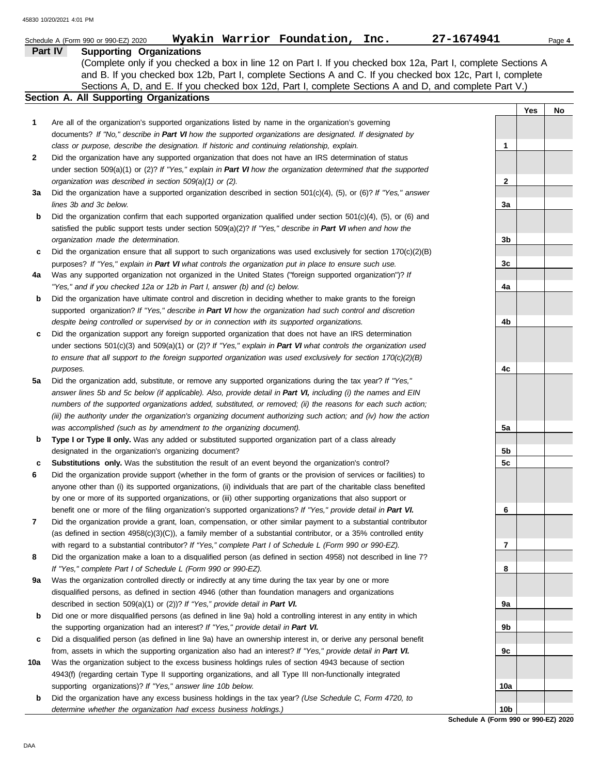|                | Wyakin Warrior Foundation, Inc.<br>Schedule A (Form 990 or 990-EZ) 2020                                                                                                                                                         | 27-1674941      |     | Page 4 |
|----------------|---------------------------------------------------------------------------------------------------------------------------------------------------------------------------------------------------------------------------------|-----------------|-----|--------|
| <b>Part IV</b> | <b>Supporting Organizations</b>                                                                                                                                                                                                 |                 |     |        |
|                | (Complete only if you checked a box in line 12 on Part I. If you checked box 12a, Part I, complete Sections A                                                                                                                   |                 |     |        |
|                | and B. If you checked box 12b, Part I, complete Sections A and C. If you checked box 12c, Part I, complete                                                                                                                      |                 |     |        |
|                | Sections A, D, and E. If you checked box 12d, Part I, complete Sections A and D, and complete Part V.)                                                                                                                          |                 |     |        |
|                | Section A. All Supporting Organizations                                                                                                                                                                                         |                 |     |        |
|                |                                                                                                                                                                                                                                 |                 | Yes | No     |
| 1              | Are all of the organization's supported organizations listed by name in the organization's governing                                                                                                                            |                 |     |        |
|                | documents? If "No," describe in Part VI how the supported organizations are designated. If designated by                                                                                                                        |                 |     |        |
|                | class or purpose, describe the designation. If historic and continuing relationship, explain.                                                                                                                                   | 1.              |     |        |
| 2              | Did the organization have any supported organization that does not have an IRS determination of status                                                                                                                          |                 |     |        |
|                | under section 509(a)(1) or (2)? If "Yes," explain in Part VI how the organization determined that the supported                                                                                                                 |                 |     |        |
|                | organization was described in section 509(a)(1) or (2).                                                                                                                                                                         | $\mathbf{2}$    |     |        |
| За             | Did the organization have a supported organization described in section $501(c)(4)$ , (5), or (6)? If "Yes," answer                                                                                                             |                 |     |        |
|                | lines 3b and 3c below.                                                                                                                                                                                                          | 3a              |     |        |
| b              | Did the organization confirm that each supported organization qualified under section $501(c)(4)$ , (5), or (6) and                                                                                                             |                 |     |        |
|                | satisfied the public support tests under section 509(a)(2)? If "Yes," describe in Part VI when and how the                                                                                                                      |                 |     |        |
|                | organization made the determination.                                                                                                                                                                                            | 3b              |     |        |
| c              | Did the organization ensure that all support to such organizations was used exclusively for section $170(c)(2)(B)$                                                                                                              |                 |     |        |
|                | purposes? If "Yes," explain in Part VI what controls the organization put in place to ensure such use.                                                                                                                          | 3c              |     |        |
| 4a             | Was any supported organization not organized in the United States ("foreign supported organization")? If<br>"Yes," and if you checked 12a or 12b in Part I, answer (b) and (c) below.                                           | 4a              |     |        |
| b              | Did the organization have ultimate control and discretion in deciding whether to make grants to the foreign                                                                                                                     |                 |     |        |
|                | supported organization? If "Yes," describe in Part VI how the organization had such control and discretion                                                                                                                      |                 |     |        |
|                | despite being controlled or supervised by or in connection with its supported organizations.                                                                                                                                    | 4b              |     |        |
| c              | Did the organization support any foreign supported organization that does not have an IRS determination                                                                                                                         |                 |     |        |
|                | under sections $501(c)(3)$ and $509(a)(1)$ or (2)? If "Yes," explain in Part VI what controls the organization used                                                                                                             |                 |     |        |
|                | to ensure that all support to the foreign supported organization was used exclusively for section $170(c)(2)(B)$                                                                                                                |                 |     |        |
|                | purposes.                                                                                                                                                                                                                       | 4c              |     |        |
| 5a             | Did the organization add, substitute, or remove any supported organizations during the tax year? If "Yes,"                                                                                                                      |                 |     |        |
|                | answer lines 5b and 5c below (if applicable). Also, provide detail in Part VI, including (i) the names and EIN                                                                                                                  |                 |     |        |
|                | numbers of the supported organizations added, substituted, or removed; (ii) the reasons for each such action;                                                                                                                   |                 |     |        |
|                | (iii) the authority under the organization's organizing document authorizing such action; and (iv) how the action                                                                                                               |                 |     |        |
|                | was accomplished (such as by amendment to the organizing document).                                                                                                                                                             | 5a              |     |        |
| b              | Type I or Type II only. Was any added or substituted supported organization part of a class already                                                                                                                             |                 |     |        |
|                | designated in the organization's organizing document?                                                                                                                                                                           | 5b              |     |        |
|                | <b>Substitutions only.</b> Was the substitution the result of an event beyond the organization's control?                                                                                                                       | 5c              |     |        |
|                | Did the organization provide support (whether in the form of grants or the provision of services or facilities) to                                                                                                              |                 |     |        |
|                | anyone other than (i) its supported organizations, (ii) individuals that are part of the charitable class benefited                                                                                                             |                 |     |        |
|                | by one or more of its supported organizations, or (iii) other supporting organizations that also support or                                                                                                                     |                 |     |        |
|                | benefit one or more of the filing organization's supported organizations? If "Yes," provide detail in Part VI.                                                                                                                  | 6               |     |        |
| 7              | Did the organization provide a grant, loan, compensation, or other similar payment to a substantial contributor                                                                                                                 |                 |     |        |
|                | (as defined in section 4958(c)(3)(C)), a family member of a substantial contributor, or a 35% controlled entity                                                                                                                 |                 |     |        |
|                | with regard to a substantial contributor? If "Yes," complete Part I of Schedule L (Form 990 or 990-EZ).                                                                                                                         | 7               |     |        |
| 8              | Did the organization make a loan to a disqualified person (as defined in section 4958) not described in line 7?                                                                                                                 |                 |     |        |
|                | If "Yes," complete Part I of Schedule L (Form 990 or 990-EZ).                                                                                                                                                                   | 8               |     |        |
| 9а             | Was the organization controlled directly or indirectly at any time during the tax year by one or more                                                                                                                           |                 |     |        |
|                | disqualified persons, as defined in section 4946 (other than foundation managers and organizations                                                                                                                              |                 |     |        |
|                | described in section 509(a)(1) or (2))? If "Yes," provide detail in Part VI.                                                                                                                                                    | 9а              |     |        |
| b              | Did one or more disqualified persons (as defined in line 9a) hold a controlling interest in any entity in which                                                                                                                 |                 |     |        |
|                | the supporting organization had an interest? If "Yes," provide detail in Part VI.                                                                                                                                               | 9b              |     |        |
| c              | Did a disqualified person (as defined in line 9a) have an ownership interest in, or derive any personal benefit<br>from, assets in which the supporting organization also had an interest? If "Yes," provide detail in Part VI. |                 |     |        |
| 10a            | Was the organization subject to the excess business holdings rules of section 4943 because of section                                                                                                                           | 9с              |     |        |
|                | 4943(f) (regarding certain Type II supporting organizations, and all Type III non-functionally integrated                                                                                                                       |                 |     |        |
|                | supporting organizations)? If "Yes," answer line 10b below.                                                                                                                                                                     | 10a             |     |        |
| b              | Did the organization have any excess business holdings in the tax year? (Use Schedule C, Form 4720, to                                                                                                                          |                 |     |        |
|                | determine whether the organization had excess business holdings.)                                                                                                                                                               | 10 <sub>b</sub> |     |        |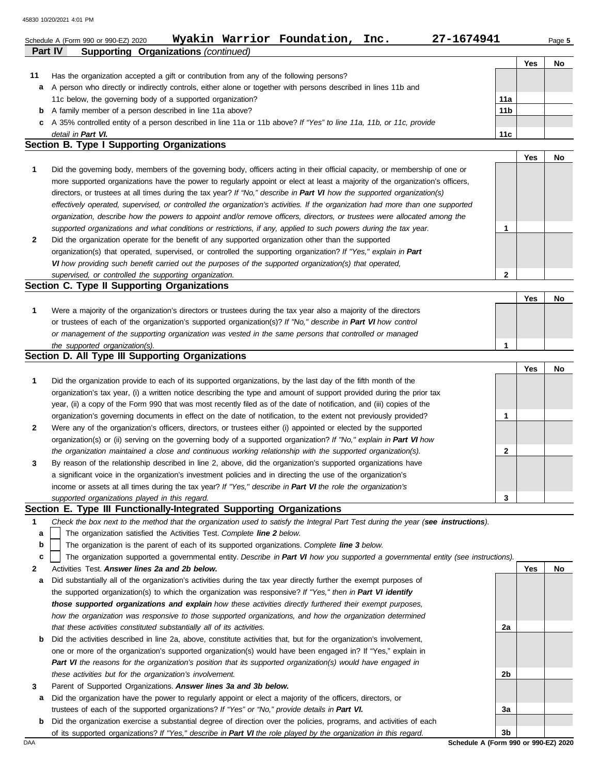|              | Wyakin Warrior Foundation, Inc.<br>27-1674941<br>Schedule A (Form 990 or 990-EZ) 2020                                          |                 |     | Page 5 |
|--------------|--------------------------------------------------------------------------------------------------------------------------------|-----------------|-----|--------|
|              | Part IV<br><b>Supporting Organizations (continued)</b>                                                                         |                 |     |        |
|              |                                                                                                                                |                 | Yes | No     |
| 11           | Has the organization accepted a gift or contribution from any of the following persons?                                        |                 |     |        |
| a            | A person who directly or indirectly controls, either alone or together with persons described in lines 11b and                 |                 |     |        |
|              | 11c below, the governing body of a supported organization?                                                                     | 11a             |     |        |
| b            | A family member of a person described in line 11a above?                                                                       | 11 <sub>b</sub> |     |        |
| с            | A 35% controlled entity of a person described in line 11a or 11b above? If "Yes" to line 11a, 11b, or 11c, provide             |                 |     |        |
|              | detail in Part VI.                                                                                                             | 11c             |     |        |
|              | <b>Section B. Type I Supporting Organizations</b>                                                                              |                 |     |        |
|              |                                                                                                                                |                 | Yes | No     |
| 1            | Did the governing body, members of the governing body, officers acting in their official capacity, or membership of one or     |                 |     |        |
|              | more supported organizations have the power to regularly appoint or elect at least a majority of the organization's officers,  |                 |     |        |
|              | directors, or trustees at all times during the tax year? If "No," describe in Part VI how the supported organization(s)        |                 |     |        |
|              | effectively operated, supervised, or controlled the organization's activities. If the organization had more than one supported |                 |     |        |
|              | organization, describe how the powers to appoint and/or remove officers, directors, or trustees were allocated among the       |                 |     |        |
|              | supported organizations and what conditions or restrictions, if any, applied to such powers during the tax year.               |                 |     |        |
| $\mathbf{2}$ | Did the organization operate for the benefit of any supported organization other than the supported                            |                 |     |        |
|              | organization(s) that operated, supervised, or controlled the supporting organization? If "Yes," explain in Part                |                 |     |        |
|              | VI how providing such benefit carried out the purposes of the supported organization(s) that operated,                         |                 |     |        |
|              | supervised, or controlled the supporting organization.                                                                         | $\mathbf{2}$    |     |        |

## **Section C. Type II Supporting Organizations**

|                                                                                                                  | Yes | No |
|------------------------------------------------------------------------------------------------------------------|-----|----|
| Were a majority of the organization's directors or trustees during the tax year also a majority of the directors |     |    |
| or trustees of each of the organization's supported organization(s)? If "No," describe in Part VI how control    |     |    |
| or management of the supporting organization was vested in the same persons that controlled or managed           |     |    |
| the supported organization(s).                                                                                   |     |    |

## **Section D. All Type III Supporting Organizations**

|              |                                                                                                                        |   | Yes | No |
|--------------|------------------------------------------------------------------------------------------------------------------------|---|-----|----|
| $\mathbf{1}$ | Did the organization provide to each of its supported organizations, by the last day of the fifth month of the         |   |     |    |
|              | organization's tax year, (i) a written notice describing the type and amount of support provided during the prior tax  |   |     |    |
|              | year, (ii) a copy of the Form 990 that was most recently filed as of the date of notification, and (iii) copies of the |   |     |    |
|              | organization's governing documents in effect on the date of notification, to the extent not previously provided?       |   |     |    |
| $\mathbf{2}$ | Were any of the organization's officers, directors, or trustees either (i) appointed or elected by the supported       |   |     |    |
|              | organization(s) or (ii) serving on the governing body of a supported organization? If "No," explain in Part VI how     |   |     |    |
|              | the organization maintained a close and continuous working relationship with the supported organization(s).            | າ |     |    |
| $\mathbf{3}$ | By reason of the relationship described in line 2, above, did the organization's supported organizations have          |   |     |    |
|              | a significant voice in the organization's investment policies and in directing the use of the organization's           |   |     |    |
|              | income or assets at all times during the tax year? If "Yes," describe in Part VI the role the organization's           |   |     |    |
|              | supported organizations played in this regard.                                                                         | 3 |     |    |

## **Section E. Type III Functionally-Integrated Supporting Organizations**

- **1** *Check the box next to the method that the organization used to satisfy the Integral Part Test during the year (see instructions).*
	- The organization satisfied the Activities Test. *Complete line 2 below.* **a**
	- The organization is the parent of each of its supported organizations. *Complete line 3 below.* **b**

|  |  | c   The organization supported a governmental entity. Describe in Part VI how you supported a governmental entity (see instructions). |  |  |  |  |
|--|--|---------------------------------------------------------------------------------------------------------------------------------------|--|--|--|--|
|--|--|---------------------------------------------------------------------------------------------------------------------------------------|--|--|--|--|

- **2** Activities Test. *Answer lines 2a and 2b below.*
- **a** Did substantially all of the organization's activities during the tax year directly further the exempt purposes of the supported organization(s) to which the organization was responsive? *If "Yes," then in Part VI identify those supported organizations and explain how these activities directly furthered their exempt purposes,*  how the organization was responsive to those supported organizations, and how the organization determined *that these activities constituted substantially all of its activities.*
- **b** Did the activities described in line 2a, above, constitute activities that, but for the organization's involvement, one or more of the organization's supported organization(s) would have been engaged in? If "Yes," explain in *Part VI the reasons for the organization's position that its supported organization(s) would have engaged in these activities but for the organization's involvement.*
- **3** Parent of Supported Organizations. *Answer lines 3a and 3b below.*
- **a** Did the organization have the power to regularly appoint or elect a majority of the officers, directors, or trustees of each of the supported organizations? *If "Yes" or "No," provide details in Part VI.*
- DAA **Schedule A (Form 990 or 990-EZ) 2020 b** Did the organization exercise a substantial degree of direction over the policies, programs, and activities of each of its supported organizations? *If "Yes," describe in Part VI the role played by the organization in this regard.*

**3b**

**2a**

**2b**

**3a**

**Yes No**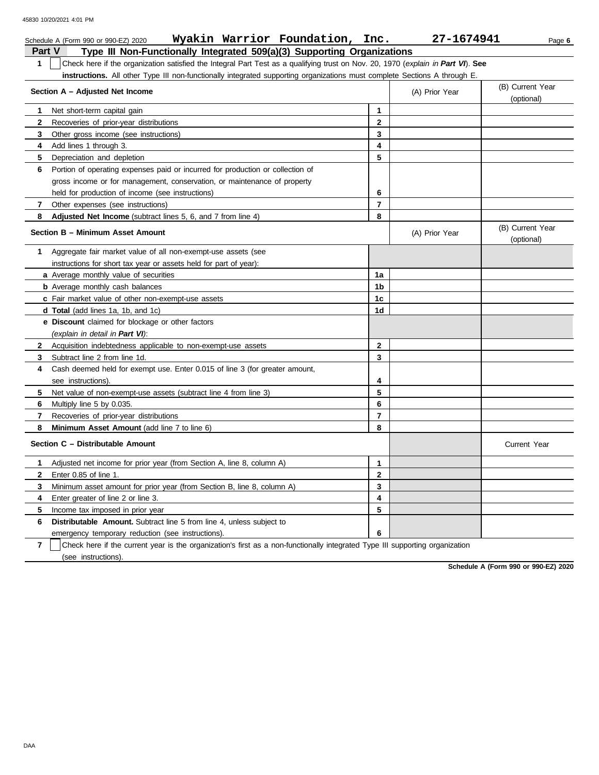|              | Wyakin Warrior Foundation, Inc.<br>Schedule A (Form 990 or 990-EZ) 2020                                                          |                | 27-1674941     | Page 6                         |
|--------------|----------------------------------------------------------------------------------------------------------------------------------|----------------|----------------|--------------------------------|
| Part V       | Type III Non-Functionally Integrated 509(a)(3) Supporting Organizations                                                          |                |                |                                |
| 1            | Check here if the organization satisfied the Integral Part Test as a qualifying trust on Nov. 20, 1970 (explain in Part VI). See |                |                |                                |
|              | instructions. All other Type III non-functionally integrated supporting organizations must complete Sections A through E.        |                |                |                                |
|              | Section A - Adjusted Net Income                                                                                                  |                | (A) Prior Year | (B) Current Year<br>(optional) |
| 1            | Net short-term capital gain                                                                                                      | $\mathbf{1}$   |                |                                |
| $\mathbf{2}$ | Recoveries of prior-year distributions                                                                                           | $\mathbf{2}$   |                |                                |
| 3            | Other gross income (see instructions)                                                                                            | 3              |                |                                |
| 4            | Add lines 1 through 3.                                                                                                           | 4              |                |                                |
| 5            | Depreciation and depletion                                                                                                       | 5              |                |                                |
| 6            | Portion of operating expenses paid or incurred for production or collection of                                                   |                |                |                                |
|              | gross income or for management, conservation, or maintenance of property                                                         |                |                |                                |
|              | held for production of income (see instructions)                                                                                 | 6              |                |                                |
| 7            | Other expenses (see instructions)                                                                                                | $\overline{7}$ |                |                                |
| 8            | Adjusted Net Income (subtract lines 5, 6, and 7 from line 4)                                                                     | 8              |                |                                |
|              | Section B - Minimum Asset Amount                                                                                                 |                | (A) Prior Year | (B) Current Year<br>(optional) |
| 1            | Aggregate fair market value of all non-exempt-use assets (see                                                                    |                |                |                                |
|              | instructions for short tax year or assets held for part of year):                                                                |                |                |                                |
|              | a Average monthly value of securities                                                                                            | 1a             |                |                                |
|              | <b>b</b> Average monthly cash balances                                                                                           | 1b             |                |                                |
|              | c Fair market value of other non-exempt-use assets                                                                               | 1c             |                |                                |
|              | <b>d Total</b> (add lines 1a, 1b, and 1c)                                                                                        | 1d             |                |                                |
|              | e Discount claimed for blockage or other factors                                                                                 |                |                |                                |
|              | (explain in detail in Part VI):                                                                                                  |                |                |                                |
| $\mathbf{2}$ | Acquisition indebtedness applicable to non-exempt-use assets                                                                     | $\mathbf{2}$   |                |                                |
| 3            | Subtract line 2 from line 1d.                                                                                                    | 3              |                |                                |
| 4            | Cash deemed held for exempt use. Enter 0.015 of line 3 (for greater amount,                                                      |                |                |                                |
|              | see instructions).                                                                                                               | 4              |                |                                |
| 5            | Net value of non-exempt-use assets (subtract line 4 from line 3)                                                                 | 5              |                |                                |
| 6            | Multiply line 5 by 0.035.                                                                                                        | 6              |                |                                |
| 7            | Recoveries of prior-year distributions                                                                                           | $\overline{7}$ |                |                                |
| 8            | Minimum Asset Amount (add line 7 to line 6)                                                                                      | 8              |                |                                |
|              | Section C - Distributable Amount                                                                                                 |                |                | <b>Current Year</b>            |
| 1            | Adjusted net income for prior year (from Section A, line 8, column A)                                                            | 1              |                |                                |
| $\mathbf{2}$ | Enter 0.85 of line 1.                                                                                                            | 2              |                |                                |
| 3            | Minimum asset amount for prior year (from Section B, line 8, column A)                                                           | 3              |                |                                |
| 4            | Enter greater of line 2 or line 3.                                                                                               | 4              |                |                                |
| 5            | Income tax imposed in prior year                                                                                                 | 5              |                |                                |
| 6            | <b>Distributable Amount.</b> Subtract line 5 from line 4, unless subject to                                                      |                |                |                                |
|              | emergency temporary reduction (see instructions).                                                                                | 6              |                |                                |

**7** | Check here if the current year is the organization's first as a non-functionally integrated Type III supporting organization (see instructions).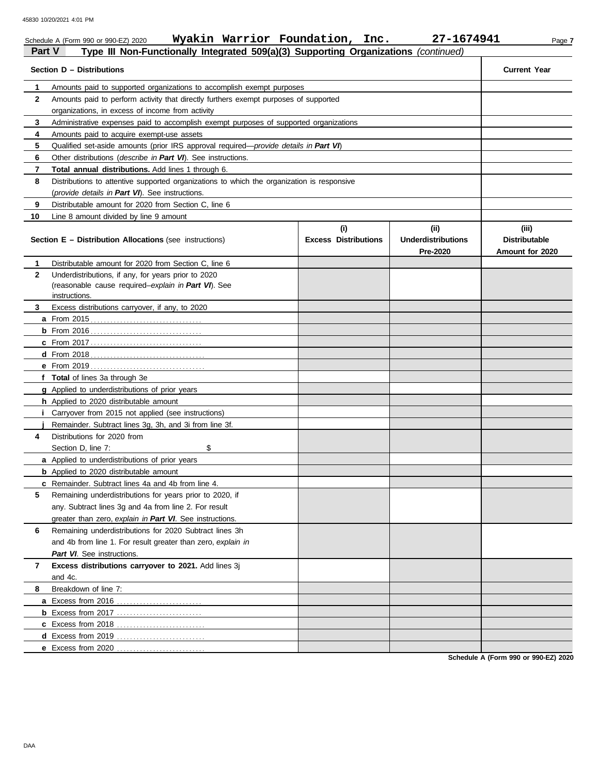|               | Wyakin Warrior Foundation, Inc.<br>Schedule A (Form 990 or 990-EZ) 2020                       |                                    | 27-1674941                                    | Page 7                                           |
|---------------|-----------------------------------------------------------------------------------------------|------------------------------------|-----------------------------------------------|--------------------------------------------------|
| <b>Part V</b> | Type III Non-Functionally Integrated 509(a)(3) Supporting Organizations (continued)           |                                    |                                               |                                                  |
|               | Section D - Distributions                                                                     |                                    |                                               | <b>Current Year</b>                              |
| 1             | Amounts paid to supported organizations to accomplish exempt purposes                         |                                    |                                               |                                                  |
| $\mathbf{2}$  | Amounts paid to perform activity that directly furthers exempt purposes of supported          |                                    |                                               |                                                  |
|               | organizations, in excess of income from activity                                              |                                    |                                               |                                                  |
| 3             | Administrative expenses paid to accomplish exempt purposes of supported organizations         |                                    |                                               |                                                  |
| 4             | Amounts paid to acquire exempt-use assets                                                     |                                    |                                               |                                                  |
| 5             | Qualified set-aside amounts (prior IRS approval required— <i>provide details in Part VI</i> ) |                                    |                                               |                                                  |
| 6             | Other distributions (describe in Part VI). See instructions.                                  |                                    |                                               |                                                  |
| 7             | <b>Total annual distributions.</b> Add lines 1 through 6.                                     |                                    |                                               |                                                  |
| 8             | Distributions to attentive supported organizations to which the organization is responsive    |                                    |                                               |                                                  |
|               | (provide details in Part VI). See instructions.                                               |                                    |                                               |                                                  |
| 9             | Distributable amount for 2020 from Section C, line 6                                          |                                    |                                               |                                                  |
| 10            | Line 8 amount divided by line 9 amount                                                        |                                    |                                               |                                                  |
|               | <b>Section E - Distribution Allocations (see instructions)</b>                                | (i)<br><b>Excess Distributions</b> | (ii)<br><b>Underdistributions</b><br>Pre-2020 | (iii)<br><b>Distributable</b><br>Amount for 2020 |
| 1             | Distributable amount for 2020 from Section C, line 6                                          |                                    |                                               |                                                  |
| $\mathbf{2}$  | Underdistributions, if any, for years prior to 2020                                           |                                    |                                               |                                                  |
|               | (reasonable cause required-explain in Part VI). See                                           |                                    |                                               |                                                  |
|               | instructions.                                                                                 |                                    |                                               |                                                  |
| 3             | Excess distributions carryover, if any, to 2020                                               |                                    |                                               |                                                  |
|               |                                                                                               |                                    |                                               |                                                  |
|               |                                                                                               |                                    |                                               |                                                  |
|               |                                                                                               |                                    |                                               |                                                  |
|               |                                                                                               |                                    |                                               |                                                  |
|               |                                                                                               |                                    |                                               |                                                  |
|               | f Total of lines 3a through 3e                                                                |                                    |                                               |                                                  |
|               | g Applied to underdistributions of prior years                                                |                                    |                                               |                                                  |
|               | h Applied to 2020 distributable amount                                                        |                                    |                                               |                                                  |
|               | Carryover from 2015 not applied (see instructions)                                            |                                    |                                               |                                                  |
|               | Remainder. Subtract lines 3g, 3h, and 3i from line 3f.                                        |                                    |                                               |                                                  |
| 4             | Distributions for 2020 from                                                                   |                                    |                                               |                                                  |
|               | \$<br>Section D, line 7:                                                                      |                                    |                                               |                                                  |
|               | a Applied to underdistributions of prior years                                                |                                    |                                               |                                                  |
|               | <b>b</b> Applied to 2020 distributable amount                                                 |                                    |                                               |                                                  |
|               | c Remainder. Subtract lines 4a and 4b from line 4.                                            |                                    |                                               |                                                  |
| 5             | Remaining underdistributions for years prior to 2020, if                                      |                                    |                                               |                                                  |
|               | any. Subtract lines 3g and 4a from line 2. For result                                         |                                    |                                               |                                                  |
|               | greater than zero, explain in Part VI. See instructions.                                      |                                    |                                               |                                                  |
| 6             | Remaining underdistributions for 2020 Subtract lines 3h                                       |                                    |                                               |                                                  |
|               | and 4b from line 1. For result greater than zero, explain in                                  |                                    |                                               |                                                  |
|               | Part VI. See instructions.                                                                    |                                    |                                               |                                                  |
| 7             | Excess distributions carryover to 2021. Add lines 3j                                          |                                    |                                               |                                                  |
|               | and 4c.                                                                                       |                                    |                                               |                                                  |
| 8             | Breakdown of line 7:                                                                          |                                    |                                               |                                                  |
|               | <b>a</b> Excess from 2016                                                                     |                                    |                                               |                                                  |
|               |                                                                                               |                                    |                                               |                                                  |
|               |                                                                                               |                                    |                                               |                                                  |
|               |                                                                                               |                                    |                                               |                                                  |
|               | e Excess from 2020                                                                            |                                    |                                               |                                                  |
|               |                                                                                               |                                    |                                               |                                                  |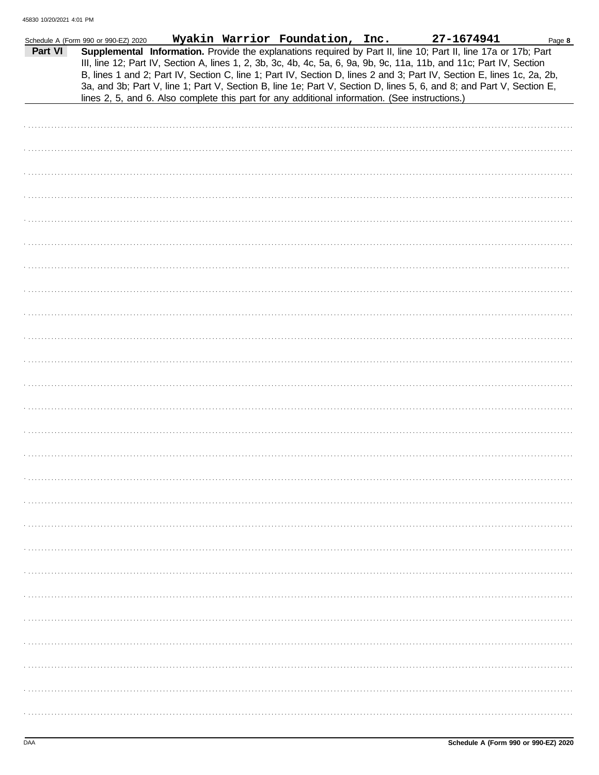| Part VI | Schedule A (Form 990 or 990-EZ) 2020 |  | Wyakin Warrior Foundation, Inc. | Supplemental Information. Provide the explanations required by Part II, line 10; Part II, line 17a or 17b; Part<br>III, line 12; Part IV, Section A, lines 1, 2, 3b, 3c, 4b, 4c, 5a, 6, 9a, 9b, 9c, 11a, 11b, and 11c; Part IV, Section                                                                                                          | 27-1674941 | Page 8 |
|---------|--------------------------------------|--|---------------------------------|--------------------------------------------------------------------------------------------------------------------------------------------------------------------------------------------------------------------------------------------------------------------------------------------------------------------------------------------------|------------|--------|
|         |                                      |  |                                 | B, lines 1 and 2; Part IV, Section C, line 1; Part IV, Section D, lines 2 and 3; Part IV, Section E, lines 1c, 2a, 2b,<br>3a, and 3b; Part V, line 1; Part V, Section B, line 1e; Part V, Section D, lines 5, 6, and 8; and Part V, Section E,<br>lines 2, 5, and 6. Also complete this part for any additional information. (See instructions.) |            |        |
|         |                                      |  |                                 |                                                                                                                                                                                                                                                                                                                                                  |            |        |
|         |                                      |  |                                 |                                                                                                                                                                                                                                                                                                                                                  |            |        |
|         |                                      |  |                                 |                                                                                                                                                                                                                                                                                                                                                  |            |        |
|         |                                      |  |                                 |                                                                                                                                                                                                                                                                                                                                                  |            |        |
|         |                                      |  |                                 |                                                                                                                                                                                                                                                                                                                                                  |            |        |
|         |                                      |  |                                 |                                                                                                                                                                                                                                                                                                                                                  |            |        |
|         |                                      |  |                                 |                                                                                                                                                                                                                                                                                                                                                  |            |        |
|         |                                      |  |                                 |                                                                                                                                                                                                                                                                                                                                                  |            |        |
|         |                                      |  |                                 |                                                                                                                                                                                                                                                                                                                                                  |            |        |
|         |                                      |  |                                 |                                                                                                                                                                                                                                                                                                                                                  |            |        |
|         |                                      |  |                                 |                                                                                                                                                                                                                                                                                                                                                  |            |        |
|         |                                      |  |                                 |                                                                                                                                                                                                                                                                                                                                                  |            |        |
|         |                                      |  |                                 |                                                                                                                                                                                                                                                                                                                                                  |            |        |
|         |                                      |  |                                 |                                                                                                                                                                                                                                                                                                                                                  |            |        |
|         |                                      |  |                                 |                                                                                                                                                                                                                                                                                                                                                  |            |        |
|         |                                      |  |                                 |                                                                                                                                                                                                                                                                                                                                                  |            |        |
|         |                                      |  |                                 |                                                                                                                                                                                                                                                                                                                                                  |            |        |
|         |                                      |  |                                 |                                                                                                                                                                                                                                                                                                                                                  |            |        |
|         |                                      |  |                                 |                                                                                                                                                                                                                                                                                                                                                  |            |        |
|         |                                      |  |                                 |                                                                                                                                                                                                                                                                                                                                                  |            |        |
|         |                                      |  |                                 |                                                                                                                                                                                                                                                                                                                                                  |            |        |
|         |                                      |  |                                 |                                                                                                                                                                                                                                                                                                                                                  |            |        |
|         |                                      |  |                                 |                                                                                                                                                                                                                                                                                                                                                  |            |        |
|         |                                      |  |                                 |                                                                                                                                                                                                                                                                                                                                                  |            |        |
|         |                                      |  |                                 |                                                                                                                                                                                                                                                                                                                                                  |            |        |
|         |                                      |  |                                 |                                                                                                                                                                                                                                                                                                                                                  |            |        |
|         |                                      |  |                                 |                                                                                                                                                                                                                                                                                                                                                  |            |        |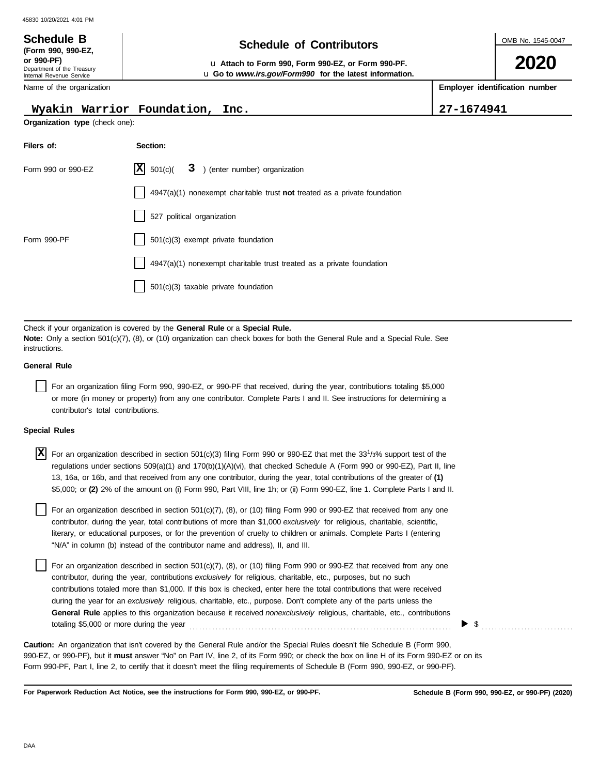### OMB No. 1545-0047 Department of the Treasury Internal Revenue Service Name of the organization **2020 Schedule of Contributors Schedule B (Form 990, 990-EZ, or 990-PF)** u **Attach to Form 990, Form 990-EZ, or Form 990-PF. Employer identification number** u **Go to** *www.irs.gov/Form990* **for the latest information.**

## **Wyakin Warrior Foundation, Inc. 27-1674941**

**Organization type** (check one):

| Filers of:         | Section:                                                                  |
|--------------------|---------------------------------------------------------------------------|
| Form 990 or 990-EZ | $ \mathbf{X} $ 501(c)( 3) (enter number) organization                     |
|                    | 4947(a)(1) nonexempt charitable trust not treated as a private foundation |
|                    | 527 political organization                                                |
| Form 990-PF        | 501(c)(3) exempt private foundation                                       |
|                    | 4947(a)(1) nonexempt charitable trust treated as a private foundation     |
|                    | 501(c)(3) taxable private foundation                                      |

Check if your organization is covered by the **General Rule** or a **Special Rule. Note:** Only a section 501(c)(7), (8), or (10) organization can check boxes for both the General Rule and a Special Rule. See instructions.

## **General Rule**

For an organization filing Form 990, 990-EZ, or 990-PF that received, during the year, contributions totaling \$5,000 or more (in money or property) from any one contributor. Complete Parts I and II. See instructions for determining a contributor's total contributions.

## **Special Rules**

For an organization described in section 501(c)(3) filing Form 990 or 990-EZ that met the 33<sup>1</sup> /3% support test of the **X** regulations under sections 509(a)(1) and 170(b)(1)(A)(vi), that checked Schedule A (Form 990 or 990-EZ), Part II, line 13, 16a, or 16b, and that received from any one contributor, during the year, total contributions of the greater of **(1)** \$5,000; or **(2)** 2% of the amount on (i) Form 990, Part VIII, line 1h; or (ii) Form 990-EZ, line 1. Complete Parts I and II.

literary, or educational purposes, or for the prevention of cruelty to children or animals. Complete Parts I (entering For an organization described in section 501(c)(7), (8), or (10) filing Form 990 or 990-EZ that received from any one contributor, during the year, total contributions of more than \$1,000 *exclusively* for religious, charitable, scientific, "N/A" in column (b) instead of the contributor name and address), II, and III.

For an organization described in section 501(c)(7), (8), or (10) filing Form 990 or 990-EZ that received from any one contributor, during the year, contributions *exclusively* for religious, charitable, etc., purposes, but no such contributions totaled more than \$1,000. If this box is checked, enter here the total contributions that were received during the year for an *exclusively* religious, charitable, etc., purpose. Don't complete any of the parts unless the **General Rule** applies to this organization because it received *nonexclusively* religious, charitable, etc., contributions totaling \$5,000 or more during the year . . . . . . . . . . . . . . . . . . . . . . . . . . . . . . . . . . . . . . . . . . . . . . . . . . . . . . . . . . . . . . . . . . . . . . . . . . . . . . . .

990-EZ, or 990-PF), but it **must** answer "No" on Part IV, line 2, of its Form 990; or check the box on line H of its Form 990-EZ or on its Form 990-PF, Part I, line 2, to certify that it doesn't meet the filing requirements of Schedule B (Form 990, 990-EZ, or 990-PF). **Caution:** An organization that isn't covered by the General Rule and/or the Special Rules doesn't file Schedule B (Form 990,

**For Paperwork Reduction Act Notice, see the instructions for Form 990, 990-EZ, or 990-PF.**

 $\triangleright$  \$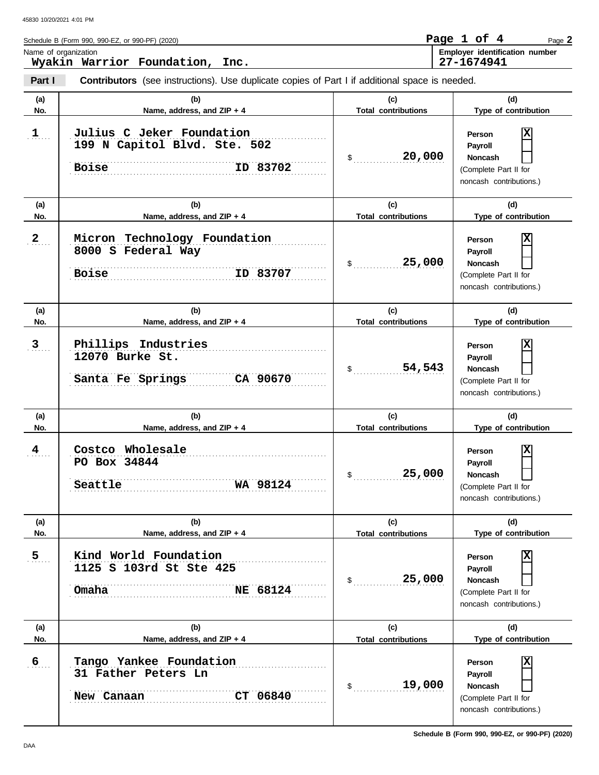|              | Schedule B (Form 990, 990-EZ, or 990-PF) (2020)                                                |                                   | Page 1 of 4<br>Page 2                                                                                   |
|--------------|------------------------------------------------------------------------------------------------|-----------------------------------|---------------------------------------------------------------------------------------------------------|
|              | Name of organization<br>Wyakin Warrior Foundation,<br>Inc.                                     |                                   | Employer identification number<br>27-1674941                                                            |
| Part I       | Contributors (see instructions). Use duplicate copies of Part I if additional space is needed. |                                   |                                                                                                         |
| (a)<br>No.   | (b)<br>Name, address, and ZIP + 4                                                              | (c)<br><b>Total contributions</b> | (d)<br>Type of contribution                                                                             |
| $1$          | Julius C Jeker Foundation<br>199 N Capitol Blvd. Ste. 502<br>ID 83702<br><b>Boise</b>          | 20,000<br>\$                      | Χ<br>Person<br>Payroll<br>Noncash<br>(Complete Part II for<br>noncash contributions.)                   |
| (a)          | (b)                                                                                            | (c)                               | (d)                                                                                                     |
| No.          | Name, address, and ZIP + 4                                                                     | <b>Total contributions</b>        | Type of contribution                                                                                    |
| $\mathbf{2}$ | Micron Technology Foundation<br>8000 S Federal Way<br><b>Boise</b><br>ID 83707                 | 25,000<br>$\mathsf{\$}$           | Χ<br>Person<br>Payroll<br>Noncash<br>(Complete Part II for<br>noncash contributions.)                   |
| (a)          | (b)                                                                                            | (c)                               | (d)                                                                                                     |
| No.          | Name, address, and ZIP + 4                                                                     | <b>Total contributions</b>        | Type of contribution                                                                                    |
| $\mathbf{3}$ | Phillips Industries<br>12070 Burke St.<br>CA 90670<br>Santa Fe Springs                         | 54,543<br>$\mathfrak s$           | Х<br>Person<br>Payroll<br>Noncash<br>(Complete Part II for<br>noncash contributions.)                   |
| (a)          | (b)                                                                                            | (c)                               | (d)                                                                                                     |
| No.          | Name, address, and ZIP + 4                                                                     | <b>Total contributions</b>        | Type of contribution                                                                                    |
| 4            | Costco Wholesale<br>PO Box 34844<br>WA 98124<br>Seattle                                        | 25,000                            | X<br><b>Person</b><br>Payroll<br>Noncash<br>$\perp$<br>(Complete Part II for<br>noncash contributions.) |
| (a)          | (b)                                                                                            | (c)                               | (d)                                                                                                     |
| No.          | Name, address, and ZIP + 4                                                                     | <b>Total contributions</b>        | Type of contribution                                                                                    |
| 5            | Kind World Foundation<br>1125 S 103rd St Ste 425<br>NE 68124<br>Omaha                          | 25,000<br>\$                      | X<br>Person<br>Payroll<br><b>Noncash</b><br>(Complete Part II for<br>noncash contributions.)            |
| (a)          | (b)                                                                                            | (c)                               | (d)                                                                                                     |
| No.          | Name, address, and ZIP + 4                                                                     | <b>Total contributions</b>        | Type of contribution                                                                                    |
| 6            | Tango Yankee Foundation<br>31 Father Peters Ln<br>CT 06840<br>New Canaan                       | 19,000<br>\$                      | X<br>Person<br>Payroll<br><b>Noncash</b><br>(Complete Part II for<br>noncash contributions.)            |

H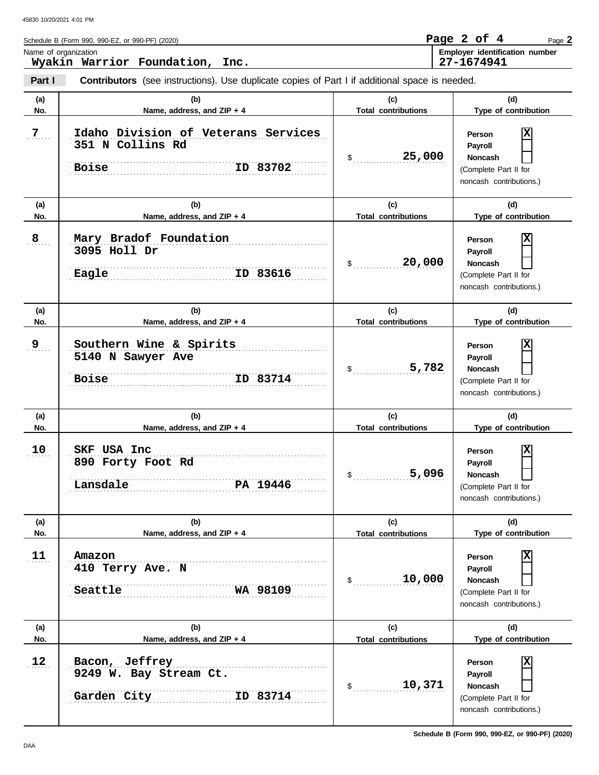| Name of organization | Schedule B (Form 990, 990-EZ, or 990-PF) (2020)                                                                                          |                                                       | Page 2 of 4<br>Page 2<br>Employer identification number                                                              |
|----------------------|------------------------------------------------------------------------------------------------------------------------------------------|-------------------------------------------------------|----------------------------------------------------------------------------------------------------------------------|
| Part I               | Wyakin Warrior Foundation, Inc.<br><b>Contributors</b> (see instructions). Use duplicate copies of Part I if additional space is needed. |                                                       | 27-1674941                                                                                                           |
|                      |                                                                                                                                          |                                                       |                                                                                                                      |
| (a)<br>No.           | (b)<br>Name, address, and ZIP + 4                                                                                                        | (c)<br><b>Total contributions</b>                     | (d)<br>Type of contribution                                                                                          |
| 7.                   | Idaho Division of Veterans Services<br>351 N Collins Rd<br>ID 83702<br><b>Boise</b>                                                      | 25,000<br>\$                                          | Person<br>Payroll<br><b>Noncash</b><br>(Complete Part II for<br>noncash contributions.)                              |
| (a)<br>No.           | (b)<br>Name, address, and ZIP + 4                                                                                                        | (c)<br><b>Total contributions</b>                     | (d)<br>Type of contribution                                                                                          |
| 8                    | Mary Bradof Foundation<br>3095 Holl Dr<br>ID 83616<br>Eagle                                                                              | 20,000<br>\$                                          | Person<br>Payroll<br><b>Noncash</b><br>(Complete Part II for<br>noncash contributions.)                              |
| (a)<br>No.           | (b)<br>Name, address, and ZIP + 4                                                                                                        | (c)<br><b>Total contributions</b>                     | (d)<br>Type of contribution                                                                                          |
| 9                    | Southern Wine & Spirits<br>5140 N Sawyer Ave<br>ID 83714<br><b>Boise</b>                                                                 | 5,782<br>\$                                           | Person<br>Payroll<br>Noncash<br>(Complete Part II for<br>noncash contributions.)                                     |
| (a)<br>No.           | (b)<br>Name, address, and ZIP + 4                                                                                                        | (c)<br><b>Total contributions</b>                     | (d)<br>Type of contribution                                                                                          |
| 10                   | USA Inc<br>SKF<br>890 Forty Foot Rd<br>Lansdale<br>PA 19446                                                                              | 5,096<br>\$                                           | x<br>Person<br>Payroll<br>Noncash<br>(Complete Part II for<br>noncash contributions.)                                |
| (a)<br>No.           | (b)<br>Name, address, and ZIP + 4                                                                                                        | (c)<br><b>Total contributions</b>                     | (d)<br>Type of contribution                                                                                          |
| 11                   | Amazon<br>410 Terry Ave. N<br>Seattle<br>WA 98109                                                                                        | 10,000<br>$\mathsf{\$}$                               | х<br>Person<br>Payroll<br><b>Noncash</b><br>(Complete Part II for<br>noncash contributions.)                         |
| (a)                  | (b)                                                                                                                                      | (c)                                                   | (d)                                                                                                                  |
| No.<br>12            | Name, address, and ZIP + 4<br>Bacon, Jeffrey<br>9249 W. Bay Stream Ct.<br>ID 83714<br>Garden City                                        | <b>Total contributions</b><br>10,371<br>$\mathsf{\$}$ | Type of contribution<br>х<br>Person<br>Payroll<br><b>Noncash</b><br>(Complete Part II for<br>noncash contributions.) |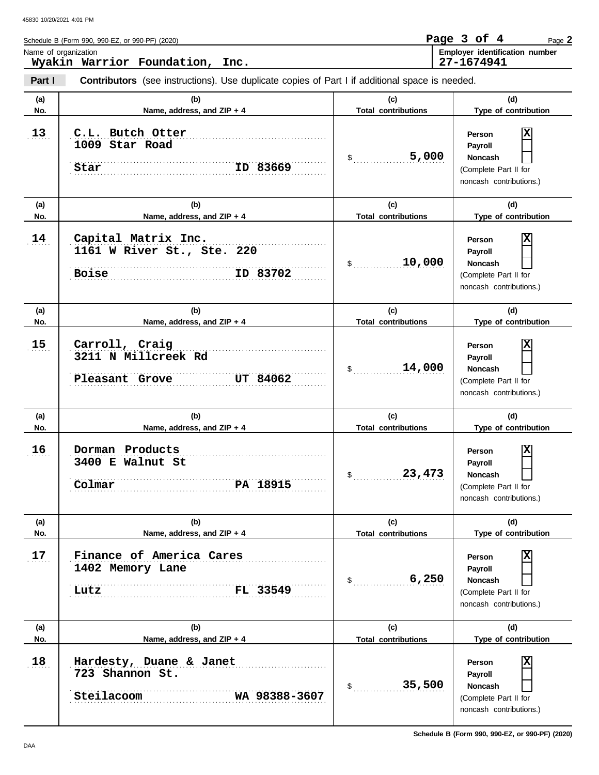|            | Schedule B (Form 990, 990-EZ, or 990-PF) (2020)                                                                |                                                       | Page 3 of 4<br>Page 2                                                                                           |
|------------|----------------------------------------------------------------------------------------------------------------|-------------------------------------------------------|-----------------------------------------------------------------------------------------------------------------|
|            | Name of organization<br>Wyakin Warrior Foundation, Inc.                                                        |                                                       | Employer identification number<br>27-1674941                                                                    |
| Part I     | <b>Contributors</b> (see instructions). Use duplicate copies of Part I if additional space is needed.          |                                                       |                                                                                                                 |
| (a)<br>No. | (b)<br>Name, address, and ZIP + 4                                                                              | (c)<br><b>Total contributions</b>                     | (d)<br>Type of contribution                                                                                     |
| 13         | C.L. Butch Otter<br>1009 Star Road<br>ID 83669<br>Star                                                         | 5,000<br>\$                                           | Person<br>Payroll<br><b>Noncash</b><br>(Complete Part II for<br>noncash contributions.)                         |
| (a)<br>No. | (b)<br>Name, address, and ZIP + 4                                                                              | (c)<br><b>Total contributions</b>                     | (d)<br>Type of contribution                                                                                     |
| 14         | Capital Matrix Inc.<br>1161 W River St., Ste. 220<br>ID 83702<br><b>Boise</b>                                  | 10,000<br>$\mathfrak s$                               | Person<br>Payroll<br><b>Noncash</b><br>(Complete Part II for<br>noncash contributions.)                         |
| (a)<br>No. | (b)<br>Name, address, and ZIP + 4                                                                              | (c)<br><b>Total contributions</b>                     | (d)<br>Type of contribution                                                                                     |
| 15         | Carroll, Craig<br>3211 N Millcreek Rd<br>Pleasant Grove<br>UT 84062                                            | 14,000<br>$\frac{1}{2}$                               | Person<br>Payroll<br><b>Noncash</b><br>(Complete Part II for<br>noncash contributions.)                         |
| (a)<br>No. | (b)<br>Name, address, and ZIP + 4                                                                              | (c)<br><b>Total contributions</b>                     | (d)<br>Type of contribution                                                                                     |
| 16         | Dorman Products<br>3400 E Walnut St<br>PA 18915<br>Colmar                                                      | 23,473<br>\$                                          | х<br>Person<br>Payroll<br><b>Noncash</b><br>(Complete Part II for<br>noncash contributions.)                    |
| (a)<br>No. | (b)<br>Name, address, and ZIP + 4                                                                              | (c)<br><b>Total contributions</b>                     | (d)<br>Type of contribution                                                                                     |
| 17         | Finance of America Cares<br>1402 Memory Lane<br>.<br>FL 33549<br>Lutz                                          | 6,250<br>$\frac{1}{2}$                                | Person<br>Payroll<br><b>Noncash</b><br>(Complete Part II for<br>noncash contributions.)                         |
| (a)        | (b)                                                                                                            | (c)                                                   | (d)                                                                                                             |
| No.<br>18  | Name, address, and ZIP + 4<br>Hardesty, Duane & Janet<br>723 Shannon St.<br><b>Steilacoom</b><br>WA 98388-3607 | <b>Total contributions</b><br>35,500<br>$\mathsf{\$}$ | Type of contribution<br>Person<br>Payroll<br><b>Noncash</b><br>(Complete Part II for<br>noncash contributions.) |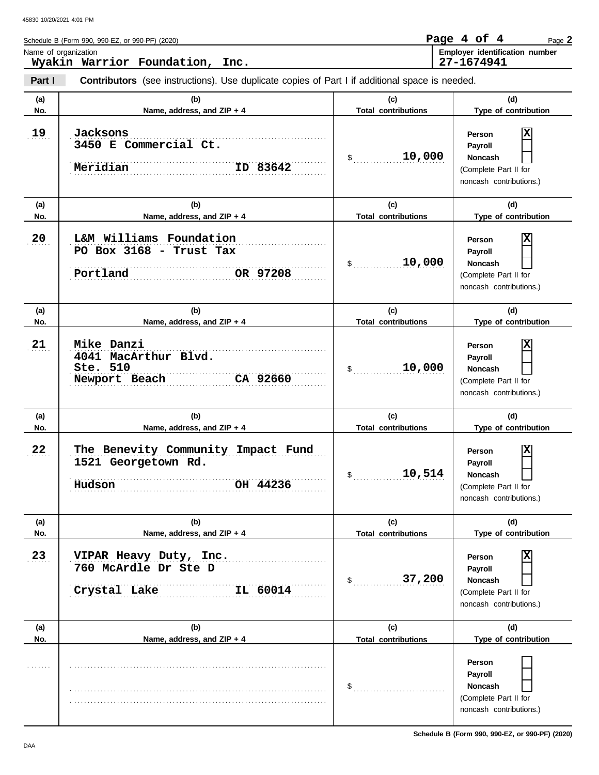**Part I Type of contribution Person Payroll Noncash (a) (b) (c) (d)** No. No. Name, address, and ZIP + 4 **Total contributions** Type of contribution **Person Payroll Noncash (a) (b) (c) (d) No. Name, address, and ZIP + 4 Type of contribution Person Payroll Noncash (a) (b) (c) (d)** No. Name, address, and ZIP + 4 **Total contributions** Type of contribution **Person Payroll Noncash** Schedule B (Form 990, 990-EZ, or 990-PF) (2020) \$ . . . . . . . . . . . . . . . . . . . . . . . . . . . . **10,000** (Complete Part II for noncash contributions.)  $\mathsf{\$}$  . . . . . . . . . . . . . . . . (Complete Part II for noncash contributions.) \$ . . . . . . . . . . . . . . . . . . . . . . . . . . . . **10,000** (Complete Part II for noncash contributions.)  $\frac{1}{2}$ (Complete Part II for noncash contributions.)  $\frac{1}{2}$ (Complete Part II for noncash contributions.) \$ . . . . . . . . . . . . . . . . . . . . . . . . . . . . (Complete Part II for noncash contributions.) **Contributors** (see instructions). Use duplicate copies of Part I if additional space is needed. **(a) (b) (c) (d) No. Name, address, and ZIP + 4 Total contributions Type of contribution Person Payroll Noncash (a) (b) (c) (d) No. Name, address, and ZIP + 4 Type of contribution Person Payroll Noncash (a) (b) (c) (d) No. Name, address, and ZIP + 4** Name of organization **Employer identification number** 19  $20$  $21$  $22$ 23 . . . . . . . . . . . . . . . . . . . . . . . . . . . . . . . . . . . . . . . . . . . . . . . . . . . . . . . . . . . . . . . . . . . . . . . . . . . . . . . . . . . . . . . . . . . . . . . . . . . . . . . . . . . . . . . . . . . . . . . . . . . . . . . . . . . . . . . . . . . . . . . . . . . . . . . . . . . . . . . . . . . . . . . . . . . . . . . . . . . . . . . . . . . . . . . . . . . . . . . . . . . . . . . . . . . . . . . . . . . . . . . . . . . . . . . . . . . . . . . . . . . . . . . . . . . . . . . . . . . . . . . . . . . . . . . . . . . . . . . . . . . . . . . . . . . . . . . . . . . . . . . . . . . . . . . . . . . . . . . **23 VIPAR Heavy Duty, Inc.** . . . . . . . . . . . . . . . . . . . . . . . . . . . . . . . . . . . . . . . . . . . . . . . . . . . . . . . . . . . . . . . . . . . . . . . . . . . . . . . . . . . . . . . . . . . . . . . . . . . . . . . . . . . . . . . . . . . . . . . . . . . . . . . . . . . . . . . . . . . . . . . . . . . . . . . . . . . . **Crystal Lake IL 60014** . . . . . . . . . . . . . . . . . . . . . . . . . . . . . . . . . . . . . . . . . . . . . . . . . . . . . . . . . . . . . . . . . . . . . . . . . . . . . . **Hudson OH 44236** . . . . . . . . . . . . . . . . . . . . . . . . . . . . . . . . . . . . . . . . . . . . . . . . . . . . . . . . . . . . . . . . . . . . . . . . . . . . . . 22 The Benevity Community Impact Fund . . . . . . . . . . . . . . . . . . . . . . . . . . . . . . . . . . . . . . . . . . . . . . . . . . . . . . . . . . . . . . . . . . . . . . . . . . . . . . . . . . . . . . . . . . . . . . . . . . . . . . . . . . . . . . . . . . . . . . . . . . . . . . . . . . . . . . . . . . . . . . . . . . . . . . . . . . . . . . . . . . . . . . . . . . . . . . . . . . . . . . . . . . . . . . . . . . . . . . . . . . . . . . . . . . . . . . . . . . . . . . . . . . . . . . . . . . **Newport Beach CA 92660** . . . . . . . . . . . . . . . . . . . . . . . . . . . . . . . . . . . . . . . . . . . . . . . . . . . . . . . . . . . . . . . . . . . . . . . . . . . . . . . . . . . . . . . . . . . . . . . . . . . . . . . . . . . . . . . . . . . . . . . . . . . . . . . . . . . . . . . . . . . . . . . . . . . . . . . . . . . . **Portland OR 97208** . . . . . . . . . . . . . . . . . . . . . . . . . . . . . . . . . . . . . . . . . . . . . . . . . . . . . . . . . . . . . . . . . . . . . . . . . . . . . . **20 L&M Williams Foundation** . . . . . . . . . . . . . . . . . . . . . . . . . . . . . . . . . . . . . . . . . . . . . . . . . . . . . . . . . . . . . . . . . . . . . . . . . . . . . . **3450 E Commercial Ct.** ID 83642 . . . . . . . . . . . . . . . . . . . . . . . . . . . . . . . . . . . . . . . . . . . . . . . . . . . . . . . . . . . . . . . . . . . . . . . . . . . . . . **Total contributions Total contributions Total contributions Total contributions Total contributions** Page **2 Wyakin Warrior Foundation, Inc. Page 4 of 4 27-1674941 19 Jacksons**  $Meridian$ **X PO Box 3168 - Trust Tax 10,000 X 21 Mike Danzi 4041 MacArthur Blvd. Ste. 510 X 1521 Georgetown Rd. 10,514 X 760 McArdle Dr Ste D 37,200 X**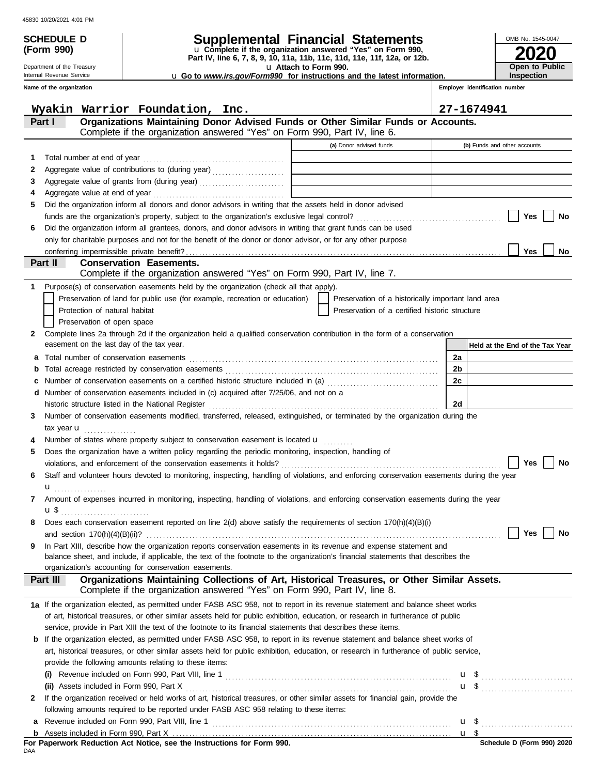Department of the Treasury Internal Revenue Service

**(Form 990)**

| Schedule d | <b>Supplemental Financial Statements</b> |  |
|------------|------------------------------------------|--|
|            |                                          |  |

**Part IV, line 6, 7, 8, 9, 10, 11a, 11b, 11c, 11d, 11e, 11f, 12a, or 12b.** u **Complete if the organization answered "Yes" on Form 990,**

u **Attach to Form 990.** 

u **Go to** *www.irs.gov/Form990* **for instructions and the latest information.**

**Employer identification number Open to Public Inspection**

**2020**

OMB No. 1545-0047

|          | Name of the organization |                                                                                                                                                                                            |                                                                            | Employer identification number  |
|----------|--------------------------|--------------------------------------------------------------------------------------------------------------------------------------------------------------------------------------------|----------------------------------------------------------------------------|---------------------------------|
|          |                          | Wyakin Warrior Foundation, Inc.                                                                                                                                                            |                                                                            | 27-1674941                      |
| Part I   |                          | Organizations Maintaining Donor Advised Funds or Other Similar Funds or Accounts.<br>Complete if the organization answered "Yes" on Form 990, Part IV, line 6.                             |                                                                            |                                 |
|          |                          |                                                                                                                                                                                            | (a) Donor advised funds                                                    | (b) Funds and other accounts    |
| 1        |                          |                                                                                                                                                                                            | the control of the control of the control                                  |                                 |
| 2        |                          | Aggregate value of contributions to (during year)                                                                                                                                          | the control of the control of the control of the control of the control of |                                 |
| 3        |                          |                                                                                                                                                                                            | the control of the control of the control of the control of the control of |                                 |
| 4        |                          |                                                                                                                                                                                            |                                                                            |                                 |
| 5        |                          | Did the organization inform all donors and donor advisors in writing that the assets held in donor advised                                                                                 |                                                                            |                                 |
|          |                          |                                                                                                                                                                                            |                                                                            | Yes<br>No                       |
| 6        |                          | Did the organization inform all grantees, donors, and donor advisors in writing that grant funds can be used                                                                               |                                                                            |                                 |
|          |                          | only for charitable purposes and not for the benefit of the donor or donor advisor, or for any other purpose                                                                               |                                                                            |                                 |
|          |                          |                                                                                                                                                                                            |                                                                            | <b>Yes</b><br>No                |
| Part II  |                          | <b>Conservation Easements.</b>                                                                                                                                                             |                                                                            |                                 |
|          |                          | Complete if the organization answered "Yes" on Form 990, Part IV, line 7.                                                                                                                  |                                                                            |                                 |
|          |                          | Purpose(s) of conservation easements held by the organization (check all that apply).                                                                                                      |                                                                            |                                 |
|          |                          | Preservation of land for public use (for example, recreation or education)                                                                                                                 | Preservation of a historically important land area                         |                                 |
|          |                          | Protection of natural habitat                                                                                                                                                              | Preservation of a certified historic structure                             |                                 |
|          |                          | Preservation of open space                                                                                                                                                                 |                                                                            |                                 |
| 2        |                          | Complete lines 2a through 2d if the organization held a qualified conservation contribution in the form of a conservation                                                                  |                                                                            |                                 |
|          |                          | easement on the last day of the tax year.                                                                                                                                                  |                                                                            | Held at the End of the Tax Year |
| а        |                          | Total number of conservation easements                                                                                                                                                     |                                                                            | 2a                              |
| b        |                          |                                                                                                                                                                                            |                                                                            | 2b                              |
| с        |                          | Number of conservation easements on a certified historic structure included in (a) [11] Number of conservation easements on a certified historic structure included in (a)                 |                                                                            | 2c                              |
| d        |                          | Number of conservation easements included in (c) acquired after 7/25/06, and not on a                                                                                                      |                                                                            |                                 |
|          |                          | historic structure listed in the National Register                                                                                                                                         |                                                                            | 2d                              |
| 3        |                          | Number of conservation easements modified, transferred, released, extinguished, or terminated by the organization during the                                                               |                                                                            |                                 |
|          |                          | tax year $\mathbf u$                                                                                                                                                                       |                                                                            |                                 |
|          |                          | Number of states where property subject to conservation easement is located u                                                                                                              |                                                                            |                                 |
| 5        |                          | Does the organization have a written policy regarding the periodic monitoring, inspection, handling of                                                                                     |                                                                            |                                 |
|          |                          |                                                                                                                                                                                            |                                                                            | <b>Yes</b><br>No                |
| 6        |                          | Staff and volunteer hours devoted to monitoring, inspecting, handling of violations, and enforcing conservation easements during the year                                                  |                                                                            |                                 |
|          |                          | $\mathbf{u}$ and $\mathbf{u}$                                                                                                                                                              |                                                                            |                                 |
|          |                          | Amount of expenses incurred in monitoring, inspecting, handling of violations, and enforcing conservation easements during the year                                                        |                                                                            |                                 |
|          |                          |                                                                                                                                                                                            |                                                                            |                                 |
|          |                          | Does each conservation easement reported on line 2(d) above satisfy the requirements of section 170(h)(4)(B)(i)                                                                            |                                                                            |                                 |
|          |                          | and section $170(h)(4)(B)(ii)?$                                                                                                                                                            |                                                                            | Yes<br>No                       |
| 9        |                          | In Part XIII, describe how the organization reports conservation easements in its revenue and expense statement and                                                                        |                                                                            |                                 |
|          |                          | balance sheet, and include, if applicable, the text of the footnote to the organization's financial statements that describes the<br>organization's accounting for conservation easements. |                                                                            |                                 |
| Part III |                          | Organizations Maintaining Collections of Art, Historical Treasures, or Other Similar Assets.                                                                                               |                                                                            |                                 |
|          |                          | Complete if the organization answered "Yes" on Form 990, Part IV, line 8.                                                                                                                  |                                                                            |                                 |
|          |                          | 1a If the organization elected, as permitted under FASB ASC 958, not to report in its revenue statement and balance sheet works                                                            |                                                                            |                                 |
|          |                          | of art, historical treasures, or other similar assets held for public exhibition, education, or research in furtherance of public                                                          |                                                                            |                                 |
|          |                          | service, provide in Part XIII the text of the footnote to its financial statements that describes these items.                                                                             |                                                                            |                                 |
| b        |                          | If the organization elected, as permitted under FASB ASC 958, to report in its revenue statement and balance sheet works of                                                                |                                                                            |                                 |
|          |                          | art, historical treasures, or other similar assets held for public exhibition, education, or research in furtherance of public service,                                                    |                                                                            |                                 |
|          |                          | provide the following amounts relating to these items:                                                                                                                                     |                                                                            |                                 |
|          | (i)                      |                                                                                                                                                                                            |                                                                            | u \$                            |
|          |                          | (ii) Assets included in Form 990, Part X                                                                                                                                                   |                                                                            |                                 |
| 2        |                          | If the organization received or held works of art, historical treasures, or other similar assets for financial gain, provide the                                                           |                                                                            |                                 |
|          |                          | following amounts required to be reported under FASB ASC 958 relating to these items:                                                                                                      |                                                                            |                                 |
|          |                          |                                                                                                                                                                                            |                                                                            |                                 |
|          |                          |                                                                                                                                                                                            |                                                                            |                                 |

Assets included in Form 990, Part X . . . . . . . . . . . . . . . . . . . . . . . . . . . . . . . . . . . . . . . . . . . . . . . . . . . . . . . . . . . . . . . . . . . . . . . . . . . . . . . . . . . . . **b**

<u>u \$</u>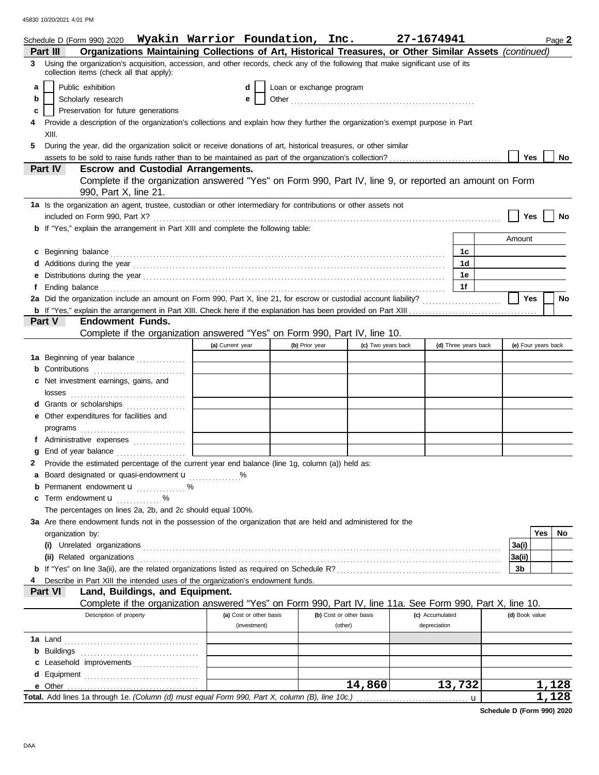|                | Schedule D (Form 990) 2020  Wyakin Warrior Foundation, Inc.                                                                                                                                                                          |                         |                          |                         | 27-1674941         |                      | Page 2              |
|----------------|--------------------------------------------------------------------------------------------------------------------------------------------------------------------------------------------------------------------------------------|-------------------------|--------------------------|-------------------------|--------------------|----------------------|---------------------|
| Part III       | Organizations Maintaining Collections of Art, Historical Treasures, or Other Similar Assets (continued)                                                                                                                              |                         |                          |                         |                    |                      |                     |
| 3.             | Using the organization's acquisition, accession, and other records, check any of the following that make significant use of its<br>collection items (check all that apply):                                                          |                         |                          |                         |                    |                      |                     |
| a              | Public exhibition                                                                                                                                                                                                                    | d                       | Loan or exchange program |                         |                    |                      |                     |
| b              | Scholarly research                                                                                                                                                                                                                   | е                       |                          |                         |                    |                      |                     |
| c              | Preservation for future generations                                                                                                                                                                                                  |                         |                          |                         |                    |                      |                     |
|                | Provide a description of the organization's collections and explain how they further the organization's exempt purpose in Part                                                                                                       |                         |                          |                         |                    |                      |                     |
|                | XIII.                                                                                                                                                                                                                                |                         |                          |                         |                    |                      |                     |
| 5              | During the year, did the organization solicit or receive donations of art, historical treasures, or other similar                                                                                                                    |                         |                          |                         |                    |                      |                     |
|                |                                                                                                                                                                                                                                      |                         |                          |                         |                    |                      | Yes<br>No           |
| <b>Part IV</b> | <b>Escrow and Custodial Arrangements.</b>                                                                                                                                                                                            |                         |                          |                         |                    |                      |                     |
|                | Complete if the organization answered "Yes" on Form 990, Part IV, line 9, or reported an amount on Form<br>990, Part X, line 21.                                                                                                     |                         |                          |                         |                    |                      |                     |
|                | 1a Is the organization an agent, trustee, custodian or other intermediary for contributions or other assets not                                                                                                                      |                         |                          |                         |                    |                      |                     |
|                |                                                                                                                                                                                                                                      |                         |                          |                         |                    |                      | Yes<br>No           |
|                | <b>b</b> If "Yes," explain the arrangement in Part XIII and complete the following table:                                                                                                                                            |                         |                          |                         |                    |                      |                     |
|                |                                                                                                                                                                                                                                      |                         |                          |                         |                    |                      | Amount              |
|                | c Beginning balance <b>contract the contract of the contract of the contract of the contract of the contract of the contract of the contract of the contract of the contract of the contract of the contract of the contract of </b> |                         |                          |                         |                    | 1c                   |                     |
|                |                                                                                                                                                                                                                                      |                         |                          |                         |                    | 1d                   |                     |
|                |                                                                                                                                                                                                                                      |                         |                          |                         |                    | 1e                   |                     |
|                | Ending balance <b>constructs</b> and constructs and constructs and constructs and constructs and constructs and constructs and constructs and constructs and constructs and constructs and constructs and constructs and constructs  |                         |                          |                         |                    | 1f                   |                     |
|                |                                                                                                                                                                                                                                      |                         |                          |                         |                    |                      | <b>Yes</b><br>No    |
|                |                                                                                                                                                                                                                                      |                         |                          |                         |                    |                      |                     |
| Part V         | <b>Endowment Funds.</b>                                                                                                                                                                                                              |                         |                          |                         |                    |                      |                     |
|                | Complete if the organization answered "Yes" on Form 990, Part IV, line 10.                                                                                                                                                           |                         |                          |                         |                    |                      |                     |
|                |                                                                                                                                                                                                                                      | (a) Current year        | (b) Prior year           |                         | (c) Two years back | (d) Three years back | (e) Four years back |
|                | <b>1a</b> Beginning of year balance                                                                                                                                                                                                  |                         |                          |                         |                    |                      |                     |
|                | Contributions <b>Contributions</b>                                                                                                                                                                                                   |                         |                          |                         |                    |                      |                     |
|                | c Net investment earnings, gains, and                                                                                                                                                                                                |                         |                          |                         |                    |                      |                     |
|                |                                                                                                                                                                                                                                      |                         |                          |                         |                    |                      |                     |
|                | d Grants or scholarships                                                                                                                                                                                                             |                         |                          |                         |                    |                      |                     |
|                | e Other expenditures for facilities and                                                                                                                                                                                              |                         |                          |                         |                    |                      |                     |
|                |                                                                                                                                                                                                                                      |                         |                          |                         |                    |                      |                     |
|                | f Administrative expenses                                                                                                                                                                                                            |                         |                          |                         |                    |                      |                     |
|                |                                                                                                                                                                                                                                      |                         |                          |                         |                    |                      |                     |
|                | Provide the estimated percentage of the current year end balance (line 1g, column (a)) held as:                                                                                                                                      |                         |                          |                         |                    |                      |                     |
|                | a Board designated or quasi-endowment <b>u</b>                                                                                                                                                                                       |                         |                          |                         |                    |                      |                     |
|                | <b>b</b> Permanent endowment <b>u</b> %                                                                                                                                                                                              |                         |                          |                         |                    |                      |                     |
|                | c Term endowment <b>u</b> %                                                                                                                                                                                                          |                         |                          |                         |                    |                      |                     |
|                | The percentages on lines 2a, 2b, and 2c should equal 100%.                                                                                                                                                                           |                         |                          |                         |                    |                      |                     |
|                | 3a Are there endowment funds not in the possession of the organization that are held and administered for the                                                                                                                        |                         |                          |                         |                    |                      |                     |
|                | organization by:                                                                                                                                                                                                                     |                         |                          |                         |                    |                      | Yes<br>No           |
|                |                                                                                                                                                                                                                                      |                         |                          |                         |                    |                      | 3a(i)               |
|                |                                                                                                                                                                                                                                      |                         |                          |                         |                    |                      | 3a(ii)              |
|                |                                                                                                                                                                                                                                      |                         |                          |                         |                    |                      | 3b                  |
| Part VI        | Describe in Part XIII the intended uses of the organization's endowment funds.<br>Land, Buildings, and Equipment.                                                                                                                    |                         |                          |                         |                    |                      |                     |
|                | Complete if the organization answered "Yes" on Form 990, Part IV, line 11a. See Form 990, Part X, line 10.                                                                                                                           |                         |                          |                         |                    |                      |                     |
|                | Description of property                                                                                                                                                                                                              | (a) Cost or other basis |                          | (b) Cost or other basis | (c) Accumulated    |                      | (d) Book value      |
|                |                                                                                                                                                                                                                                      | (investment)            |                          | (other)                 | depreciation       |                      |                     |
|                |                                                                                                                                                                                                                                      |                         |                          |                         |                    |                      |                     |
|                | <b>b</b> Buildings <b>contains a large design of the Buildings</b>                                                                                                                                                                   |                         |                          |                         |                    |                      |                     |
|                | c Leasehold improvements                                                                                                                                                                                                             |                         |                          |                         |                    |                      |                     |
|                |                                                                                                                                                                                                                                      |                         |                          |                         |                    |                      |                     |
|                |                                                                                                                                                                                                                                      |                         |                          | 14,860                  |                    | 13,732               | 1,128               |
|                | Total. Add lines 1a through 1e. (Column (d) must equal Form 990, Part X, column (B), line 10c.)                                                                                                                                      |                         |                          |                         |                    | u                    | 1,128               |
|                |                                                                                                                                                                                                                                      |                         |                          |                         |                    |                      |                     |

**Schedule D (Form 990) 2020**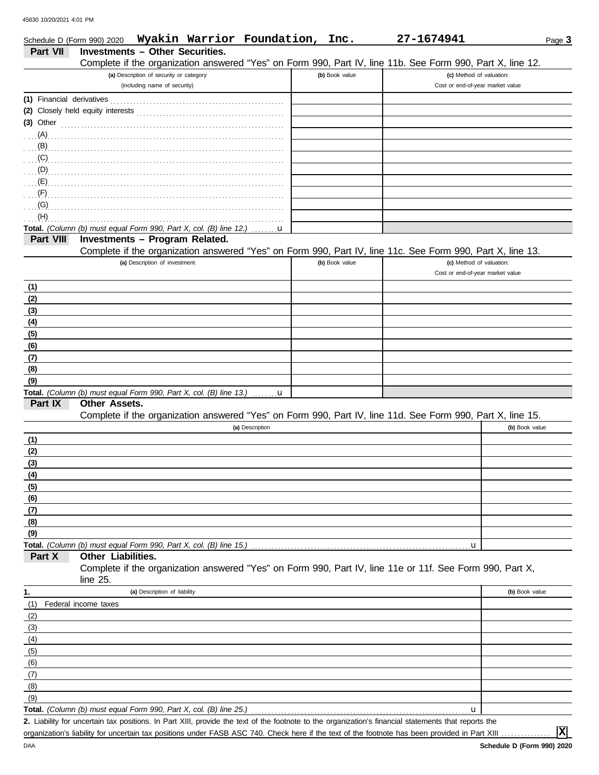DAA

|                 | Wyakin Warrior Foundation,<br>Schedule D (Form 990) 2020                                                                           | Inc.           | 27-1674941                       | Page 3         |
|-----------------|------------------------------------------------------------------------------------------------------------------------------------|----------------|----------------------------------|----------------|
| <b>Part VII</b> | <b>Investments - Other Securities.</b>                                                                                             |                |                                  |                |
|                 | Complete if the organization answered "Yes" on Form 990, Part IV, line 11b. See Form 990, Part X, line 12.                         |                |                                  |                |
|                 | (a) Description of security or category                                                                                            | (b) Book value | (c) Method of valuation:         |                |
|                 | (including name of security)                                                                                                       |                | Cost or end-of-year market value |                |
|                 |                                                                                                                                    |                |                                  |                |
|                 |                                                                                                                                    |                |                                  |                |
|                 | $(3)$ Other                                                                                                                        |                |                                  |                |
|                 |                                                                                                                                    |                |                                  |                |
|                 | $\mathbf{B}$                                                                                                                       |                |                                  |                |
| (C)             |                                                                                                                                    |                |                                  |                |
| (D)             |                                                                                                                                    |                |                                  |                |
|                 |                                                                                                                                    |                |                                  |                |
| (F)             |                                                                                                                                    |                |                                  |                |
| (G)<br>(H)      |                                                                                                                                    |                |                                  |                |
|                 | Total. (Column (b) must equal Form 990, Part X, col. (B) line 12.)<br>$\mathbf{u}$                                                 |                |                                  |                |
| Part VIII       | Investments - Program Related.                                                                                                     |                |                                  |                |
|                 | Complete if the organization answered "Yes" on Form 990, Part IV, line 11c. See Form 990, Part X, line 13.                         |                |                                  |                |
|                 | (a) Description of investment                                                                                                      | (b) Book value | (c) Method of valuation:         |                |
|                 |                                                                                                                                    |                | Cost or end-of-year market value |                |
| (1)             |                                                                                                                                    |                |                                  |                |
| (2)             |                                                                                                                                    |                |                                  |                |
| (3)             |                                                                                                                                    |                |                                  |                |
| (4)             |                                                                                                                                    |                |                                  |                |
| (5)             |                                                                                                                                    |                |                                  |                |
| (6)             |                                                                                                                                    |                |                                  |                |
| (7)             |                                                                                                                                    |                |                                  |                |
| (8)             |                                                                                                                                    |                |                                  |                |
| (9)             |                                                                                                                                    |                |                                  |                |
|                 | Total. (Column (b) must equal Form 990, Part X, col. (B) line 13.)  u                                                              |                |                                  |                |
| Part IX         | Other Assets.<br>Complete if the organization answered "Yes" on Form 990, Part IV, line 11d. See Form 990, Part X, line 15.        |                |                                  |                |
|                 | (a) Description                                                                                                                    |                |                                  | (b) Book value |
| (1)             |                                                                                                                                    |                |                                  |                |
| (2)             |                                                                                                                                    |                |                                  |                |
| (3)             |                                                                                                                                    |                |                                  |                |
| (4)             |                                                                                                                                    |                |                                  |                |
| (5)             |                                                                                                                                    |                |                                  |                |
| (6)             |                                                                                                                                    |                |                                  |                |
| (7)             |                                                                                                                                    |                |                                  |                |
| (8)             |                                                                                                                                    |                |                                  |                |
| (9)             |                                                                                                                                    |                |                                  |                |
|                 |                                                                                                                                    |                | u                                |                |
| Part X          | Other Liabilities.                                                                                                                 |                |                                  |                |
|                 | Complete if the organization answered "Yes" on Form 990, Part IV, line 11e or 11f. See Form 990, Part X,                           |                |                                  |                |
|                 | line $25$ .                                                                                                                        |                |                                  |                |
| 1.              | (a) Description of liability                                                                                                       |                |                                  | (b) Book value |
| (1)             | Federal income taxes                                                                                                               |                |                                  |                |
| (2)<br>(3)      |                                                                                                                                    |                |                                  |                |
| (4)             |                                                                                                                                    |                |                                  |                |
| (5)             |                                                                                                                                    |                |                                  |                |
| (6)             |                                                                                                                                    |                |                                  |                |
| (7)             |                                                                                                                                    |                |                                  |                |
| (8)             |                                                                                                                                    |                |                                  |                |
| (9)             |                                                                                                                                    |                |                                  |                |
|                 | <b>Total.</b> (Column (b) must equal Form 990, Part X, col. (B) line 25.)                                                          |                | u                                |                |
|                 | 2. Lipbility for unpertain tax positions. In Dart VIII, provide the taxt of the features to the experimeter's financial atotomants |                |                                  |                |

Liability for uncertain tax positions. In Part XIII, provide the text of the footnote to the organization's financial statements that reports the **2.**

**X**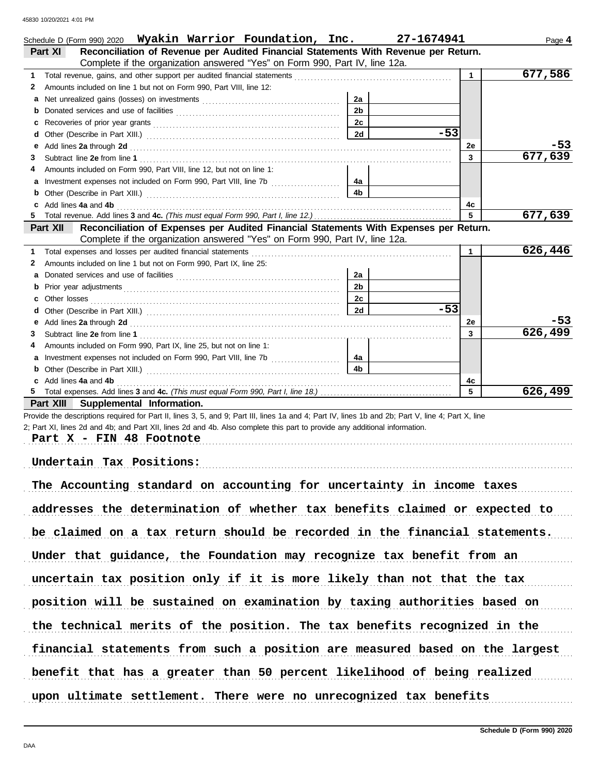|   | Schedule D (Form 990) 2020 Wyakin Warrior Foundation, Inc.                                                                                                                                                                     |                | 27-1674941 |                | Page 4  |
|---|--------------------------------------------------------------------------------------------------------------------------------------------------------------------------------------------------------------------------------|----------------|------------|----------------|---------|
|   | Reconciliation of Revenue per Audited Financial Statements With Revenue per Return.<br>Part XI                                                                                                                                 |                |            |                |         |
|   | Complete if the organization answered "Yes" on Form 990, Part IV, line 12a.                                                                                                                                                    |                |            |                |         |
| 1 |                                                                                                                                                                                                                                |                |            | $\mathbf 1$    | 677,586 |
| 2 | Amounts included on line 1 but not on Form 990, Part VIII, line 12:                                                                                                                                                            |                |            |                |         |
| a |                                                                                                                                                                                                                                | 2a             |            |                |         |
| b |                                                                                                                                                                                                                                | 2 <sub>b</sub> |            |                |         |
| C |                                                                                                                                                                                                                                | 2c             |            |                |         |
| d |                                                                                                                                                                                                                                | 2d             | $-53$      |                |         |
| е | Add lines 2a through 2d [11] Martin Martin Martin Martin Martin Martin Martin Martin Martin Martin Martin Martin Martin Martin Martin Martin Martin Martin Martin Martin Martin Martin Martin Martin Martin Martin Martin Mart |                |            | 2е             | -53     |
| 3 |                                                                                                                                                                                                                                |                |            | 3              | 677,639 |
| 4 | Amounts included on Form 990, Part VIII, line 12, but not on line 1:                                                                                                                                                           |                |            |                |         |
| а |                                                                                                                                                                                                                                | 4a             |            |                |         |
| b |                                                                                                                                                                                                                                | 4b             |            |                |         |
| c | Add lines 4a and 4b                                                                                                                                                                                                            |                |            | 4c             |         |
| 5 |                                                                                                                                                                                                                                |                |            | 5              | 677,639 |
|   | Reconciliation of Expenses per Audited Financial Statements With Expenses per Return.<br>Part XII                                                                                                                              |                |            |                |         |
|   | Complete if the organization answered "Yes" on Form 990, Part IV, line 12a.                                                                                                                                                    |                |            |                |         |
| 1 |                                                                                                                                                                                                                                |                |            | $\mathbf{1}$   | 626,446 |
| 2 | Amounts included on line 1 but not on Form 990, Part IX, line 25:                                                                                                                                                              |                |            |                |         |
| a |                                                                                                                                                                                                                                | 2a             |            |                |         |
| b |                                                                                                                                                                                                                                | 2 <sub>b</sub> |            |                |         |
|   |                                                                                                                                                                                                                                | 2с             |            |                |         |
| d |                                                                                                                                                                                                                                | 2d             | $-53$      |                |         |
| е | Add lines 2a through 2d [11, 12] Add lines 2a through 2d [12] Add lines 2a through 2d [12] Add lines 2a through 2d [12] Add and Add and Addu                                                                                   |                |            | 2е             | -53     |
| 3 |                                                                                                                                                                                                                                |                |            | $\overline{3}$ | 626,499 |
| 4 | Amounts included on Form 990, Part IX, line 25, but not on line 1:                                                                                                                                                             |                |            |                |         |
| а |                                                                                                                                                                                                                                | 4a             |            |                |         |
|   |                                                                                                                                                                                                                                | 4b             |            |                |         |
|   | c Add lines 4a and 4b                                                                                                                                                                                                          |                |            | 4c             |         |
| 5 |                                                                                                                                                                                                                                |                |            | 5              | 626,499 |
|   | Part XIII Supplemental Information.                                                                                                                                                                                            |                |            |                |         |
|   | Provide the descriptions required for Part II, lines 3, 5, and 9; Part III, lines 1a and 4; Part IV, lines 1b and 2b; Part V, line 4; Part X, line                                                                             |                |            |                |         |
|   | 2; Part XI, lines 2d and 4b; and Part XII, lines 2d and 4b. Also complete this part to provide any additional information.                                                                                                     |                |            |                |         |
|   | Part X - FIN 48 Footnote                                                                                                                                                                                                       |                |            |                |         |
|   |                                                                                                                                                                                                                                |                |            |                |         |

**Undertain Tax Positions:**

| The Accounting standard on accounting for uncertainty in income taxes       |
|-----------------------------------------------------------------------------|
| addresses the determination of whether tax benefits claimed or expected to  |
| be claimed on a tax return should be recorded in the financial statements.  |
| Under that guidance, the Foundation may recognize tax benefit from an       |
| uncertain tax position only if it is more likely than not that the tax      |
| position will be sustained on examination by taxing authorities based on    |
| the technical merits of the position. The tax benefits recognized in the    |
| financial statements from such a position are measured based on the largest |
|                                                                             |
| benefit that has a greater than 50 percent likelihood of being realized     |
| upon ultimate settlement. There were no unrecognized tax benefits           |

. . . . . . . . . . . . . . . . . . . . . . . . . . . . . . . . . . . . . . . . . . . . . . . . . . . . . . . . . . . . . . . . . . . . . . . . . . . . . . . . . . . . . . . . . . . . . . . . . . . . . . . . . . . . . . . . . . . . . . . . . . . . . . . . . . . . . . . . . . . . . . . . . . . . . . . . . . . . . . . . . . . . . . .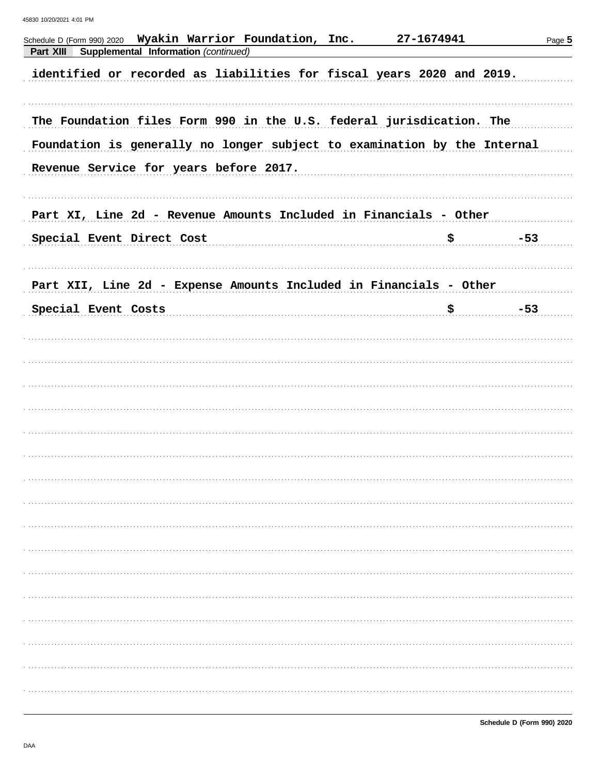| Schedule D (Form 990) 2020  Wyakin Warrior Foundation, Inc.<br>Part XIII<br>Supplemental Information (continued)                                                                           | 27-1674941 | Page 5 |
|--------------------------------------------------------------------------------------------------------------------------------------------------------------------------------------------|------------|--------|
| identified or recorded as liabilities for fiscal years 2020 and 2019.                                                                                                                      |            |        |
| The Foundation files Form 990 in the U.S. federal jurisdication. The<br>Foundation is generally no longer subject to examination by the Internal<br>Revenue Service for years before 2017. |            |        |
|                                                                                                                                                                                            |            |        |
| Part XI, Line 2d - Revenue Amounts Included in Financials - Other<br>Special Event Direct Cost<br><u>\$</u>                                                                                |            | $-53$  |
| Part XII, Line 2d - Expense Amounts Included in Financials - Other                                                                                                                         |            |        |
| Special Event Costs                                                                                                                                                                        | \$         | $-53$  |
|                                                                                                                                                                                            |            |        |
|                                                                                                                                                                                            |            |        |
|                                                                                                                                                                                            |            |        |
|                                                                                                                                                                                            |            |        |
|                                                                                                                                                                                            |            |        |
|                                                                                                                                                                                            |            |        |
|                                                                                                                                                                                            |            |        |
|                                                                                                                                                                                            |            |        |
|                                                                                                                                                                                            |            |        |
|                                                                                                                                                                                            |            |        |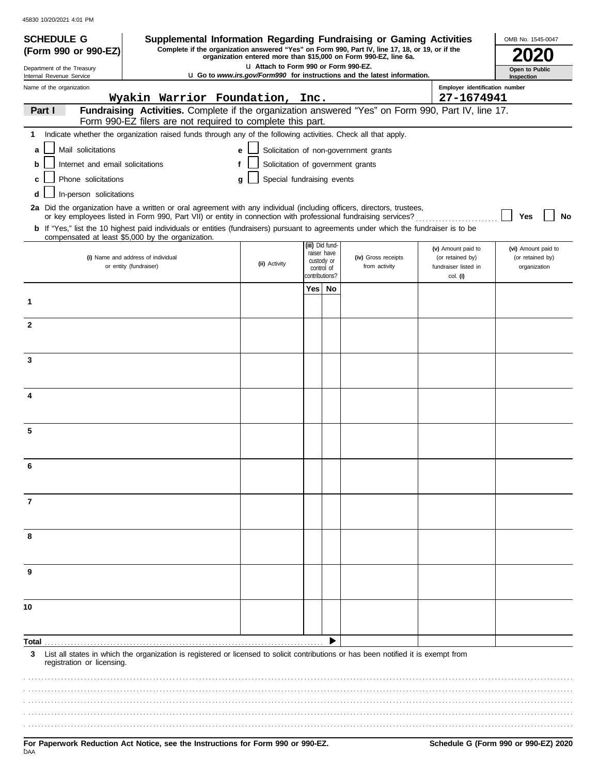| <b>SCHEDULE G</b>                                                                                                                                                                  |                        |                                                            |  |   |                                   |     |                                                           | Supplemental Information Regarding Fundraising or Gaming Activities                                                                                                                                                                                     |                                                      | OMB No. 1545-0047                |
|------------------------------------------------------------------------------------------------------------------------------------------------------------------------------------|------------------------|------------------------------------------------------------|--|---|-----------------------------------|-----|-----------------------------------------------------------|---------------------------------------------------------------------------------------------------------------------------------------------------------------------------------------------------------------------------------------------------------|------------------------------------------------------|----------------------------------|
| (Form 990 or 990-EZ)                                                                                                                                                               |                        |                                                            |  |   |                                   |     |                                                           | Complete if the organization answered "Yes" on Form 990, Part IV, line 17, 18, or 19, or if the<br>organization entered more than \$15,000 on Form 990-EZ, line 6a.                                                                                     |                                                      |                                  |
| LI Attach to Form 990 or Form 990-EZ.<br>Department of the Treasury<br><b>u</b> Go to www.irs.gov/Form990 for instructions and the latest information.<br>Internal Revenue Service |                        |                                                            |  |   |                                   |     |                                                           | Open to Public<br>Inspection                                                                                                                                                                                                                            |                                                      |                                  |
| Employer identification number<br>Name of the organization<br>Wyakin Warrior Foundation, Inc.<br>27-1674941                                                                        |                        |                                                            |  |   |                                   |     |                                                           |                                                                                                                                                                                                                                                         |                                                      |                                  |
| Part I                                                                                                                                                                             |                        | Form 990-EZ filers are not required to complete this part. |  |   |                                   |     |                                                           | Fundraising Activities. Complete if the organization answered "Yes" on Form 990, Part IV, line 17.                                                                                                                                                      |                                                      |                                  |
| 1                                                                                                                                                                                  |                        |                                                            |  |   |                                   |     |                                                           | Indicate whether the organization raised funds through any of the following activities. Check all that apply.                                                                                                                                           |                                                      |                                  |
| Mail solicitations<br>a                                                                                                                                                            |                        |                                                            |  | e |                                   |     |                                                           | Solicitation of non-government grants                                                                                                                                                                                                                   |                                                      |                                  |
| Internet and email solicitations<br>b                                                                                                                                              |                        |                                                            |  | f | Solicitation of government grants |     |                                                           |                                                                                                                                                                                                                                                         |                                                      |                                  |
| Phone solicitations<br>c                                                                                                                                                           |                        |                                                            |  | q | Special fundraising events        |     |                                                           |                                                                                                                                                                                                                                                         |                                                      |                                  |
| In-person solicitations                                                                                                                                                            |                        |                                                            |  |   |                                   |     |                                                           |                                                                                                                                                                                                                                                         |                                                      |                                  |
|                                                                                                                                                                                    |                        |                                                            |  |   |                                   |     |                                                           | 2a Did the organization have a written or oral agreement with any individual (including officers, directors, trustees,                                                                                                                                  |                                                      |                                  |
| compensated at least \$5,000 by the organization.                                                                                                                                  |                        |                                                            |  |   |                                   |     |                                                           | or key employees listed in Form 990, Part VII) or entity in connection with professional fundraising services?<br>b If "Yes," list the 10 highest paid individuals or entities (fundraisers) pursuant to agreements under which the fundraiser is to be |                                                      | Yes<br>No                        |
|                                                                                                                                                                                    |                        |                                                            |  |   |                                   |     | (iii) Did fund-                                           |                                                                                                                                                                                                                                                         | (v) Amount paid to                                   | (vi) Amount paid to              |
|                                                                                                                                                                                    | or entity (fundraiser) | (i) Name and address of individual                         |  |   | (ii) Activity                     |     | raiser have<br>custody or<br>control of<br>contributions? | (iv) Gross receipts<br>from activity                                                                                                                                                                                                                    | (or retained by)<br>fundraiser listed in<br>col. (i) | (or retained by)<br>organization |
|                                                                                                                                                                                    |                        |                                                            |  |   |                                   | Yes | No                                                        |                                                                                                                                                                                                                                                         |                                                      |                                  |
| 1                                                                                                                                                                                  |                        |                                                            |  |   |                                   |     |                                                           |                                                                                                                                                                                                                                                         |                                                      |                                  |
| $\mathbf{2}$                                                                                                                                                                       |                        |                                                            |  |   |                                   |     |                                                           |                                                                                                                                                                                                                                                         |                                                      |                                  |
|                                                                                                                                                                                    |                        |                                                            |  |   |                                   |     |                                                           |                                                                                                                                                                                                                                                         |                                                      |                                  |
| 3                                                                                                                                                                                  |                        |                                                            |  |   |                                   |     |                                                           |                                                                                                                                                                                                                                                         |                                                      |                                  |
|                                                                                                                                                                                    |                        |                                                            |  |   |                                   |     |                                                           |                                                                                                                                                                                                                                                         |                                                      |                                  |
| 4                                                                                                                                                                                  |                        |                                                            |  |   |                                   |     |                                                           |                                                                                                                                                                                                                                                         |                                                      |                                  |
|                                                                                                                                                                                    |                        |                                                            |  |   |                                   |     |                                                           |                                                                                                                                                                                                                                                         |                                                      |                                  |
| 5                                                                                                                                                                                  |                        |                                                            |  |   |                                   |     |                                                           |                                                                                                                                                                                                                                                         |                                                      |                                  |
|                                                                                                                                                                                    |                        |                                                            |  |   |                                   |     |                                                           |                                                                                                                                                                                                                                                         |                                                      |                                  |
| 6                                                                                                                                                                                  |                        |                                                            |  |   |                                   |     |                                                           |                                                                                                                                                                                                                                                         |                                                      |                                  |
|                                                                                                                                                                                    |                        |                                                            |  |   |                                   |     |                                                           |                                                                                                                                                                                                                                                         |                                                      |                                  |
| 7                                                                                                                                                                                  |                        |                                                            |  |   |                                   |     |                                                           |                                                                                                                                                                                                                                                         |                                                      |                                  |
|                                                                                                                                                                                    |                        |                                                            |  |   |                                   |     |                                                           |                                                                                                                                                                                                                                                         |                                                      |                                  |
| 8                                                                                                                                                                                  |                        |                                                            |  |   |                                   |     |                                                           |                                                                                                                                                                                                                                                         |                                                      |                                  |
|                                                                                                                                                                                    |                        |                                                            |  |   |                                   |     |                                                           |                                                                                                                                                                                                                                                         |                                                      |                                  |
| 9                                                                                                                                                                                  |                        |                                                            |  |   |                                   |     |                                                           |                                                                                                                                                                                                                                                         |                                                      |                                  |
|                                                                                                                                                                                    |                        |                                                            |  |   |                                   |     |                                                           |                                                                                                                                                                                                                                                         |                                                      |                                  |
| 10                                                                                                                                                                                 |                        |                                                            |  |   |                                   |     |                                                           |                                                                                                                                                                                                                                                         |                                                      |                                  |
|                                                                                                                                                                                    |                        |                                                            |  |   |                                   |     |                                                           |                                                                                                                                                                                                                                                         |                                                      |                                  |
| Total                                                                                                                                                                              |                        |                                                            |  |   |                                   |     |                                                           |                                                                                                                                                                                                                                                         |                                                      |                                  |
| 3<br>registration or licensing.                                                                                                                                                    |                        |                                                            |  |   |                                   |     |                                                           | List all states in which the organization is registered or licensed to solicit contributions or has been notified it is exempt from                                                                                                                     |                                                      |                                  |
|                                                                                                                                                                                    |                        |                                                            |  |   |                                   |     |                                                           |                                                                                                                                                                                                                                                         |                                                      |                                  |
|                                                                                                                                                                                    |                        |                                                            |  |   |                                   |     |                                                           |                                                                                                                                                                                                                                                         |                                                      |                                  |
|                                                                                                                                                                                    |                        |                                                            |  |   |                                   |     |                                                           |                                                                                                                                                                                                                                                         |                                                      |                                  |
|                                                                                                                                                                                    |                        |                                                            |  |   |                                   |     |                                                           |                                                                                                                                                                                                                                                         |                                                      |                                  |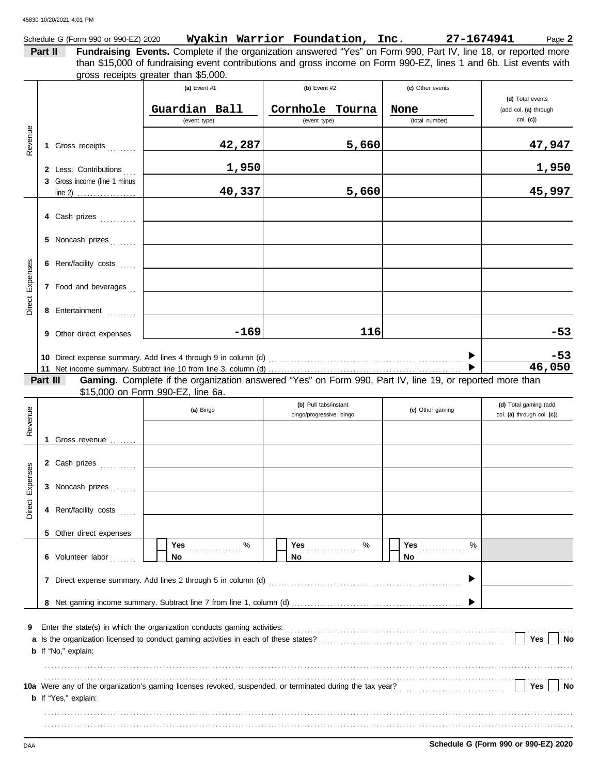|                 |         | Schedule G (Form 990 or 990-EZ) 2020 |                                                                                                                                                                                                                        | Wyakin Warrior Foundation, Inc. | 27-1674941       | Page 2                                    |
|-----------------|---------|--------------------------------------|------------------------------------------------------------------------------------------------------------------------------------------------------------------------------------------------------------------------|---------------------------------|------------------|-------------------------------------------|
|                 | Part II |                                      | Fundraising Events. Complete if the organization answered "Yes" on Form 990, Part IV, line 18, or reported more                                                                                                        |                                 |                  |                                           |
|                 |         |                                      | than \$15,000 of fundraising event contributions and gross income on Form 990-EZ, lines 1 and 6b. List events with<br>gross receipts greater than \$5,000.                                                             |                                 |                  |                                           |
|                 |         |                                      | (a) Event #1                                                                                                                                                                                                           | (b) Event #2                    | (c) Other events |                                           |
|                 |         |                                      | Guardian Ball                                                                                                                                                                                                          | Cornhole Tourna                 | None             | (d) Total events<br>(add col. (a) through |
|                 |         |                                      | (event type)                                                                                                                                                                                                           | (event type)                    | (total number)   | col. (c)                                  |
|                 |         |                                      |                                                                                                                                                                                                                        |                                 |                  |                                           |
| Revenue         |         | 1 Gross receipts                     | 42,287                                                                                                                                                                                                                 | 5,660                           |                  | 47,947                                    |
|                 |         | 2 Less: Contributions                | 1,950                                                                                                                                                                                                                  |                                 |                  | 1,950                                     |
|                 |         | 3 Gross income (line 1 minus         |                                                                                                                                                                                                                        |                                 |                  |                                           |
|                 |         | line 2) $\ldots$                     | 40,337                                                                                                                                                                                                                 | 5,660                           |                  | 45,997                                    |
|                 |         | 4 Cash prizes                        |                                                                                                                                                                                                                        |                                 |                  |                                           |
|                 |         | 5 Noncash prizes                     |                                                                                                                                                                                                                        |                                 |                  |                                           |
|                 |         | 6 Rent/facility costs                |                                                                                                                                                                                                                        |                                 |                  |                                           |
|                 |         | 7 Food and beverages                 |                                                                                                                                                                                                                        |                                 |                  |                                           |
| Direct Expenses |         |                                      |                                                                                                                                                                                                                        |                                 |                  |                                           |
|                 |         | 8 Entertainment                      |                                                                                                                                                                                                                        |                                 |                  |                                           |
|                 |         | 9 Other direct expenses              | $-169$                                                                                                                                                                                                                 | 116                             |                  | $-53$                                     |
|                 |         |                                      |                                                                                                                                                                                                                        |                                 |                  | $-53$                                     |
|                 |         |                                      |                                                                                                                                                                                                                        |                                 |                  | 46,050                                    |
|                 |         | Part III                             | Gaming. Complete if the organization answered "Yes" on Form 990, Part IV, line 19, or reported more than<br>\$15,000 on Form 990-EZ, line 6a.                                                                          |                                 |                  |                                           |
|                 |         |                                      |                                                                                                                                                                                                                        | (b) Pull tabs/instant           |                  | (d) Total gaming (add                     |
| Revenue         |         |                                      | (a) Bingo                                                                                                                                                                                                              | bingo/progressive bingo         | (c) Other gaming | col. (a) through col. (c))                |
|                 |         |                                      |                                                                                                                                                                                                                        |                                 |                  |                                           |
|                 |         | 1 Gross revenue                      |                                                                                                                                                                                                                        |                                 |                  |                                           |
| ses             |         | 2 Cash prizes                        |                                                                                                                                                                                                                        |                                 |                  |                                           |
| Expen           |         | 3 Noncash prizes                     |                                                                                                                                                                                                                        |                                 |                  |                                           |
| Direct          |         | 4 Rent/facility costs                |                                                                                                                                                                                                                        |                                 |                  |                                           |
|                 |         |                                      |                                                                                                                                                                                                                        |                                 |                  |                                           |
|                 |         | 5 Other direct expenses              |                                                                                                                                                                                                                        |                                 |                  |                                           |
|                 |         | 6 Volunteer labor                    | %<br>Yes<br>No                                                                                                                                                                                                         | $\%$<br>Yes<br>No               | Yes<br>%<br>No   |                                           |
|                 |         |                                      | 7 Direct expense summary. Add lines 2 through 5 in column (d)                                                                                                                                                          |                                 |                  |                                           |
|                 |         |                                      |                                                                                                                                                                                                                        |                                 |                  |                                           |
|                 |         |                                      |                                                                                                                                                                                                                        |                                 |                  |                                           |
| 9               |         |                                      | Enter the state(s) in which the organization conducts gaming activities:                                                                                                                                               |                                 |                  |                                           |
|                 |         | <b>b</b> If "No," explain:           | a Is the organization licensed to conduct gaming activities in each of these states?                                                                                                                                   |                                 |                  | Yes<br>No                                 |
|                 |         |                                      |                                                                                                                                                                                                                        |                                 |                  |                                           |
|                 |         |                                      | 10a Were any of the organization's gaming licenses revoked, suspended, or terminated during the tax year?<br>10a Were any of the organization's gaming licenses revoked, suspended, or terminated during the tax year? |                                 |                  | Yes<br>No                                 |
|                 |         | <b>b</b> If "Yes," explain:          |                                                                                                                                                                                                                        |                                 |                  |                                           |
|                 |         |                                      |                                                                                                                                                                                                                        |                                 |                  |                                           |
|                 |         |                                      |                                                                                                                                                                                                                        |                                 |                  |                                           |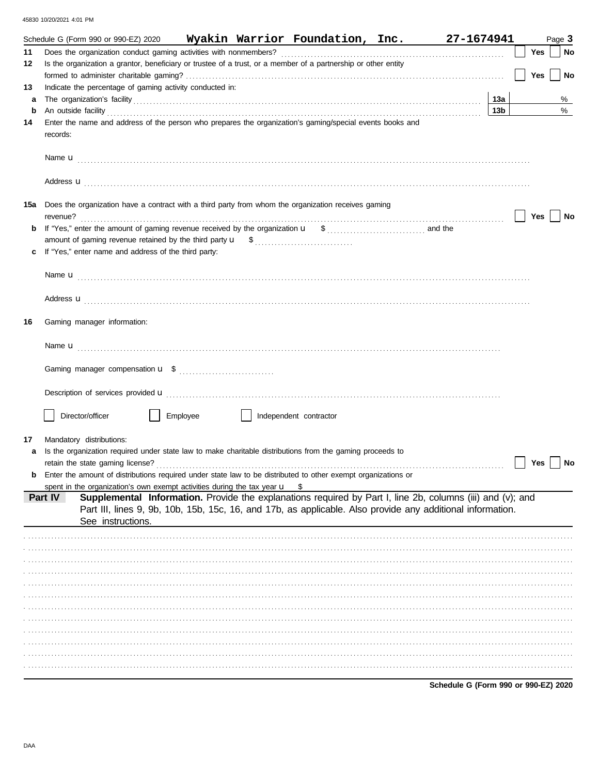|         | Schedule G (Form 990 or 990-EZ) 2020 Wyakin Warrior Foundation, Inc.                                                                                                                                                                                                                                                                             | 27-1674941                             |     | Page 3 |
|---------|--------------------------------------------------------------------------------------------------------------------------------------------------------------------------------------------------------------------------------------------------------------------------------------------------------------------------------------------------|----------------------------------------|-----|--------|
| 11      |                                                                                                                                                                                                                                                                                                                                                  |                                        | Yes | No     |
| 12      | Is the organization a grantor, beneficiary or trustee of a trust, or a member of a partnership or other entity                                                                                                                                                                                                                                   |                                        |     |        |
|         |                                                                                                                                                                                                                                                                                                                                                  |                                        | Yes | No     |
| 13      | Indicate the percentage of gaming activity conducted in:                                                                                                                                                                                                                                                                                         |                                        |     |        |
| a       |                                                                                                                                                                                                                                                                                                                                                  | 13a                                    |     | %      |
| b<br>14 | An outside facility <b>contained a set of the contract of the contract of the contract of the contract of the contract of the contract of the contract of the contract of the contract of the contract of the contract of the co</b><br>Enter the name and address of the person who prepares the organization's gaming/special events books and | 13 <sub>b</sub>                        |     | $\%$   |
|         | records:                                                                                                                                                                                                                                                                                                                                         |                                        |     |        |
|         |                                                                                                                                                                                                                                                                                                                                                  |                                        |     |        |
|         | Address <b>u</b>                                                                                                                                                                                                                                                                                                                                 |                                        |     |        |
|         | 15a Does the organization have a contract with a third party from whom the organization receives gaming<br>revenue?                                                                                                                                                                                                                              |                                        | Yes | No     |
| b       |                                                                                                                                                                                                                                                                                                                                                  |                                        |     |        |
|         |                                                                                                                                                                                                                                                                                                                                                  |                                        |     |        |
| c       | If "Yes," enter name and address of the third party:                                                                                                                                                                                                                                                                                             |                                        |     |        |
|         |                                                                                                                                                                                                                                                                                                                                                  |                                        |     |        |
|         |                                                                                                                                                                                                                                                                                                                                                  |                                        |     |        |
|         | Address <b>u</b>                                                                                                                                                                                                                                                                                                                                 |                                        |     |        |
| 16      | Gaming manager information:                                                                                                                                                                                                                                                                                                                      |                                        |     |        |
|         |                                                                                                                                                                                                                                                                                                                                                  |                                        |     |        |
|         |                                                                                                                                                                                                                                                                                                                                                  |                                        |     |        |
|         | Description of services provided <b>u</b> electron contract the contract of the contract of the contract of the contract of the contract of the contract of the contract of the contract of the contract of the contract of the con                                                                                                              |                                        |     |        |
|         | Director/officer<br>Employee<br>Independent contractor                                                                                                                                                                                                                                                                                           |                                        |     |        |
| 17      | Mandatory distributions:                                                                                                                                                                                                                                                                                                                         |                                        |     |        |
| a       | Is the organization required under state law to make charitable distributions from the gaming proceeds to                                                                                                                                                                                                                                        |                                        |     |        |
|         | retain the state gaming license?                                                                                                                                                                                                                                                                                                                 |                                        | Yes | No     |
| b       | Enter the amount of distributions required under state law to be distributed to other exempt organizations or                                                                                                                                                                                                                                    |                                        |     |        |
|         | spent in the organization's own exempt activities during the tax year $\mathbf{u}$ \$                                                                                                                                                                                                                                                            |                                        |     |        |
|         | Supplemental Information. Provide the explanations required by Part I, line 2b, columns (iii) and (v); and<br>Part IV<br>Part III, lines 9, 9b, 10b, 15b, 15c, 16, and 17b, as applicable. Also provide any additional information.<br>See instructions.                                                                                         |                                        |     |        |
|         |                                                                                                                                                                                                                                                                                                                                                  |                                        |     |        |
|         |                                                                                                                                                                                                                                                                                                                                                  |                                        |     |        |
|         |                                                                                                                                                                                                                                                                                                                                                  |                                        |     |        |
|         |                                                                                                                                                                                                                                                                                                                                                  |                                        |     |        |
|         |                                                                                                                                                                                                                                                                                                                                                  |                                        |     |        |
|         |                                                                                                                                                                                                                                                                                                                                                  |                                        |     |        |
|         |                                                                                                                                                                                                                                                                                                                                                  |                                        |     |        |
|         |                                                                                                                                                                                                                                                                                                                                                  |                                        |     |        |
|         |                                                                                                                                                                                                                                                                                                                                                  |                                        |     |        |
|         |                                                                                                                                                                                                                                                                                                                                                  |                                        |     |        |
|         |                                                                                                                                                                                                                                                                                                                                                  |                                        |     |        |
|         |                                                                                                                                                                                                                                                                                                                                                  | Calcedule O (Faure 000 as 000 F7) 0000 |     |        |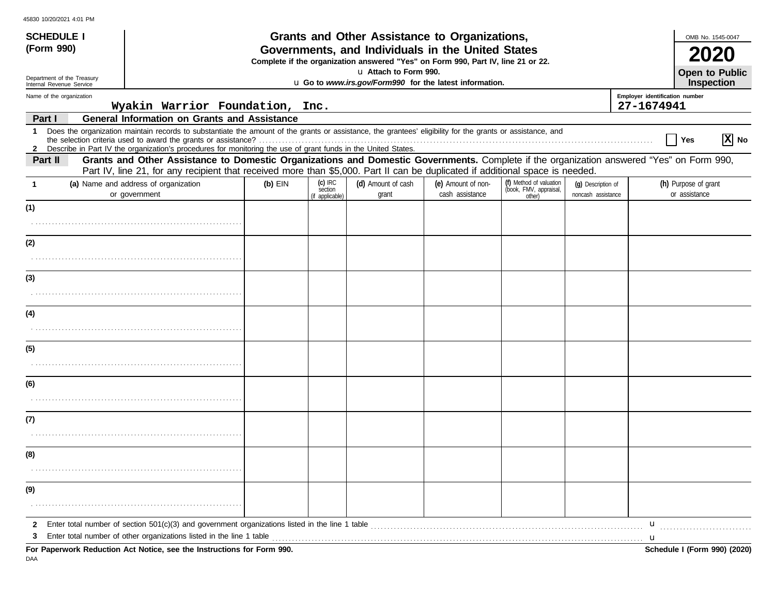| 45830 10/20/2021 4:01 PM |  |
|--------------------------|--|
|                          |  |

| <b>SCHEDULE I</b><br>(Form 990)<br>Department of the Treasury                                                                                                                                                                                                                                                                                                  |                                                                                                                               |           |                                         | Grants and Other Assistance to Organizations,<br>Governments, and Individuals in the United States<br>Complete if the organization answered "Yes" on Form 990, Part IV, line 21 or 22.<br>u Attach to Form 990. |                                       |                                                             |                                          | OMB No. 1545-0047<br>2020<br>Open to Public                                                                                              |
|----------------------------------------------------------------------------------------------------------------------------------------------------------------------------------------------------------------------------------------------------------------------------------------------------------------------------------------------------------------|-------------------------------------------------------------------------------------------------------------------------------|-----------|-----------------------------------------|-----------------------------------------------------------------------------------------------------------------------------------------------------------------------------------------------------------------|---------------------------------------|-------------------------------------------------------------|------------------------------------------|------------------------------------------------------------------------------------------------------------------------------------------|
| Internal Revenue Service                                                                                                                                                                                                                                                                                                                                       |                                                                                                                               |           |                                         | u Go to www.irs.gov/Form990 for the latest information.                                                                                                                                                         |                                       |                                                             |                                          | <b>Inspection</b>                                                                                                                        |
| Name of the organization                                                                                                                                                                                                                                                                                                                                       | Wyakin Warrior Foundation,                                                                                                    |           | Inc.                                    |                                                                                                                                                                                                                 |                                       |                                                             |                                          | Employer identification number<br>27-1674941                                                                                             |
| Part I                                                                                                                                                                                                                                                                                                                                                         | <b>General Information on Grants and Assistance</b>                                                                           |           |                                         |                                                                                                                                                                                                                 |                                       |                                                             |                                          |                                                                                                                                          |
| Does the organization maintain records to substantiate the amount of the grants or assistance, the grantees' eligibility for the grants or assistance, and<br>$\mathbf 1$<br>the selection criteria used to award the grants or assistance?<br>2 Describe in Part IV the organization's procedures for monitoring the use of grant funds in the United States. |                                                                                                                               |           |                                         |                                                                                                                                                                                                                 |                                       |                                                             |                                          | $ X $ No<br>Yes                                                                                                                          |
| Part II                                                                                                                                                                                                                                                                                                                                                        | Part IV, line 21, for any recipient that received more than \$5,000. Part II can be duplicated if additional space is needed. |           |                                         |                                                                                                                                                                                                                 |                                       |                                                             |                                          | Grants and Other Assistance to Domestic Organizations and Domestic Governments. Complete if the organization answered "Yes" on Form 990, |
| (a) Name and address of organization<br>$\mathbf{1}$<br>or government                                                                                                                                                                                                                                                                                          |                                                                                                                               | $(b)$ EIN | $(c)$ IRC<br>section<br>(if applicable) | (d) Amount of cash<br>grant                                                                                                                                                                                     | (e) Amount of non-<br>cash assistance | (f) Method of valuation<br>(book, FMV, appraisal,<br>other) | (q) Description of<br>noncash assistance | (h) Purpose of grant<br>or assistance                                                                                                    |
| (1)                                                                                                                                                                                                                                                                                                                                                            |                                                                                                                               |           |                                         |                                                                                                                                                                                                                 |                                       |                                                             |                                          |                                                                                                                                          |
|                                                                                                                                                                                                                                                                                                                                                                |                                                                                                                               |           |                                         |                                                                                                                                                                                                                 |                                       |                                                             |                                          |                                                                                                                                          |
| (2)                                                                                                                                                                                                                                                                                                                                                            |                                                                                                                               |           |                                         |                                                                                                                                                                                                                 |                                       |                                                             |                                          |                                                                                                                                          |
|                                                                                                                                                                                                                                                                                                                                                                |                                                                                                                               |           |                                         |                                                                                                                                                                                                                 |                                       |                                                             |                                          |                                                                                                                                          |
| (3)                                                                                                                                                                                                                                                                                                                                                            |                                                                                                                               |           |                                         |                                                                                                                                                                                                                 |                                       |                                                             |                                          |                                                                                                                                          |
|                                                                                                                                                                                                                                                                                                                                                                |                                                                                                                               |           |                                         |                                                                                                                                                                                                                 |                                       |                                                             |                                          |                                                                                                                                          |
| (4)                                                                                                                                                                                                                                                                                                                                                            |                                                                                                                               |           |                                         |                                                                                                                                                                                                                 |                                       |                                                             |                                          |                                                                                                                                          |
|                                                                                                                                                                                                                                                                                                                                                                |                                                                                                                               |           |                                         |                                                                                                                                                                                                                 |                                       |                                                             |                                          |                                                                                                                                          |
| (5)                                                                                                                                                                                                                                                                                                                                                            |                                                                                                                               |           |                                         |                                                                                                                                                                                                                 |                                       |                                                             |                                          |                                                                                                                                          |
|                                                                                                                                                                                                                                                                                                                                                                |                                                                                                                               |           |                                         |                                                                                                                                                                                                                 |                                       |                                                             |                                          |                                                                                                                                          |
| (6)                                                                                                                                                                                                                                                                                                                                                            |                                                                                                                               |           |                                         |                                                                                                                                                                                                                 |                                       |                                                             |                                          |                                                                                                                                          |
|                                                                                                                                                                                                                                                                                                                                                                |                                                                                                                               |           |                                         |                                                                                                                                                                                                                 |                                       |                                                             |                                          |                                                                                                                                          |
| (7)                                                                                                                                                                                                                                                                                                                                                            |                                                                                                                               |           |                                         |                                                                                                                                                                                                                 |                                       |                                                             |                                          |                                                                                                                                          |
|                                                                                                                                                                                                                                                                                                                                                                |                                                                                                                               |           |                                         |                                                                                                                                                                                                                 |                                       |                                                             |                                          |                                                                                                                                          |
| (8)                                                                                                                                                                                                                                                                                                                                                            |                                                                                                                               |           |                                         |                                                                                                                                                                                                                 |                                       |                                                             |                                          |                                                                                                                                          |
|                                                                                                                                                                                                                                                                                                                                                                |                                                                                                                               |           |                                         |                                                                                                                                                                                                                 |                                       |                                                             |                                          |                                                                                                                                          |
| (9)                                                                                                                                                                                                                                                                                                                                                            |                                                                                                                               |           |                                         |                                                                                                                                                                                                                 |                                       |                                                             |                                          |                                                                                                                                          |
|                                                                                                                                                                                                                                                                                                                                                                |                                                                                                                               |           |                                         |                                                                                                                                                                                                                 |                                       |                                                             |                                          |                                                                                                                                          |
| Enter total number of section 501(c)(3) and government organizations listed in the line 1 table [10] content to the manageral content total number of section 501(c)(3) and government organizations listed in the line 1 tabl<br>$\mathbf{2}$                                                                                                                 |                                                                                                                               |           |                                         |                                                                                                                                                                                                                 |                                       |                                                             |                                          | $\mathbf{u}$                                                                                                                             |
| Enter total number of other organizations listed in the line 1 table<br>3<br>For Paperwork Reduction Act Notice, see the Instructions for Form 990.                                                                                                                                                                                                            |                                                                                                                               |           |                                         |                                                                                                                                                                                                                 |                                       |                                                             |                                          | Schedule I (Form 990) (2020)                                                                                                             |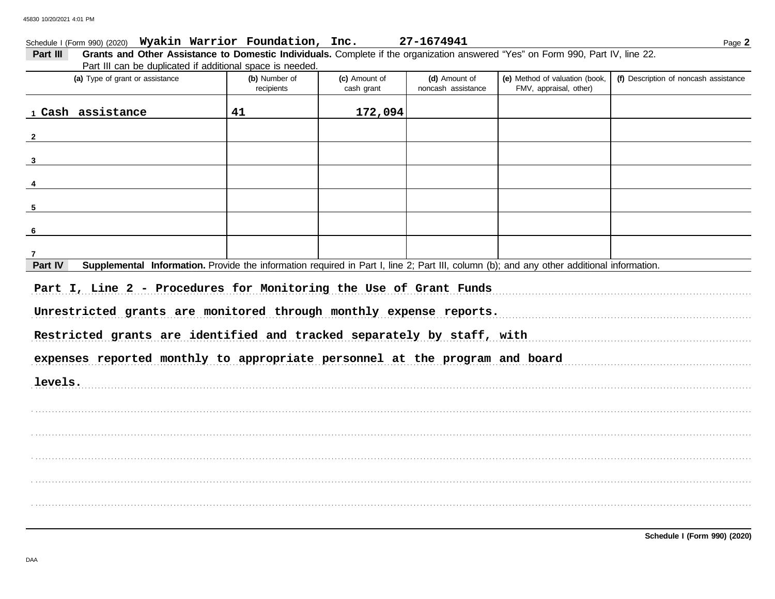## Schedule I (Form 990) (2020) Wyakin Warrior Foundation, Inc.

| Grants and Other Assistance to Domestic Individuals. Complete if the organization answered "Yes" on Form 990, Part IV, line 22.<br>Part III          |                             |               |                                     |                                                          |                                       |  |  |
|------------------------------------------------------------------------------------------------------------------------------------------------------|-----------------------------|---------------|-------------------------------------|----------------------------------------------------------|---------------------------------------|--|--|
| Part III can be duplicated if additional space is needed.                                                                                            |                             |               |                                     |                                                          |                                       |  |  |
| (a) Type of grant or assistance                                                                                                                      | (b) Number of<br>recipients | (c) Amount of | (d) Amount of<br>noncash assistance | (e) Method of valuation (book,<br>FMV, appraisal, other) | (f) Description of noncash assistance |  |  |
|                                                                                                                                                      |                             | cash grant    |                                     |                                                          |                                       |  |  |
| 1 Cash assistance                                                                                                                                    | 41                          | 172,094       |                                     |                                                          |                                       |  |  |
| $\overline{2}$                                                                                                                                       |                             |               |                                     |                                                          |                                       |  |  |
| $\mathbf{3}$                                                                                                                                         |                             |               |                                     |                                                          |                                       |  |  |
|                                                                                                                                                      |                             |               |                                     |                                                          |                                       |  |  |
| 5                                                                                                                                                    |                             |               |                                     |                                                          |                                       |  |  |
| -6                                                                                                                                                   |                             |               |                                     |                                                          |                                       |  |  |
|                                                                                                                                                      |                             |               |                                     |                                                          |                                       |  |  |
| Supplemental Information. Provide the information required in Part I, line 2; Part III, column (b); and any other additional information.<br>Part IV |                             |               |                                     |                                                          |                                       |  |  |
| Part I, Line 2 - Procedures for Monitoring the Use of Grant Funds                                                                                    |                             |               |                                     |                                                          |                                       |  |  |
| Unrestricted grants are monitored through monthly expense reports.                                                                                   |                             |               |                                     |                                                          |                                       |  |  |
| Restricted grants are identified and tracked separately by staff, with                                                                               |                             |               |                                     |                                                          |                                       |  |  |
| expenses reported monthly to appropriate personnel at the program and board                                                                          |                             |               |                                     |                                                          |                                       |  |  |
| levels.                                                                                                                                              |                             |               |                                     |                                                          |                                       |  |  |
|                                                                                                                                                      |                             |               |                                     |                                                          |                                       |  |  |
|                                                                                                                                                      |                             |               |                                     |                                                          |                                       |  |  |
|                                                                                                                                                      |                             |               |                                     |                                                          |                                       |  |  |
|                                                                                                                                                      |                             |               |                                     |                                                          |                                       |  |  |
|                                                                                                                                                      |                             |               |                                     |                                                          |                                       |  |  |
|                                                                                                                                                      |                             |               |                                     |                                                          |                                       |  |  |
|                                                                                                                                                      |                             |               |                                     |                                                          |                                       |  |  |

27-1674941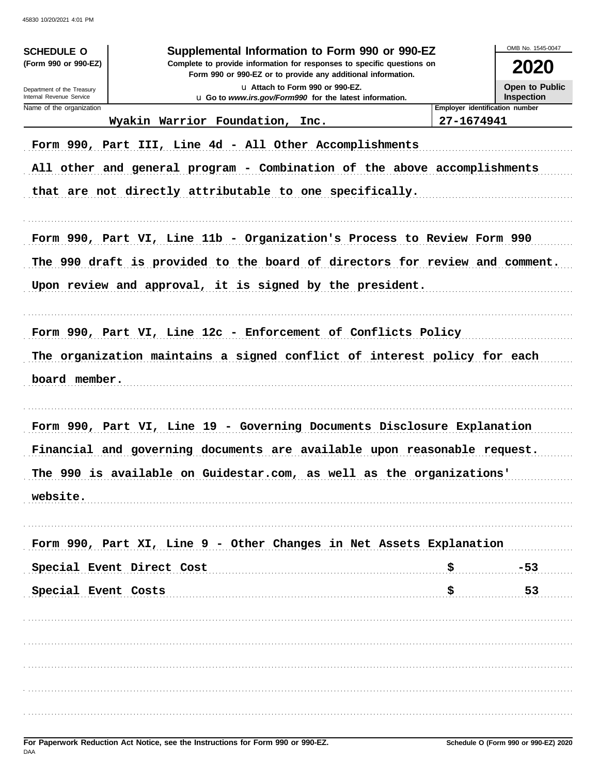| <b>SCHEDULE O</b><br>(Form 990 or 990-EZ)<br>Department of the Treasury<br>Internal Revenue Service |                                                                                                                                                     | OMB No. 1545-0047<br>2020<br><b>Open to Public</b><br><b>Inspection</b> |            |                                |
|-----------------------------------------------------------------------------------------------------|-----------------------------------------------------------------------------------------------------------------------------------------------------|-------------------------------------------------------------------------|------------|--------------------------------|
| Name of the organization                                                                            | u Go to www.irs.gov/Form990 for the latest information.                                                                                             |                                                                         |            | Employer identification number |
|                                                                                                     | Wyakin Warrior Foundation, Inc.                                                                                                                     |                                                                         | 27-1674941 |                                |
|                                                                                                     | Form 990, Part III, Line 4d - All Other Accomplishments                                                                                             |                                                                         |            |                                |
|                                                                                                     | All other and general program - Combination of the above accomplishments                                                                            |                                                                         |            |                                |
|                                                                                                     | that are not directly attributable to one specifically.                                                                                             |                                                                         |            |                                |
|                                                                                                     | Form 990, Part VI, Line 11b - Organization's Process to Review Form 990                                                                             |                                                                         |            |                                |
|                                                                                                     | The 990 draft is provided to the board of directors for review and comment.                                                                         |                                                                         |            |                                |
|                                                                                                     | Upon review and approval, it is signed by the president.                                                                                            |                                                                         |            |                                |
|                                                                                                     | Form 990, Part VI, Line 12c - Enforcement of Conflicts Policy                                                                                       |                                                                         |            |                                |
|                                                                                                     | The organization maintains a signed conflict of interest policy for each                                                                            |                                                                         |            |                                |
| board member.                                                                                       |                                                                                                                                                     |                                                                         |            |                                |
|                                                                                                     | Form 990, Part VI, Line 19 - Governing Documents Disclosure Explanation<br>Financial and governing documents are available upon reasonable request. |                                                                         |            |                                |
|                                                                                                     |                                                                                                                                                     |                                                                         |            |                                |
|                                                                                                     | The 990 is available on Guidestar.com, as well as the organizations'                                                                                |                                                                         |            |                                |
| website.                                                                                            |                                                                                                                                                     |                                                                         |            |                                |
|                                                                                                     |                                                                                                                                                     |                                                                         |            |                                |
|                                                                                                     |                                                                                                                                                     |                                                                         |            |                                |
|                                                                                                     | Form 990, Part XI, Line 9 - Other Changes in Net Assets Explanation                                                                                 |                                                                         |            |                                |
|                                                                                                     | Special Event Direct Cost                                                                                                                           |                                                                         | \$         | $-53$                          |
| Special Event Costs                                                                                 |                                                                                                                                                     |                                                                         | \$         | 53                             |
|                                                                                                     |                                                                                                                                                     |                                                                         |            |                                |
|                                                                                                     |                                                                                                                                                     |                                                                         |            |                                |
|                                                                                                     |                                                                                                                                                     |                                                                         |            |                                |
|                                                                                                     |                                                                                                                                                     |                                                                         |            |                                |
|                                                                                                     |                                                                                                                                                     |                                                                         |            |                                |
|                                                                                                     |                                                                                                                                                     |                                                                         |            |                                |
|                                                                                                     |                                                                                                                                                     |                                                                         |            |                                |
|                                                                                                     |                                                                                                                                                     |                                                                         |            |                                |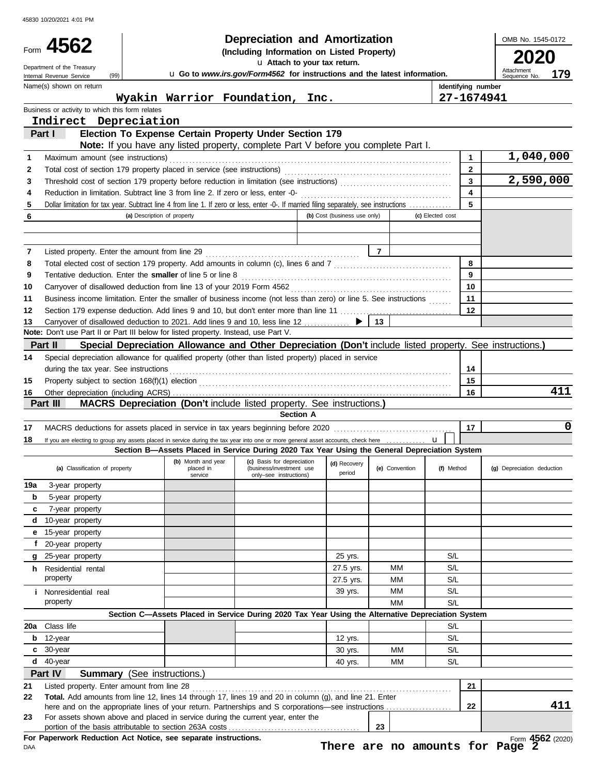| Internal Revenue Service | Form 4562<br>Department of the Treasury<br>(99)                                            |                             |                                            | <b>Depreciation and Amortization</b><br>(Including Information on Listed Property)<br>u Attach to your tax return.<br>u Go to www.irs.gov/Form4562 for instructions and the latest information. |                              |                |                         | OMB No. 1545-0172<br>Attachment<br>179<br>Sequence No. |
|--------------------------|--------------------------------------------------------------------------------------------|-----------------------------|--------------------------------------------|-------------------------------------------------------------------------------------------------------------------------------------------------------------------------------------------------|------------------------------|----------------|-------------------------|--------------------------------------------------------|
|                          | Name(s) shown on return                                                                    |                             |                                            |                                                                                                                                                                                                 |                              |                | Identifying number      |                                                        |
|                          |                                                                                            |                             |                                            | Wyakin Warrior Foundation, Inc.                                                                                                                                                                 |                              |                | 27-1674941              |                                                        |
|                          | Business or activity to which this form relates                                            |                             |                                            |                                                                                                                                                                                                 |                              |                |                         |                                                        |
| Part I                   | Indirect Depreciation                                                                      |                             |                                            | Election To Expense Certain Property Under Section 179                                                                                                                                          |                              |                |                         |                                                        |
|                          |                                                                                            |                             |                                            | Note: If you have any listed property, complete Part V before you complete Part I.                                                                                                              |                              |                |                         |                                                        |
| 1                        | Maximum amount (see instructions)                                                          |                             |                                            |                                                                                                                                                                                                 |                              |                | 1                       | 1,040,000                                              |
| 2                        |                                                                                            |                             |                                            |                                                                                                                                                                                                 |                              |                | $\mathbf{2}$            |                                                        |
| 3                        |                                                                                            |                             |                                            |                                                                                                                                                                                                 |                              |                | $\overline{\mathbf{3}}$ | 2,590,000                                              |
| 4                        |                                                                                            |                             |                                            |                                                                                                                                                                                                 |                              |                | $\overline{\mathbf{4}}$ |                                                        |
| 5                        |                                                                                            |                             |                                            | Dollar limitation for tax year. Subtract line 4 from line 1. If zero or less, enter -0-. If married filing separately, see instructions                                                         |                              |                | 5                       |                                                        |
| 6                        |                                                                                            | (a) Description of property |                                            |                                                                                                                                                                                                 | (b) Cost (business use only) |                | (c) Elected cost        |                                                        |
|                          |                                                                                            |                             |                                            |                                                                                                                                                                                                 |                              |                |                         |                                                        |
|                          |                                                                                            |                             |                                            |                                                                                                                                                                                                 |                              |                |                         |                                                        |
| 7                        |                                                                                            |                             |                                            |                                                                                                                                                                                                 |                              |                |                         |                                                        |
| 8                        |                                                                                            |                             |                                            |                                                                                                                                                                                                 |                              |                | 8                       |                                                        |
| 9                        |                                                                                            |                             |                                            | Tentative deduction. Enter the smaller of line 5 or line 8 [11] match contains the smaller of line 5 or line 8                                                                                  |                              |                | 9                       |                                                        |
| 10                       |                                                                                            |                             |                                            |                                                                                                                                                                                                 |                              |                | 10                      |                                                        |
| 11                       |                                                                                            |                             |                                            | Business income limitation. Enter the smaller of business income (not less than zero) or line 5. See instructions                                                                               |                              |                | 11                      |                                                        |
| 12                       |                                                                                            |                             |                                            |                                                                                                                                                                                                 |                              | 13             | 12                      |                                                        |
| 13                       | <b>Note:</b> Don't use Part II or Part III below for listed property. Instead, use Part V. |                             |                                            | Carryover of disallowed deduction to 2021. Add lines 9 and 10, less line 12                                                                                                                     |                              |                |                         |                                                        |
| Part II                  |                                                                                            |                             |                                            | Special Depreciation Allowance and Other Depreciation (Don't include listed property. See instructions.)                                                                                        |                              |                |                         |                                                        |
| 14                       |                                                                                            |                             |                                            | Special depreciation allowance for qualified property (other than listed property) placed in service                                                                                            |                              |                |                         |                                                        |
|                          | during the tax year. See instructions                                                      |                             |                                            |                                                                                                                                                                                                 |                              |                | 14                      |                                                        |
| 15                       |                                                                                            |                             |                                            |                                                                                                                                                                                                 |                              |                | 15                      |                                                        |
| 16                       |                                                                                            |                             |                                            |                                                                                                                                                                                                 |                              |                | 16                      | 411                                                    |
| Part III                 |                                                                                            |                             |                                            | MACRS Depreciation (Don't include listed property. See instructions.)                                                                                                                           |                              |                |                         |                                                        |
|                          |                                                                                            |                             |                                            | <b>Section A</b>                                                                                                                                                                                |                              |                |                         |                                                        |
| 17                       |                                                                                            |                             |                                            |                                                                                                                                                                                                 |                              |                | 17                      | $\mathbf 0$                                            |
| 18                       |                                                                                            |                             |                                            | If you are electing to group any assets placed in service during the tax year into one or more general asset accounts, check here                                                               |                              |                | $\mathbf{u}$            |                                                        |
|                          |                                                                                            |                             |                                            | Section B-Assets Placed in Service During 2020 Tax Year Using the General Depreciation System                                                                                                   |                              |                |                         |                                                        |
|                          | (a) Classification of property                                                             |                             | (b) Month and year<br>placed in<br>service | (c) Basis for depreciation<br>(business/investment use<br>only-see instructions)                                                                                                                | (d) Recovery<br>period       | (e) Convention | (f) Method              | (g) Depreciation deduction                             |
| 19a                      | 3-year property                                                                            |                             |                                            |                                                                                                                                                                                                 |                              |                |                         |                                                        |
| b                        | 5-year property                                                                            |                             |                                            |                                                                                                                                                                                                 |                              |                |                         |                                                        |
| c                        | 7-year property                                                                            |                             |                                            |                                                                                                                                                                                                 |                              |                |                         |                                                        |
| d                        | 10-year property                                                                           |                             |                                            |                                                                                                                                                                                                 |                              |                |                         |                                                        |
|                          | e 15-year property                                                                         |                             |                                            |                                                                                                                                                                                                 |                              |                |                         |                                                        |
| f                        | 20-year property                                                                           |                             |                                            |                                                                                                                                                                                                 |                              |                |                         |                                                        |
| g                        | 25-year property                                                                           |                             |                                            |                                                                                                                                                                                                 | 25 yrs.                      |                | S/L                     |                                                        |
|                          | <b>h</b> Residential rental<br>property                                                    |                             |                                            |                                                                                                                                                                                                 | 27.5 yrs.                    | MМ             | S/L                     |                                                        |
|                          |                                                                                            |                             |                                            |                                                                                                                                                                                                 | 27.5 yrs.                    | МM             | S/L                     |                                                        |
|                          | <i>i</i> Nonresidential real<br>property                                                   |                             |                                            |                                                                                                                                                                                                 | 39 yrs.                      | МM<br>МM       | S/L<br>S/L              |                                                        |
|                          |                                                                                            |                             |                                            | Section C-Assets Placed in Service During 2020 Tax Year Using the Alternative Depreciation System                                                                                               |                              |                |                         |                                                        |
| 20a                      | Class life                                                                                 |                             |                                            |                                                                                                                                                                                                 |                              |                | S/L                     |                                                        |
| 12-year<br>b             |                                                                                            |                             |                                            |                                                                                                                                                                                                 | 12 yrs.                      |                | S/L                     |                                                        |
| 30-year<br>C             |                                                                                            |                             |                                            |                                                                                                                                                                                                 | 30 yrs.                      | MМ             | S/L                     |                                                        |
| $d$ 40-year              |                                                                                            |                             |                                            |                                                                                                                                                                                                 | 40 yrs.                      | МM             | S/L                     |                                                        |
| Part IV                  | <b>Summary</b> (See instructions.)                                                         |                             |                                            |                                                                                                                                                                                                 |                              |                |                         |                                                        |
| 21                       | Listed property. Enter amount from line 28                                                 |                             |                                            |                                                                                                                                                                                                 |                              |                | 21                      |                                                        |
| 22                       |                                                                                            |                             |                                            | Total. Add amounts from line 12, lines 14 through 17, lines 19 and 20 in column (g), and line 21. Enter                                                                                         |                              |                |                         |                                                        |
|                          |                                                                                            |                             |                                            |                                                                                                                                                                                                 |                              |                | 22                      | 411                                                    |
|                          |                                                                                            |                             |                                            |                                                                                                                                                                                                 |                              |                |                         |                                                        |
| 23                       |                                                                                            |                             |                                            | For assets shown above and placed in service during the current year, enter the                                                                                                                 |                              | 23             |                         |                                                        |

**There are no amounts for Page 2**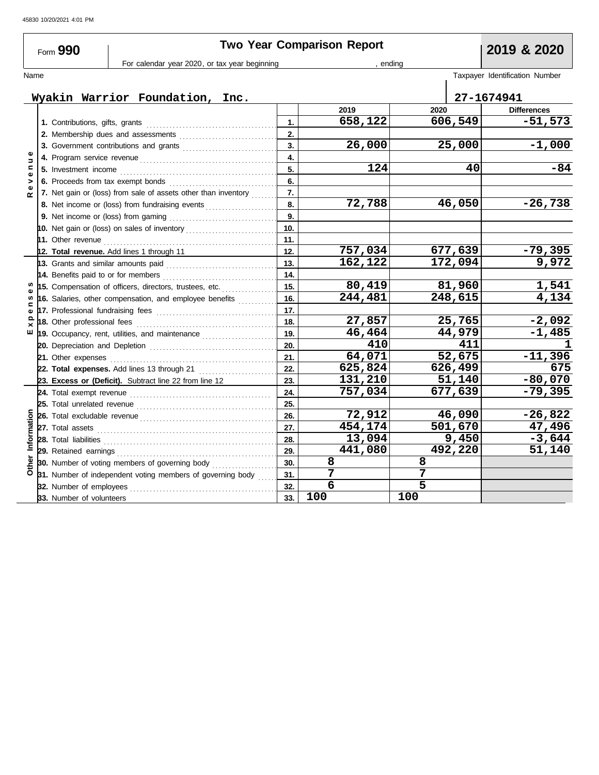| Form 990                                      |  |                                                                            |                                                                                                           | <b>Two Year Comparison Report</b> |                |            |                                |  |  |
|-----------------------------------------------|--|----------------------------------------------------------------------------|-----------------------------------------------------------------------------------------------------------|-----------------------------------|----------------|------------|--------------------------------|--|--|
| For calendar year 2020, or tax year beginning |  |                                                                            |                                                                                                           | , ending                          | 2019 & 2020    |            |                                |  |  |
| Name                                          |  |                                                                            |                                                                                                           |                                   |                |            | Taxpayer Identification Number |  |  |
|                                               |  |                                                                            |                                                                                                           |                                   |                |            |                                |  |  |
| Wyakin Warrior Foundation, Inc.               |  |                                                                            |                                                                                                           |                                   |                | 27-1674941 |                                |  |  |
|                                               |  |                                                                            |                                                                                                           |                                   | 2019           | 2020       | <b>Differences</b>             |  |  |
|                                               |  |                                                                            |                                                                                                           | 1.                                | 658,122        | 606,549    | $-51,573$                      |  |  |
|                                               |  |                                                                            | 2. Membership dues and assessments                                                                        | 2.                                |                |            |                                |  |  |
|                                               |  |                                                                            | 3. Government contributions and grants                                                                    | 3.                                | 26,000         | 25,000     | $-1,000$                       |  |  |
| Ξ                                             |  |                                                                            |                                                                                                           | 4.<br>5.                          |                |            |                                |  |  |
| $\mathbf{C}$<br>$\bullet$                     |  | 5. Investment income                                                       |                                                                                                           |                                   | 124            | 40         | $-84$                          |  |  |
| ><br>$\mathbf{Q}$                             |  | 6. Proceeds from tax exempt bonds<br><u> 1990 - John Barbara, martin a</u> |                                                                                                           |                                   |                |            |                                |  |  |
| $\sim$                                        |  |                                                                            | 7. Net gain or (loss) from sale of assets other than inventory                                            | 7.                                |                |            |                                |  |  |
|                                               |  | 8. Net income or (loss) from fundraising events                            |                                                                                                           | 8.                                | 72,788         | 46,050     | $-26,738$                      |  |  |
|                                               |  |                                                                            |                                                                                                           | 9.                                |                |            |                                |  |  |
|                                               |  |                                                                            | 10. Net gain or (loss) on sales of inventory                                                              | 10.                               |                |            |                                |  |  |
|                                               |  |                                                                            |                                                                                                           | 11.                               |                |            |                                |  |  |
|                                               |  |                                                                            | 12. Total revenue. Add lines 1 through 11                                                                 | 12.                               | 757,034        | 677,639    | $-79,395$                      |  |  |
|                                               |  | 13. Grants and similar amounts paid                                        |                                                                                                           | 13.                               | 162,122        | 172,094    | 9,972                          |  |  |
|                                               |  | 14. Benefits paid to or for members                                        |                                                                                                           | 14.                               |                |            |                                |  |  |
|                                               |  |                                                                            | 15. Compensation of officers, directors, trustees, etc.                                                   | 15.                               | 80,419         | 81,960     | 1,541                          |  |  |
| w<br>⊂                                        |  |                                                                            | 16. Salaries, other compensation, and employee benefits                                                   | 16.                               | 244,481        | 248,615    | 4,134                          |  |  |
| Ф                                             |  |                                                                            |                                                                                                           | 17.                               |                |            |                                |  |  |
| $\Omega$<br>×                                 |  | 18. Other professional fees                                                |                                                                                                           | 18.                               | 27,857         | 25,765     | $-2,092$                       |  |  |
| ш                                             |  |                                                                            | 19. Occupancy, rent, utilities, and maintenance <i>[[19. Occupancy, rent, utilities</i> , and maintenance | 19.                               | 46,464         | 44,979     | $-1,485$                       |  |  |
|                                               |  |                                                                            |                                                                                                           | 20.                               | 410            | 411        | ı                              |  |  |
|                                               |  | 21. Other expenses                                                         |                                                                                                           | 21.                               | 64,071         | 52,675     | $-11,396$                      |  |  |
|                                               |  |                                                                            | 22. Total expenses. Add lines 13 through 21                                                               | 22.                               | 625,824        | 626,499    | 675                            |  |  |
|                                               |  |                                                                            | 23. Excess or (Deficit). Subtract line 22 from line 12                                                    | 23.                               | 131,210        | 51,140     | $-80,070$                      |  |  |
|                                               |  |                                                                            |                                                                                                           | 24.                               | 757,034        | 677,639    | $-79,395$                      |  |  |
|                                               |  |                                                                            |                                                                                                           | 25.                               |                |            |                                |  |  |
| Information                                   |  |                                                                            |                                                                                                           | 26.                               | 72,912         | 46,090     | $-26,822$                      |  |  |
|                                               |  |                                                                            |                                                                                                           | 27.                               | 454,174        | 501,670    | 47,496                         |  |  |
|                                               |  | 28. Total liabilities                                                      |                                                                                                           | 28.                               | 13,094         | 9,450      | $-3,644$                       |  |  |
|                                               |  |                                                                            |                                                                                                           | 29.                               | 441,080        | 492,220    | 51,140                         |  |  |
| Other                                         |  |                                                                            | 30. Number of voting members of governing body                                                            | 30.                               | 8              | 8          |                                |  |  |
|                                               |  |                                                                            | 31. Number of independent voting members of governing body                                                | 31.                               | 7              | 7          |                                |  |  |
|                                               |  | 32. Number of employees                                                    |                                                                                                           | 32.                               | $\overline{6}$ | 5          |                                |  |  |
|                                               |  | 33. Number of volunteers                                                   |                                                                                                           | 33.                               | 100            | 100        |                                |  |  |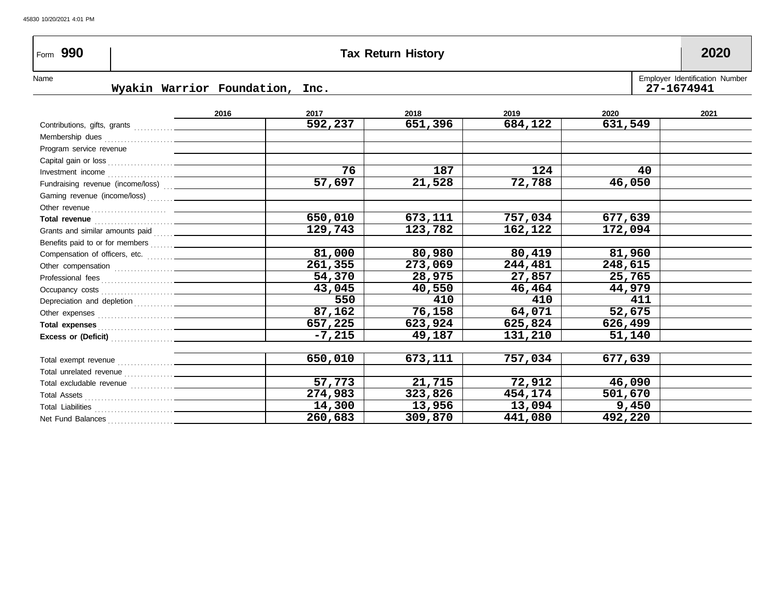# Form **990 Tax Return History 2020**

Name Myakin Warrior Foundation, Inc.<br>Name Myakin Warrior Foundation, Inc. **Wyakin Warrior Foundation, Inc.** 

|                                                                                                                                                                                                                                      | 2016 | 2017     | 2018    | 2019    | 2020    | 2021 |
|--------------------------------------------------------------------------------------------------------------------------------------------------------------------------------------------------------------------------------------|------|----------|---------|---------|---------|------|
|                                                                                                                                                                                                                                      |      | 592,237  | 651,396 | 684,122 | 631,549 |      |
|                                                                                                                                                                                                                                      |      |          |         |         |         |      |
| Program service revenue                                                                                                                                                                                                              |      |          |         |         |         |      |
|                                                                                                                                                                                                                                      |      |          |         |         |         |      |
| Investment income<br>the control of the control of the control of the control of the control of the control of                                                                                                                       |      | 76       | 187     | 124     | 40      |      |
| Fundraising revenue (income/loss)  ___________                                                                                                                                                                                       |      | 57,697   | 21,528  | 72,788  | 46,050  |      |
|                                                                                                                                                                                                                                      |      |          |         |         |         |      |
|                                                                                                                                                                                                                                      |      |          |         |         |         |      |
| Total revenue <b>contract and the contract of the contract of the contract of the contract of the contract of the contract of the contract of the contract of the contract of the contract of the contract of the contract of th</b> |      | 650,010  | 673,111 | 757,034 | 677,639 |      |
|                                                                                                                                                                                                                                      |      | 129,743  | 123,782 | 162,122 | 172,094 |      |
|                                                                                                                                                                                                                                      |      |          |         |         |         |      |
|                                                                                                                                                                                                                                      |      | 81,000   | 80,980  | 80,419  | 81,960  |      |
|                                                                                                                                                                                                                                      |      | 261,355  | 273,069 | 244,481 | 248,615 |      |
|                                                                                                                                                                                                                                      |      | 54,370   | 28,975  | 27,857  | 25,765  |      |
|                                                                                                                                                                                                                                      |      | 43,045   | 40,550  | 46,464  | 44,979  |      |
|                                                                                                                                                                                                                                      |      | 550      | 410     | 410     | 411     |      |
|                                                                                                                                                                                                                                      |      | 87,162   | 76,158  | 64,071  | 52,675  |      |
| Total expenses <b>Manual</b>                                                                                                                                                                                                         |      | 657,225  | 623,924 | 625,824 | 626,499 |      |
|                                                                                                                                                                                                                                      |      | $-7,215$ | 49,187  | 131,210 | 51,140  |      |
|                                                                                                                                                                                                                                      |      |          |         |         |         |      |
|                                                                                                                                                                                                                                      |      | 650,010  | 673,111 | 757,034 | 677,639 |      |
|                                                                                                                                                                                                                                      |      |          |         |         |         |      |
|                                                                                                                                                                                                                                      |      | 57,773   | 21,715  | 72,912  | 46,090  |      |
|                                                                                                                                                                                                                                      |      | 274,983  | 323,826 | 454,174 | 501,670 |      |
|                                                                                                                                                                                                                                      |      | 14,300   | 13,956  | 13,094  | 9,450   |      |
| Net Fund Balances                                                                                                                                                                                                                    |      | 260,683  | 309,870 | 441,080 | 492,220 |      |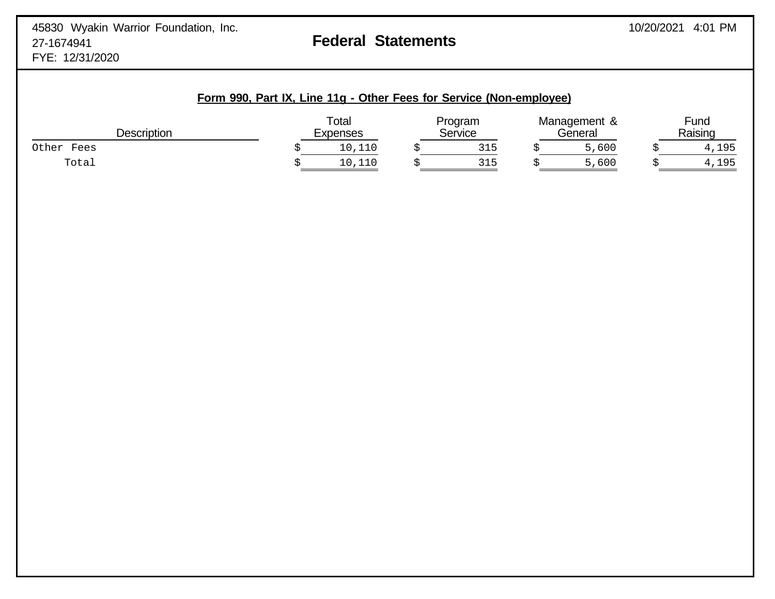|                                                                      |  | Form 990, Part IX, Line 11g - Other Fees for Service (Non-employee) |                |  |
|----------------------------------------------------------------------|--|---------------------------------------------------------------------|----------------|--|
| $\tau$ <sub>otal</sub><br>Proaram<br>Daaarintian<br>O <sub>max</sub> |  | Management &<br>$\bigcap$ and $\bigcap$                             | Fund<br>Daisis |  |

| Descriptior                          | ∟xpenses                        | <b>San<i>ira</i></b> | ieneral | $\overline{\phantom{0}}$<br><b>Doicing</b><br>vaiðil lu |
|--------------------------------------|---------------------------------|----------------------|---------|---------------------------------------------------------|
| Other<br>Fees                        | ---                             | $\sim$ $\sim$<br>ب⊥ت | 600     | 1QF                                                     |
| $T \cap$ $\vdash$ $\supset$<br>⊥∪ca⊥ | $\overline{\phantom{a}}$<br>ᅩᅩ◡ | .<br>◡∸ ◡            | 600     | 1 Q F                                                   |